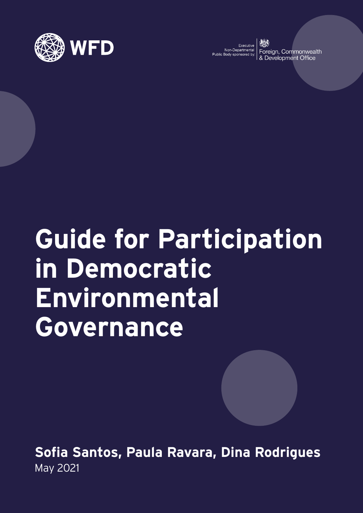

Executive<br>Non-Departmental Public Body sponsored by

Foreign, Commonwealth Development Office

# **Guide for Participation in Democratic Environmental Governance**

**Sofia Santos, Paula Ravara, Dina Rodrigues** May 2021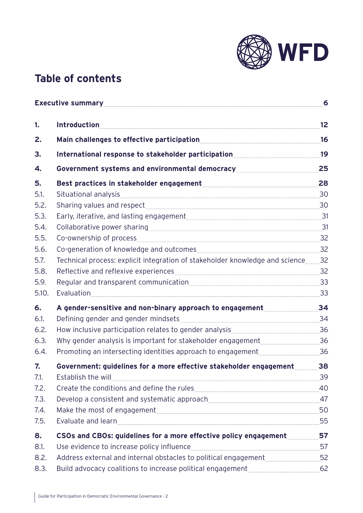

### **Table of contents**

|                      | Executive summary <b>Executive</b> summary                                                                                                                                                                                     |                |  |
|----------------------|--------------------------------------------------------------------------------------------------------------------------------------------------------------------------------------------------------------------------------|----------------|--|
| 1.                   | <b>Introduction</b>                                                                                                                                                                                                            | 12             |  |
| 2.                   |                                                                                                                                                                                                                                | 16             |  |
| 3.                   | International response to stakeholder participation                                                                                                                                                                            | 19             |  |
| 4.                   | Government systems and environmental democracy and all controls of the state of the state of the state of the                                                                                                                  | 25             |  |
| 5.<br>5.1.           | Situational analysis                                                                                                                                                                                                           | 28<br>30       |  |
| 5.2.                 |                                                                                                                                                                                                                                | 30             |  |
| 5.3.<br>5.4.<br>5.5. | Co-ownership of process express and the contract of process and the contract of the contract of the contract of the contract of the contract of the contract of the contract of the contract of the contract of the contract o | 31<br>31<br>32 |  |
| 5.6.                 | Co-generation of knowledge and outcomes                                                                                                                                                                                        | 32             |  |
| 5.7.                 | Technical process: explicit integration of stakeholder knowledge and science                                                                                                                                                   | 32             |  |
| 5.8.                 |                                                                                                                                                                                                                                | 32             |  |
| 5.9.<br>5.10.        | Evaluation experience and the set of the set of the set of the set of the set of the set of the set of the set                                                                                                                 | 33<br>33       |  |
| 6.                   | A gender-sensitive and non-binary approach to engagement                                                                                                                                                                       | 34             |  |
| 6.1.                 | Defining gender and gender mindsets                                                                                                                                                                                            | 34             |  |
| 6.2.                 | How inclusive participation relates to gender analysis<br><u>Fig. 1</u>                                                                                                                                                        | 36             |  |
| 6.3.                 | Why gender analysis is important for stakeholder engagement                                                                                                                                                                    | 36             |  |
| 6.4.                 | Promoting an intersecting identities approach to engagement                                                                                                                                                                    | 36             |  |
| 7.                   | Government: guidelines for a more effective stakeholder engagement                                                                                                                                                             | 38             |  |
| 7.1.                 | Establish the will                                                                                                                                                                                                             | 39             |  |
| 7.2.<br>7.3.         |                                                                                                                                                                                                                                | 40<br>47       |  |
| 7.4.                 |                                                                                                                                                                                                                                | 50             |  |
| 7.5.                 | Evaluate and learn <b>Evaluate and Learn</b> 2014                                                                                                                                                                              | 55             |  |
| 8.                   | CSOs and CBOs: guidelines for a more effective policy engagement                                                                                                                                                               | 57             |  |
| 8.1.                 | Use evidence to increase policy influence                                                                                                                                                                                      | 57             |  |
| 8.2.                 | Address external and internal obstacles to political engagement                                                                                                                                                                | 52             |  |
| 8.3.                 | Build advocacy coalitions to increase political engagement                                                                                                                                                                     | 62             |  |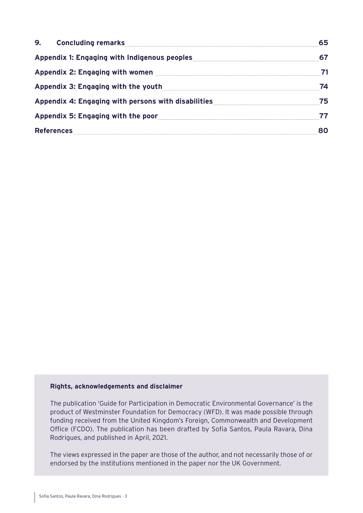| 9.<br><b>Concluding remarks</b>                     |    |
|-----------------------------------------------------|----|
| <b>Appendix 1: Engaging with Indigenous peoples</b> |    |
| Appendix 2: Engaging with women                     |    |
| Appendix 3: Engaging with the youth                 | 74 |
| Appendix 4: Engaging with persons with disabilities | 75 |
| Appendix 5: Engaging with the poor                  |    |
| <b>References</b>                                   |    |

#### **Rights, acknowledgements and disclaimer**

The publication 'Guide for Participation in Democratic Environmental Governance' is the product of Westminster Foundation for Democracy (WFD). It was made possible through funding received from the United Kingdom's Foreign, Commonwealth and Development Office (FCDO). The publication has been drafted by Sofia Santos, Paula Ravara, Dina Rodrigues, and published in April, 2021.

The views expressed in the paper are those of the author, and not necessarily those of or endorsed by the institutions mentioned in the paper nor the UK Government.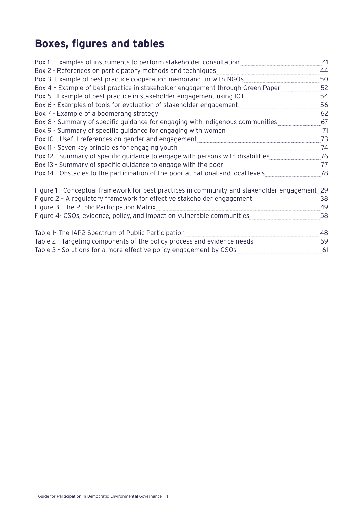# **Boxes, figures and tables**

| Box 1 - Examples of instruments to perform stakeholder consultation                           | 41 |
|-----------------------------------------------------------------------------------------------|----|
| Box 2 - References on participatory methods and techniques                                    | 44 |
| Box 3- Example of best practice cooperation memorandum with NGOs                              | 50 |
| Box 4 - Example of best practice in stakeholder engagement through Green Paper                | 52 |
| Box 5 - Example of best practice in stakeholder engagement using ICT                          | 54 |
| Box 6 - Examples of tools for evaluation of stakeholder engagement                            | 56 |
| Box 7 - Example of a boomerang strategy                                                       | 62 |
| Box 8 - Summary of specific guidance for engaging with indigenous communities                 | 67 |
| Box 9 - Summary of specific guidance for engaging with women                                  | 71 |
| Box 10 - Useful references on gender and engagement                                           | 73 |
| Box 11 - Seven key principles for engaging youth                                              | 74 |
| Box 12 - Summary of specific guidance to engage with persons with disabilities                | 76 |
| Box 13 - Summary of specific guidance to engage with the poor                                 | 77 |
| Box 14 - Obstacles to the participation of the poor at national and local levels              | 78 |
| Figure 1 - Conceptual framework for best practices in community and stakeholder engagement 29 |    |
| Figure 2 - A regulatory framework for effective stakeholder engagement                        | 38 |
| Figure 3- The Public Participation Matrix                                                     | 49 |
| Figure 4- CSOs, evidence, policy, and impact on vulnerable communities                        | 58 |
| Table 1- The IAP2 Spectrum of Public Participation                                            | 48 |
| Table 2 - Targeting components of the policy process and evidence needs                       | 59 |
| Table 3 - Solutions for a more effective policy engagement by CSOs                            | 61 |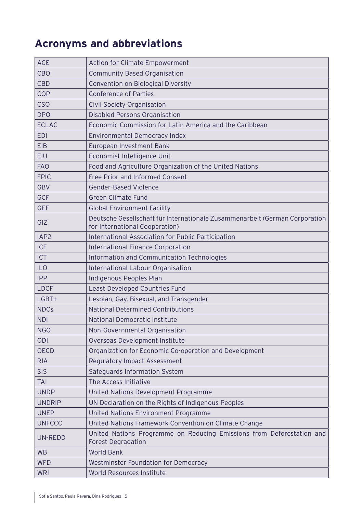# **Acronyms and abbreviations**

| <b>ACE</b>       | <b>Action for Climate Empowerment</b>                                                                         |
|------------------|---------------------------------------------------------------------------------------------------------------|
| <b>CBO</b>       | <b>Community Based Organisation</b>                                                                           |
| <b>CBD</b>       | Convention on Biological Diversity                                                                            |
| COP              | <b>Conference of Parties</b>                                                                                  |
| <b>CSO</b>       | Civil Society Organisation                                                                                    |
| <b>DPO</b>       | <b>Disabled Persons Organisation</b>                                                                          |
| <b>ECLAC</b>     | Economic Commission for Latin America and the Caribbean                                                       |
| <b>EDI</b>       | Environmental Democracy Index                                                                                 |
| <b>EIB</b>       | European Investment Bank                                                                                      |
| <b>EIU</b>       | Economist Intelligence Unit                                                                                   |
| <b>FAO</b>       | Food and Agriculture Organization of the United Nations                                                       |
| <b>FPIC</b>      | Free Prior and Informed Consent                                                                               |
| <b>GBV</b>       | <b>Gender-Based Violence</b>                                                                                  |
| <b>GCF</b>       | <b>Green Climate Fund</b>                                                                                     |
| <b>GEF</b>       | <b>Global Environment Facility</b>                                                                            |
| GIZ              | Deutsche Gesellschaft für Internationale Zusammenarbeit (German Corporation<br>for International Cooperation) |
| IAP <sub>2</sub> | International Association for Public Participation                                                            |
| <b>ICF</b>       | <b>International Finance Corporation</b>                                                                      |
| <b>ICT</b>       | Information and Communication Technologies                                                                    |
| <b>ILO</b>       | International Labour Organisation                                                                             |
| <b>IPP</b>       | Indigenous Peoples Plan                                                                                       |
| <b>LDCF</b>      | Least Developed Countries Fund                                                                                |
| LGBT+            | Lesbian, Gay, Bisexual, and Transgender                                                                       |
| <b>NDCs</b>      | <b>National Determined Contributions</b>                                                                      |
| <b>NDI</b>       | National Democratic Institute                                                                                 |
| <b>NGO</b>       | Non-Governmental Organisation                                                                                 |
| <b>ODI</b>       | Overseas Development Institute                                                                                |
| <b>OECD</b>      | Organization for Economic Co-operation and Development                                                        |
| <b>RIA</b>       | <b>Regulatory Impact Assessment</b>                                                                           |
| <b>SIS</b>       | Safeguards Information System                                                                                 |
| <b>TAI</b>       | The Access Initiative                                                                                         |
| <b>UNDP</b>      | United Nations Development Programme                                                                          |
| <b>UNDRIP</b>    | UN Declaration on the Rights of Indigenous Peoples                                                            |
| <b>UNEP</b>      | United Nations Environment Programme                                                                          |
| <b>UNFCCC</b>    | United Nations Framework Convention on Climate Change                                                         |
| <b>UN-REDD</b>   | United Nations Programme on Reducing Emissions from Deforestation and<br><b>Forest Degradation</b>            |
| <b>WB</b>        | <b>World Bank</b>                                                                                             |
| <b>WFD</b>       | <b>Westminster Foundation for Democracy</b>                                                                   |
| <b>WRI</b>       | World Resources Institute                                                                                     |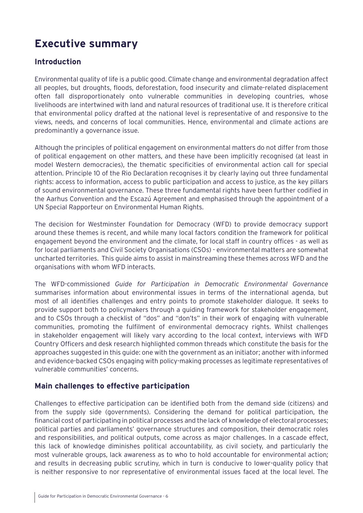## <span id="page-5-0"></span>**Executive summary**

### **Introduction**

Environmental quality of life is a public good. Climate change and environmental degradation affect all peoples, but droughts, floods, deforestation, food insecurity and climate-related displacement often fall disproportionately onto vulnerable communities in developing countries, whose livelihoods are intertwined with land and natural resources of traditional use. It is therefore critical that environmental policy drafted at the national level is representative of and responsive to the views, needs, and concerns of local communities. Hence, environmental and climate actions are predominantly a governance issue.

Although the principles of political engagement on environmental matters do not differ from those of political engagement on other matters, and these have been implicitly recognised (at least in model Western democracies), the thematic specificities of environmental action call for special attention. Principle 10 of the Rio Declaration recognises it by clearly laying out three fundamental rights: access to information, access to public participation and access to justice, as the key pillars of sound environmental governance. These three fundamental rights have been further codified in the Aarhus Convention and the Escazú Agreement and emphasised through the appointment of a UN Special Rapporteur on Environmental Human Rights.

The decision for Westminster Foundation for Democracy (WFD) to provide democracy support around these themes is recent, and while many local factors condition the framework for political engagement beyond the environment and the climate, for local staff in country offices - as well as for local parliaments and Civil Society Organisations (CSOs) - environmental matters are somewhat uncharted territories. This guide aims to assist in mainstreaming these themes across WFD and the organisations with whom WFD interacts.

The WFD-commissioned *Guide for Participation in Democratic Environmental Governance* summarises information about environmental issues in terms of the international agenda, but most of all identifies challenges and entry points to promote stakeholder dialogue. It seeks to provide support both to policymakers through a guiding framework for stakeholder engagement, and to CSOs through a checklist of "dos" and "don'ts" in their work of engaging with vulnerable communities, promoting the fulfilment of environmental democracy rights. Whilst challenges in stakeholder engagement will likely vary according to the local context, interviews with WFD Country Officers and desk research highlighted common threads which constitute the basis for the approaches suggested in this guide: one with the government as an initiator; another with informed and evidence-backed CSOs engaging with policy-making processes as legitimate representatives of vulnerable communities' concerns.

### **Main challenges to effective participation**

Challenges to effective participation can be identified both from the demand side (citizens) and from the supply side (governments). Considering the demand for political participation, the financial cost of participating in political processes and the lack of knowledge of electoral processes; political parties and parliaments' governance structures and composition, their democratic roles and responsibilities, and political outputs, come across as major challenges. In a cascade effect, this lack of knowledge diminishes political accountability, as civil society, and particularly the most vulnerable groups, lack awareness as to who to hold accountable for environmental action; and results in decreasing public scrutiny, which in turn is conducive to lower-quality policy that is neither responsive to nor representative of environmental issues faced at the local level. The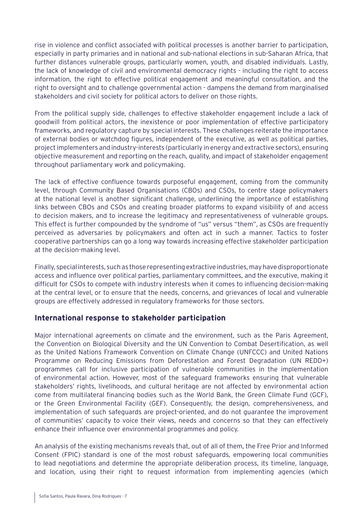rise in violence and conflict associated with political processes is another barrier to participation, especially in party primaries and in national and sub-national elections in sub-Saharan Africa, that further distances vulnerable groups, particularly women, youth, and disabled individuals. Lastly, the lack of knowledge of civil and environmental democracy rights - including the right to access information, the right to effective political engagement and meaningful consultation, and the right to oversight and to challenge governmental action - dampens the demand from marginalised stakeholders and civil society for political actors to deliver on those rights.

From the political supply side, challenges to effective stakeholder engagement include a lack of goodwill from political actors, the inexistence or poor implementation of effective participatory frameworks, and regulatory capture by special interests. These challenges reiterate the importance of external bodies or watchdog figures, independent of the executive, as well as political parties, project implementers and industry-interests (particularly in energy and extractive sectors), ensuring objective measurement and reporting on the reach, quality, and impact of stakeholder engagement throughout parliamentary work and policymaking.

The lack of effective confluence towards purposeful engagement, coming from the community level, through Community Based Organisations (CBOs) and CSOs, to centre stage policymakers at the national level is another significant challenge, underlining the importance of establishing links between CBOs and CSOs and creating broader platforms to expand visibility of and access to decision makers, and to increase the legitimacy and representativeness of vulnerable groups. This effect is further compounded by the syndrome of "us" versus "them", as CSOs are frequently perceived as adversaries by policymakers and often act in such a manner. Tactics to foster cooperative partnerships can go a long way towards increasing effective stakeholder participation at the decision-making level.

Finally, special interests, such as those representing extractive industries, may have disproportionate access and influence over political parties, parliamentary committees, and the executive, making it difficult for CSOs to compete with industry interests when it comes to influencing decision-making at the central level, or to ensure that the needs, concerns, and grievances of local and vulnerable groups are effectively addressed in regulatory frameworks for those sectors.

### **International response to stakeholder participation**

Major international agreements on climate and the environment, such as the Paris Agreement, the Convention on Biological Diversity and the UN Convention to Combat Desertification, as well as the United Nations Framework Convention on Climate Change (UNFCCC) and United Nations Programme on Reducing Emissions from Deforestation and Forest Degradation (UN REDD+) programmes call for inclusive participation of vulnerable communities in the implementation of environmental action. However, most of the safeguard frameworks ensuring that vulnerable stakeholders' rights, livelihoods, and cultural heritage are not affected by environmental action come from multilateral financing bodies such as the World Bank, the Green Climate Fund (GCF), or the Green Environmental Facility (GEF). Consequently, the design, comprehensiveness, and implementation of such safeguards are project-oriented, and do not guarantee the improvement of communities' capacity to voice their views, needs and concerns so that they can effectively enhance their influence over environmental programmes and policy.

An analysis of the existing mechanisms reveals that, out of all of them, the Free Prior and Informed Consent (FPIC) standard is one of the most robust safeguards, empowering local communities to lead negotiations and determine the appropriate deliberation process, its timeline, language, and location, using their right to request information from implementing agencies (which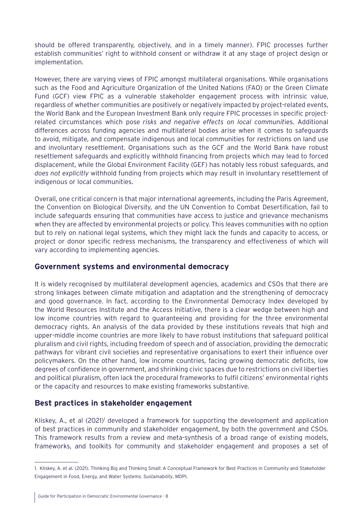should be offered transparently, objectively, and in a timely manner). FPIC processes further establish communities' right to withhold consent or withdraw it at any stage of project design or implementation.

However, there are varying views of FPIC amongst multilateral organisations. While organisations such as the Food and Agriculture Organization of the United Nations (FAO) or the Green Climate Fund (GCF) view FPIC as a vulnerable stakeholder engagement process with intrinsic value, regardless of whether communities are positively or negatively impacted by project-related events, the World Bank and the European Investment Bank only require FPIC processes in specific projectrelated circumstances which pose *risks and negative effects on local communit*ies. Additional differences across funding agencies and multilateral bodies arise when it comes to safeguards to avoid, mitigate, and compensate indigenous and local communities for restrictions on land use and involuntary resettlement. Organisations such as the GCF and the World Bank have robust resettlement safeguards and explicitly withhold financing from projects which may lead to forced displacement, while the Global Environment Facility (GEF) has notably less robust safeguards, and *does not explicitly* withhold funding from projects which may result in involuntary resettlement of indigenous or local communities.

Overall, one critical concern is that major international agreements, including the Paris Agreement, the Convention on Biological Diversity, and the UN Convention to Combat Desertification, fail to include safeguards ensuring that communities have access to justice and grievance mechanisms when they are affected by environmental projects or policy. This leaves communities with no option but to rely on national legal systems, which they might lack the funds and capacity to access, or project or donor specific redress mechanisms, the transparency and effectiveness of which will vary according to implementing agencies.

### **Government systems and environmental democracy**

It is widely recognised by multilateral development agencies, academics and CSOs that there are strong linkages between climate mitigation and adaptation and the strengthening of democracy and good governance. In fact, according to the Environmental Democracy Index developed by the World Resources Institute and the Access Initiative, there is a clear wedge between high and low income countries with regard to guaranteeing and providing for the three environmental democracy rights. An analysis of the data provided by these institutions reveals that high and upper-middle income countries are more likely to have robust institutions that safeguard political pluralism and civil rights, including freedom of speech and of association, providing the democratic pathways for vibrant civil societies and representative organisations to exert their influence over policymakers. On the other hand, low income countries, facing growing democratic deficits, low degrees of confidence in government, and shrinking civic spaces due to restrictions on civil liberties and political pluralism, often lack the procedural frameworks to fulfil citizens' environmental rights or the capacity and resources to make existing frameworks substantive.

### **Best practices in stakeholder engagement**

Kliskey, A., et al (2021)<sup>1</sup> developed a framework for supporting the development and application of best practices in community and stakeholder engagement, by both the government and CSOs. This framework results from a review and meta-synthesis of a broad range of existing models, frameworks, and toolkits for community and stakeholder engagement and proposes a set of

<sup>1.</sup> Kliskey, A. et al. (2021). Thinking Big and Thinking Small: A Conceptual Framework for Best Practices in Community and Stakeholder Engagement in Food, Energy, and Water Systems. *Sustainability*, MDPI.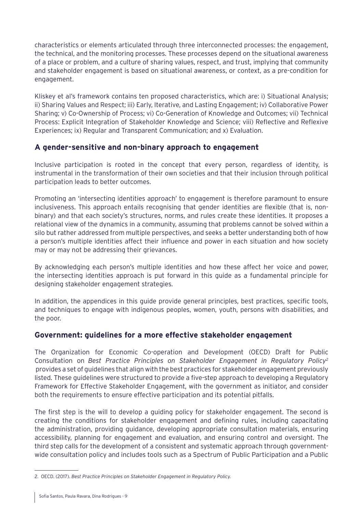characteristics or elements articulated through three interconnected processes: the engagement, the technical, and the monitoring processes. These processes depend on the situational awareness of a place or problem, and a culture of sharing values, respect, and trust, implying that community and stakeholder engagement is based on situational awareness, or context, as a pre-condition for engagement.

Kliskey et al's framework contains ten proposed characteristics, which are: i) Situational Analysis; ii) Sharing Values and Respect; iii) Early, Iterative, and Lasting Engagement; iv) Collaborative Power Sharing; v) Co-Ownership of Process; vi) Co-Generation of Knowledge and Outcomes; vii) Technical Process: Explicit Integration of Stakeholder Knowledge and Science; viii) Reflective and Reflexive Experiences; ix) Regular and Transparent Communication; and x) Evaluation.

### **A gender-sensitive and non-binary approach to engagement**

Inclusive participation is rooted in the concept that every person, regardless of identity, is instrumental in the transformation of their own societies and that their inclusion through political participation leads to better outcomes.

Promoting an 'intersecting identities approach' to engagement is therefore paramount to ensure inclusiveness. This approach entails recognising that gender identities are flexible (that is, nonbinary) and that each society's structures, norms, and rules create these identities. It proposes a relational view of the dynamics in a community, assuming that problems cannot be solved within a silo but rather addressed from multiple perspectives, and seeks a better understanding both of how a person's multiple identities affect their influence and power in each situation and how society may or may not be addressing their grievances.

By acknowledging each person's multiple identities and how these affect her voice and power, the intersecting identities approach is put forward in this guide as a fundamental principle for designing stakeholder engagement strategies.

In addition, the appendices in this guide provide general principles, best practices, specific tools, and techniques to engage with indigenous peoples, women, youth, persons with disabilities, and the poor.

### **Government: guidelines for a more effective stakeholder engagement**

The Organization for Economic Co-operation and Development (OECD) Draft for Public Consultation on *Best Practice Principles on Stakeholder Engagement in Regulatory Policy2* provides a set of guidelines that align with the best practices for stakeholder engagement previously listed. These guidelines were structured to provide a five-step approach to developing a Regulatory Framework for Effective Stakeholder Engagement, with the government as initiator, and consider both the requirements to ensure effective participation and its potential pitfalls.

The first step is the will to develop a guiding policy for stakeholder engagement. The second is creating the conditions for stakeholder engagement and defining rules, including capacitating the administration, providing guidance, developing appropriate consultation materials, ensuring accessibility, planning for engagement and evaluation, and ensuring control and oversight. The third step calls for the development of a consistent and systematic approach through governmentwide consultation policy and includes tools such as a Spectrum of Public Participation and a Public

<sup>2.</sup> OECD. (2017). *Best Practice Principles on Stakeholder Engagement in Regulatory Policy.*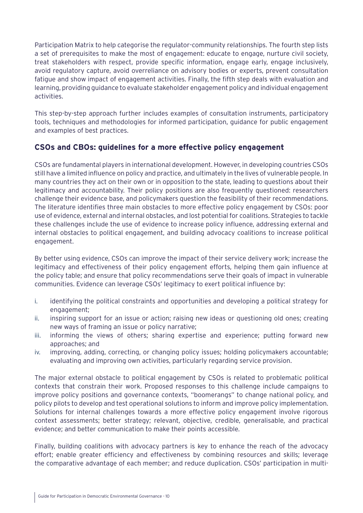Participation Matrix to help categorise the regulator-community relationships. The fourth step lists a set of prerequisites to make the most of engagement: educate to engage, nurture civil society, treat stakeholders with respect, provide specific information, engage early, engage inclusively, avoid regulatory capture, avoid overreliance on advisory bodies or experts, prevent consultation fatigue and show impact of engagement activities. Finally, the fifth step deals with evaluation and learning, providing guidance to evaluate stakeholder engagement policy and individual engagement activities.

This step-by-step approach further includes examples of consultation instruments, participatory tools, techniques and methodologies for informed participation, guidance for public engagement and examples of best practices.

### **CSOs and CBOs: guidelines for a more effective policy engagement**

CSOs are fundamental players in international development. However, in developing countries CSOs still have a limited influence on policy and practice, and ultimately in the lives of vulnerable people. In many countries they act on their own or in opposition to the state, leading to questions about their legitimacy and accountability. Their policy positions are also frequently questioned: researchers challenge their evidence base, and policymakers question the feasibility of their recommendations. The literature identifies three main obstacles to more effective policy engagement by CSOs: poor use of evidence, external and internal obstacles, and lost potential for coalitions. Strategies to tackle these challenges include the use of evidence to increase policy influence, addressing external and internal obstacles to political engagement, and building advocacy coalitions to increase political engagement.

By better using evidence, CSOs can improve the impact of their service delivery work; increase the legitimacy and effectiveness of their policy engagement efforts, helping them gain influence at the policy table; and ensure that policy recommendations serve their goals of impact in vulnerable communities. Evidence can leverage CSOs' legitimacy to exert political influence by:

- i. identifying the political constraints and opportunities and developing a political strategy for engagement;
- ii. inspiring support for an issue or action; raising new ideas or questioning old ones; creating new ways of framing an issue or policy narrative;
- iii. informing the views of others; sharing expertise and experience; putting forward new approaches; and
- iv. improving, adding, correcting, or changing policy issues; holding policymakers accountable; evaluating and improving own activities, particularly regarding service provision.

The major external obstacle to political engagement by CSOs is related to problematic political contexts that constrain their work. Proposed responses to this challenge include campaigns to improve policy positions and governance contexts, "boomerangs" to change national policy, and policy pilots to develop and test operational solutions to inform and improve policy implementation. Solutions for internal challenges towards a more effective policy engagement involve rigorous context assessments; better strategy; relevant, objective, credible, generalisable, and practical evidence; and better communication to make their points accessible.

Finally, building coalitions with advocacy partners is key to enhance the reach of the advocacy effort; enable greater efficiency and effectiveness by combining resources and skills; leverage the comparative advantage of each member; and reduce duplication. CSOs' participation in multi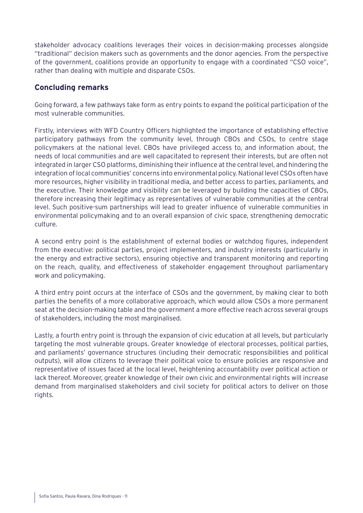stakeholder advocacy coalitions leverages their voices in decision-making processes alongside "traditional" decision makers such as governments and the donor agencies. From the perspective of the government, coalitions provide an opportunity to engage with a coordinated "CSO voice", rather than dealing with multiple and disparate CSOs.

### **Concluding remarks**

Going forward, a few pathways take form as entry points to expand the political participation of the most vulnerable communities.

Firstly, interviews with WFD Country Officers highlighted the importance of establishing effective participatory pathways from the community level, through CBOs and CSOs, to centre stage policymakers at the national level. CBOs have privileged access to, and information about, the needs of local communities and are well capacitated to represent their interests, but are often not integrated in larger CSO platforms, diminishing their influence at the central level, and hindering the integration of local communities' concerns into environmental policy. National level CSOs often have more resources, higher visibility in traditional media, and better access to parties, parliaments, and the executive. Their knowledge and visibility can be leveraged by building the capacities of CBOs, therefore increasing their legitimacy as representatives of vulnerable communities at the central level. Such positive-sum partnerships will lead to greater influence of vulnerable communities in environmental policymaking and to an overall expansion of civic space, strengthening democratic culture.

A second entry point is the establishment of external bodies or watchdog figures, independent from the executive: political parties, project implementers, and industry interests (particularly in the energy and extractive sectors), ensuring objective and transparent monitoring and reporting on the reach, quality, and effectiveness of stakeholder engagement throughout parliamentary work and policymaking.

A third entry point occurs at the interface of CSOs and the government, by making clear to both parties the benefits of a more collaborative approach, which would allow CSOs a more permanent seat at the decision-making table and the government a more effective reach across several groups of stakeholders, including the most marginalised.

Lastly, a fourth entry point is through the expansion of civic education at all levels, but particularly targeting the most vulnerable groups. Greater knowledge of electoral processes, political parties, and parliaments' governance structures (including their democratic responsibilities and political outputs), will allow citizens to leverage their political voice to ensure policies are responsive and representative of issues faced at the local level, heightening accountability over political action or lack thereof. Moreover, greater knowledge of their own civic and environmental rights will increase demand from marginalised stakeholders and civil society for political actors to deliver on those rights.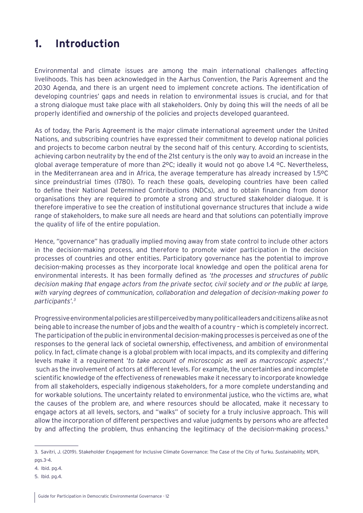### <span id="page-11-0"></span>**1. Introduction**

Environmental and climate issues are among the main international challenges affecting livelihoods. This has been acknowledged in the Aarhus Convention, the Paris Agreement and the 2030 Agenda, and there is an urgent need to implement concrete actions. The identification of developing countries' gaps and needs in relation to environmental issues is crucial, and for that a strong dialogue must take place with all stakeholders. Only by doing this will the needs of all be properly identified and ownership of the policies and projects developed guaranteed.

As of today, the Paris Agreement is the major climate international agreement under the United Nations, and subscribing countries have expressed their commitment to develop national policies and projects to become carbon neutral by the second half of this century. According to scientists, achieving carbon neutrality by the end of the 21st century is the only way to avoid an increase in the global average temperature of more than 2ºC; ideally it would not go above 1.4 ºC. Nevertheless, in the Mediterranean area and in Africa, the average temperature has already increased by 1.5ºC since preindustrial times (1780). To reach these goals, developing countries have been called to define their National Determined Contributions (NDCs), and to obtain financing from donor organisations they are required to promote a strong and structured stakeholder dialogue. It is therefore imperative to see the creation of institutional governance structures that include a wide range of stakeholders, to make sure all needs are heard and that solutions can potentially improve the quality of life of the entire population.

Hence, "governance" has gradually implied moving away from state control to include other actors in the decision-making process, and therefore to promote wider participation in the decision processes of countries and other entities. Participatory governance has the potential to improve decision-making processes as they incorporate local knowledge and open the political arena for environmental interests. It has been formally defined as *'the processes and structures of public decision making that engage actors from the private sector, civil society and or the public at large, with varying degrees of communication, collaboration and delegation of decision-making power to participants'.3*

Progressive environmental policies are still perceived by many political leaders and citizens alike as not being able to increase the number of jobs and the wealth of a country – which is completely incorrect. The participation of the public in environmental decision-making processes is perceived as one of the responses to the general lack of societal ownership, effectiveness, and ambition of environmental policy. In fact, climate change is a global problem with local impacts, and its complexity and differing levels make it a requirement '*to take account of microscopic as well as macroscopic aspects*',4 such as the involvement of actors at different levels. For example, the uncertainties and incomplete scientific knowledge of the effectiveness of renewables make it necessary to incorporate knowledge from all stakeholders, especially indigenous stakeholders, for a more complete understanding and for workable solutions. The uncertainty related to environmental justice, who the victims are, what the causes of the problem are, and where resources should be allocated, make it necessary to engage actors at all levels, sectors, and "walks" of society for a truly inclusive approach. This will allow the incorporation of different perspectives and value judgments by persons who are affected by and affecting the problem, thus enhancing the legitimacy of the decision-making process.<sup>5</sup>

4. Ibid. pg.4.

<sup>3.</sup> Savitri, J. (2019). Stakeholder Engagement for Inclusive Climate Governance: The Case of the City of Turku. *Sustainability,* MDPI, pgs.3-4.

<sup>5.</sup> Ibid. pg.4.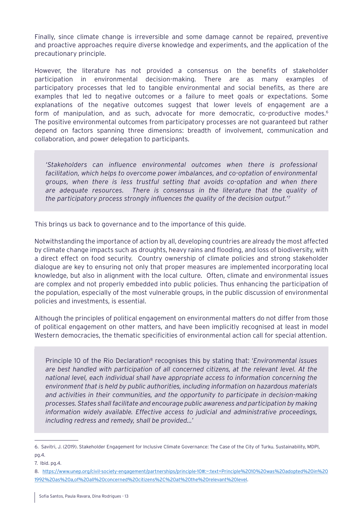Finally, since climate change is irreversible and some damage cannot be repaired, preventive and proactive approaches require diverse knowledge and experiments, and the application of the precautionary principle.

However, the literature has not provided a consensus on the benefits of stakeholder participation in environmental decision-making. There are as many examples of participatory processes that led to tangible environmental and social benefits, as there are examples that led to negative outcomes or a failure to meet goals or expectations. Some explanations of the negative outcomes suggest that lower levels of engagement are a form of manipulation, and as such, advocate for more democratic, co-productive modes.<sup>6</sup> The positive environmental outcomes from participatory processes are not guaranteed but rather depend on factors spanning three dimensions: breadth of involvement, communication and collaboration, and power delegation to participants.

*'Stakeholders can influence environmental outcomes when there is professional facilitation, which helps to overcome power imbalances, and co-optation of environmental groups, when there is less trustful setting that avoids co-optation and when there are adequate resources. There is consensus in the literature that the quality of the participatory process strongly influences the quality of the decision output.'7*

This brings us back to governance and to the importance of this guide.

Notwithstanding the importance of action by all, developing countries are already the most affected by climate change impacts such as droughts, heavy rains and flooding, and loss of biodiversity, with a direct effect on food security. Country ownership of climate policies and strong stakeholder dialogue are key to ensuring not only that proper measures are implemented incorporating local knowledge, but also in alignment with the local culture. Often, climate and environmental issues are complex and not properly embedded into public policies. Thus enhancing the participation of the population, especially of the most vulnerable groups, in the public discussion of environmental policies and investments, is essential.

Although the principles of political engagement on environmental matters do not differ from those of political engagement on other matters, and have been implicitly recognised at least in model Western democracies, the thematic specificities of environmental action call for special attention.

Principle 10 of the Rio Declaration<sup>8</sup> recognises this by stating that: '*Environmental issues are best handled with participation of all concerned citizens, at the relevant level. At the national level, each individual shall have appropriate access to information concerning the environment that is held by public authorities, including information on hazardous materials and activities in their communities, and the opportunity to participate in decision-making processes. States shall facilitate and encourage public awareness and participation by making information widely available. Effective access to judicial and administrative proceedings, including redress and remedy, shall be provided...*'

<sup>6.</sup> Savitri, J. (2019). Stakeholder Engagement for Inclusive Climate Governance: The Case of the City of Turku. Sustainability, MDPI, pg.4.

<sup>7.</sup> Ibid. pg.4.

<sup>8.</sup> [https://www.unep.org/civil-society-engagement/partnerships/principle-10#:~:text=Principle%2010%20was%20adopted%20in%20](https://www.unep.org/civil-society-engagement/partnerships/principle-10#:~:text=Principle%2010%20was) [1992%20as%20a,of%20all%20concerned%20citizens%2C%20at%20the%20relevant%20level](https://www.unep.org/civil-society-engagement/partnerships/principle-10#:~:text=Principle%2010%20was).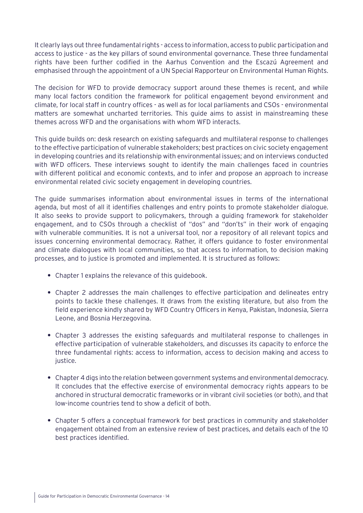It clearly lays out three fundamental rights - access to information, access to public participation and access to justice - as the key pillars of sound environmental governance. These three fundamental rights have been further codified in the Aarhus Convention and the Escazú Agreement and emphasised through the appointment of a UN Special Rapporteur on Environmental Human Rights.

The decision for WFD to provide democracy support around these themes is recent, and while many local factors condition the framework for political engagement beyond environment and climate, for local staff in country offices - as well as for local parliaments and CSOs - environmental matters are somewhat uncharted territories. This guide aims to assist in mainstreaming these themes across WFD and the organisations with whom WFD interacts.

This guide builds on: desk research on existing safeguards and multilateral response to challenges to the effective participation of vulnerable stakeholders; best practices on civic society engagement in developing countries and its relationship with environmental issues; and on interviews conducted with WFD officers. These interviews sought to identify the main challenges faced in countries with different political and economic contexts, and to infer and propose an approach to increase environmental related civic society engagement in developing countries.

The guide summarises information about environmental issues in terms of the international agenda, but most of all it identifies challenges and entry points to promote stakeholder dialogue. It also seeks to provide support to policymakers, through a guiding framework for stakeholder engagement, and to CSOs through a checklist of "dos" and "don'ts" in their work of engaging with vulnerable communities. It is not a universal tool, nor a repository of all relevant topics and issues concerning environmental democracy. Rather, it offers guidance to foster environmental and climate dialogues with local communities, so that access to information, to decision making processes, and to justice is promoted and implemented. It is structured as follows:

- **•** Chapter 1 explains the relevance of this guidebook.
- **•** Chapter 2 addresses the main challenges to effective participation and delineates entry points to tackle these challenges. It draws from the existing literature, but also from the field experience kindly shared by WFD Country Officers in Kenya, Pakistan, Indonesia, Sierra Leone, and Bosnia Herzegovina.
- **•** Chapter 3 addresses the existing safeguards and multilateral response to challenges in effective participation of vulnerable stakeholders, and discusses its capacity to enforce the three fundamental rights: access to information, access to decision making and access to justice.
- **•** Chapter 4 digs into the relation between government systems and environmental democracy. It concludes that the effective exercise of environmental democracy rights appears to be anchored in structural democratic frameworks or in vibrant civil societies (or both), and that low-income countries tend to show a deficit of both.
- **•** Chapter 5 offers a conceptual framework for best practices in community and stakeholder engagement obtained from an extensive review of best practices, and details each of the 10 best practices identified.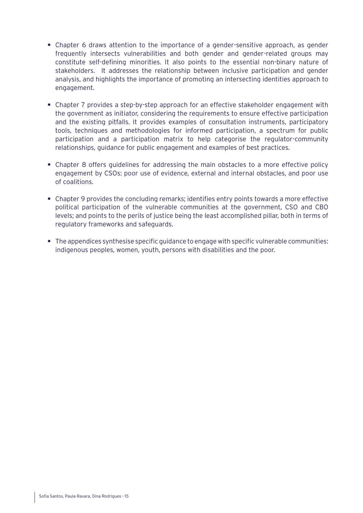- **•** Chapter 6 draws attention to the importance of a gender-sensitive approach, as gender frequently intersects vulnerabilities and both gender and gender-related groups may constitute self-defining minorities. It also points to the essential non-binary nature of stakeholders. It addresses the relationship between inclusive participation and gender analysis, and highlights the importance of promoting an intersecting identities approach to engagement.
- **•** Chapter 7 provides a step-by-step approach for an effective stakeholder engagement with the government as initiator, considering the requirements to ensure effective participation and the existing pitfalls. It provides examples of consultation instruments, participatory tools, techniques and methodologies for informed participation, a spectrum for public participation and a participation matrix to help categorise the regulator-community relationships, guidance for public engagement and examples of best practices.
- **•** Chapter 8 offers guidelines for addressing the main obstacles to a more effective policy engagement by CSOs: poor use of evidence, external and internal obstacles, and poor use of coalitions.
- **•** Chapter 9 provides the concluding remarks; identifies entry points towards a more effective political participation of the vulnerable communities at the government, CSO and CBO levels; and points to the perils of justice being the least accomplished pillar, both in terms of regulatory frameworks and safeguards.
- **•** The appendices synthesise specific guidance to engage with specific vulnerable communities: indigenous peoples, women, youth, persons with disabilities and the poor.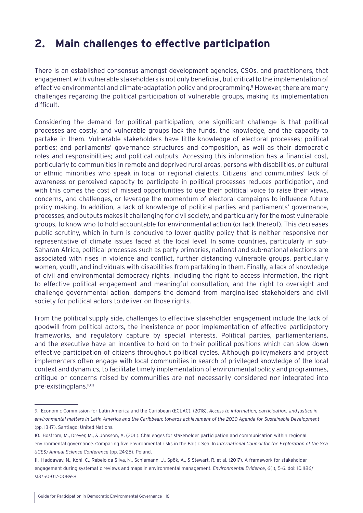### <span id="page-15-0"></span>**2. Main challenges to effective participation**

There is an established consensus amongst development agencies, CSOs, and practitioners, that engagement with vulnerable stakeholders is not only beneficial, but critical to the implementation of effective environmental and climate-adaptation policy and programming.<sup>9</sup> However, there are many challenges regarding the political participation of vulnerable groups, making its implementation difficult.

Considering the demand for political participation, one significant challenge is that political processes are costly, and vulnerable groups lack the funds, the knowledge, and the capacity to partake in them. Vulnerable stakeholders have little knowledge of electoral processes; political parties; and parliaments' governance structures and composition, as well as their democratic roles and responsibilities; and political outputs. Accessing this information has a financial cost, particularly to communities in remote and deprived rural areas, persons with disabilities, or cultural or ethnic minorities who speak in local or regional dialects. Citizens' and communities' lack of awareness or perceived capacity to participate in political processes reduces participation, and with this comes the cost of missed opportunities to use their political voice to raise their views, concerns, and challenges, or leverage the momentum of electoral campaigns to influence future policy making. In addition, a lack of knowledge of political parties and parliaments' governance, processes, and outputs makes it challenging for civil society, and particularly for the most vulnerable groups, to know who to hold accountable for environmental action (or lack thereof). This decreases public scrutiny, which in turn is conducive to lower quality policy that is neither responsive nor representative of climate issues faced at the local level. In some countries, particularly in sub-Saharan Africa, political processes such as party primaries, national and sub-national elections are associated with rises in violence and conflict, further distancing vulnerable groups, particularly women, youth, and individuals with disabilities from partaking in them. Finally, a lack of knowledge of civil and environmental democracy rights, including the right to access information, the right to effective political engagement and meaningful consultation, and the right to oversight and challenge governmental action, dampens the demand from marginalised stakeholders and civil society for political actors to deliver on those rights.

From the political supply side, challenges to effective stakeholder engagement include the lack of goodwill from political actors, the inexistence or poor implementation of effective participatory frameworks, and regulatory capture by special interests. Political parties, parliamentarians, and the executive have an incentive to hold on to their political positions which can slow down effective participation of citizens throughout political cycles. Although policymakers and project implementers often engage with local communities in search of privileged knowledge of the local context and dynamics, to facilitate timely implementation of environmental policy and programmes, critique or concerns raised by communities are not necessarily considered nor integrated into pre-existingplans.10,11

<sup>9.</sup> Economic Commission for Latin America and the Caribbean (ECLAC). (2018). *Access to information, participation, and justice in environmental matters in Latin America and the Caribbean: towards achievement of the 2030 Agenda for Sustainable Development*  (pp. 13-17). Santiago: United Nations.

<sup>10.</sup> Boström, M., Dreyer, M., & Jönsson, A. (2011). Challenges for stakeholder participation and communication within regional environmental governance. Comparing five environmental risks in the Baltic Sea. In *International Council for the Exploration of the Sea (ICES) Annual Science Conference* (pp. 24-25). Poland.

<sup>11.</sup> Haddaway, N., Kohl, C., Rebelo da Silva, N., Schiemann, J., Spök, A., & Stewart, R. et al. (2017). A framework for stakeholder engagement during systematic reviews and maps in environmental management. *Environmental Evidence*, 6(1), 5-6. doi: 10.1186/ s13750-017-0089-8.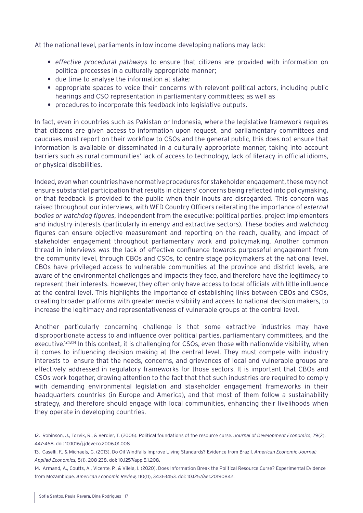At the national level, parliaments in low income developing nations may lack:

- **•** *effective procedural pathways* to ensure that citizens are provided with information on political processes in a culturally appropriate manner;
- **•** due time to analyse the information at stake;
- **•** appropriate spaces to voice their concerns with relevant political actors, including public hearings and CSO representation in parliamentary committees; as well as
- **•** procedures to incorporate this feedback into legislative outputs.

In fact, even in countries such as Pakistan or Indonesia, where the legislative framework requires that citizens are given access to information upon request, and parliamentary committees and caucuses must report on their workflow to CSOs and the general public, this does not ensure that information is available or disseminated in a culturally appropriate manner, taking into account barriers such as rural communities' lack of access to technology, lack of literacy in official idioms, or physical disabilities.

Indeed, even when countries have normative procedures for stakeholder engagement, these may not ensure substantial participation that results in citizens' concerns being reflected into policymaking, or that feedback is provided to the public when their inputs are disregarded. This concern was raised throughout our interviews, with WFD Country Officers reiterating the importance of *external bodies or watchdog figures*, independent from the executive: political parties, project implementers and industry-interests (particularly in energy and extractive sectors). These bodies and watchdog figures can ensure objective measurement and reporting on the reach, quality, and impact of stakeholder engagement throughout parliamentary work and policymaking. Another common thread in interviews was the lack of effective confluence towards purposeful engagement from the community level, through CBOs and CSOs, to centre stage policymakers at the national level. CBOs have privileged access to vulnerable communities at the province and district levels, are aware of the environmental challenges and impacts they face, and therefore have the legitimacy to represent their interests. However, they often only have access to local officials with little influence at the central level. This highlights the importance of establishing links between CBOs and CSOs, creating broader platforms with greater media visibility and access to national decision makers, to increase the legitimacy and representativeness of vulnerable groups at the central level.

Another particularly concerning challenge is that some extractive industries may have disproportionate access to and influence over political parties, parliamentary committees, and the executive.12,13,14 In this context, it is challenging for CSOs, even those with nationwide visibility, when it comes to influencing decision making at the central level. They must compete with industry interests to ensure that the needs, concerns, and grievances of local and vulnerable groups are effectively addressed in regulatory frameworks for those sectors. It is important that CBOs and CSOs work together, drawing attention to the fact that that such industries are required to comply with demanding environmental legislation and stakeholder engagement frameworks in their headquarters countries (in Europe and America), and that most of them follow a sustainability strategy, and therefore should engage with local communities, enhancing their livelihoods when they operate in developing countries.

<sup>12.</sup> Robinson, J., Torvik, R., & Verdier, T. (2006). Political foundations of the resource curse. *Journal of Development Economics*, 79(2), 447-468. doi: 10.1016/j.jdeveco.2006.01.008

<sup>13.</sup> Caselli, F., & Michaels, G. (2013). Do Oil Windfalls Improve Living Standards? Evidence from Brazil. *American Economic Journal: Applied Economics,* 5(1), 208-238. doi: 10.1257/app.5.1.208.

<sup>14.</sup> Armand, A., Coutts, A., Vicente, P., & Vilela, I. (2020). Does Information Break the Political Resource Curse? Experimental Evidence from Mozambique. *American Economic Review,* 110(11), 3431-3453. doi: 10.1257/aer.20190842.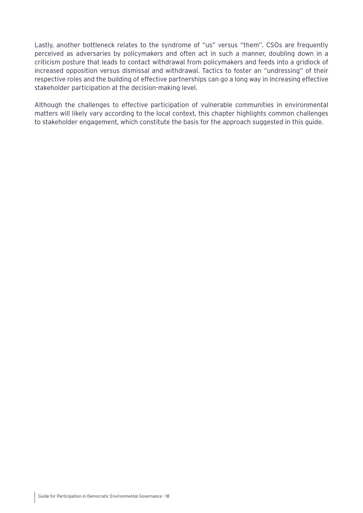Lastly, another bottleneck relates to the syndrome of "us" versus "them". CSOs are frequently perceived as adversaries by policymakers and often act in such a manner, doubling down in a criticism posture that leads to contact withdrawal from policymakers and feeds into a gridlock of increased opposition versus dismissal and withdrawal. Tactics to foster an "undressing" of their respective roles and the building of effective partnerships can go a long way in increasing effective stakeholder participation at the decision-making level.

Although the challenges to effective participation of vulnerable communities in environmental matters will likely vary according to the local context, this chapter highlights common challenges to stakeholder engagement, which constitute the basis for the approach suggested in this guide.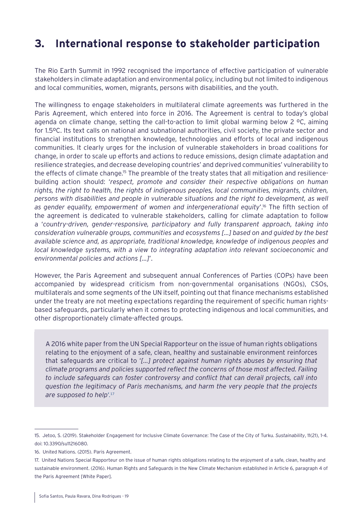### <span id="page-18-0"></span>**3. International response to stakeholder participation**

The Rio Earth Summit in 1992 recognised the importance of effective participation of vulnerable stakeholders in climate adaptation and environmental policy, including but not limited to indigenous and local communities, women, migrants, persons with disabilities, and the youth.

The willingness to engage stakeholders in multilateral climate agreements was furthered in the Paris Agreement, which entered into force in 2016. The Agreement is central to today's global agenda on climate change, setting the call-to-action to limit global warming below 2 ºC, aiming for 1.5ºC. Its text calls on national and subnational authorities, civil society, the private sector and financial institutions to strengthen knowledge, technologies and efforts of local and indigenous communities. It clearly urges for the inclusion of vulnerable stakeholders in broad coalitions for change, in order to scale up efforts and actions to reduce emissions, design climate adaptation and resilience strategies, and decrease developing countries' and deprived communities' vulnerability to the effects of climate change.15 The preamble of the treaty states that all mitigation and resiliencebuilding action should: '*respect, promote and consider their respective obligations on human rights, the right to health, the rights of indigenous peoples, local communities, migrants, children, persons with disabilities and people in vulnerable situations and the right to development, as well as gender equality, empowerment of women and intergenerational equity*'.16 The fifth section of the agreement is dedicated to vulnerable stakeholders, calling for climate adaptation to follow a '*country-driven, gender-responsive, participatory and fully transparent approach, taking into consideration vulnerable groups, communities and ecosystems […] based on and guided by the best available science and, as appropriate, traditional knowledge, knowledge of indigenous peoples and local knowledge systems, with a view to integrating adaptation into relevant socioeconomic and environmental policies and actions [...]*'.

However, the Paris Agreement and subsequent annual Conferences of Parties (COPs) have been accompanied by widespread criticism from non-governmental organisations (NGOs), CSOs, multilaterals and some segments of the UN itself, pointing out that finance mechanisms established under the treaty are not meeting expectations regarding the requirement of specific human rightsbased safeguards, particularly when it comes to protecting indigenous and local communities, and other disproportionately climate-affected groups.

A 2016 white paper from the UN Special Rapporteur on the issue of human rights obligations relating to the enjoyment of a safe, clean, healthy and sustainable environment reinforces that safeguards are critical to '*[…] protect against human rights abuses by ensuring that climate programs and policies supported reflect the concerns of those most affected. Failing to include safeguards can foster controversy and conflict that can derail projects, call into question the legitimacy of Paris mechanisms, and harm the very people that the projects are supposed to help*'.17

<sup>15.</sup> Jetoo, S. (2019). Stakeholder Engagement for Inclusive Climate Governance: The Case of the City of Turku. *Sustainability*, 11(21), 1-4. doi: 10.3390/su11216080.

<sup>16.</sup> United Nations. (2015). Paris Agreement.

<sup>17.</sup> United Nations Special Rapporteur on the issue of human rights obligations relating to the enjoyment of a safe, clean, healthy and sustainable environment. (2016). Human Rights and Safeguards in the New Climate Mechanism established in Article 6, paragraph 4 of the Paris Agreement [White Paper].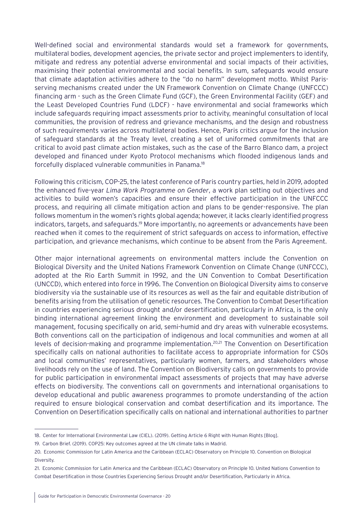Well-defined social and environmental standards would set a framework for governments, multilateral bodies, development agencies, the private sector and project implementers to identify, mitigate and redress any potential adverse environmental and social impacts of their activities, maximising their potential environmental and social benefits. In sum, safeguards would ensure that climate adaptation activities adhere to the "do no harm" development motto. Whilst Parisserving mechanisms created under the UN Framework Convention on Climate Change (UNFCCC) financing arm - such as the Green Climate Fund (GCF), the Green Environmental Facility (GEF) and the Least Developed Countries Fund (LDCF) - have environmental and social frameworks which include safeguards requiring impact assessments prior to activity, meaningful consultation of local communities, the provision of redress and grievance mechanisms, and the design and robustness of such requirements varies across multilateral bodies. Hence, Paris critics argue for the inclusion of safeguard standards at the Treaty level, creating a set of uniformed commitments that are critical to avoid past climate action mistakes, such as the case of the Barro Blanco dam, a project developed and financed under Kyoto Protocol mechanisms which flooded indigenous lands and forcefully displaced vulnerable communities in Panama.18

Following this criticism, COP-25, the latest conference of Paris country parties, held in 2019, adopted the enhanced five-year *Lima Work Programme on Gender*, a work plan setting out objectives and activities to build women's capacities and ensure their effective participation in the UNFCCC process, and requiring all climate mitigation action and plans to be gender-responsive. The plan follows momentum in the women's rights global agenda; however, it lacks clearly identified progress indicators, targets, and safeguards.<sup>19</sup> More importantly, no agreements or advancements have been reached when it comes to the requirement of strict safeguards on access to information, effective participation, and grievance mechanisms, which continue to be absent from the Paris Agreement.

Other major international agreements on environmental matters include the Convention on Biological Diversity and the United Nations Framework Convention on Climate Change (UNFCCC), adopted at the Rio Earth Summit in 1992, and the UN Convention to Combat Desertification (UNCCD), which entered into force in 1996. The Convention on Biological Diversity aims to conserve biodiversity via the sustainable use of its resources as well as the fair and equitable distribution of benefits arising from the utilisation of genetic resources. The Convention to Combat Desertification in countries experiencing serious drought and/or desertification, particularly in Africa, is the only binding international agreement linking the environment and development to sustainable soil management, focusing specifically on arid, semi-humid and dry areas with vulnerable ecosystems. Both conventions call on the participation of indigenous and local communities and women at all levels of decision-making and programme implementation.20,21 The Convention on Desertification specifically calls on national authorities to facilitate access to appropriate information for CSOs and local communities' representatives, particularly women, farmers, and stakeholders whose livelihoods rely on the use of land. The Convention on Biodiversity calls on governments to provide for public participation in environmental impact assessments of projects that may have adverse effects on biodiversity. The conventions call on governments and international organisations to develop educational and public awareness programmes to promote understanding of the action required to ensure biological conservation and combat desertification and its importance. The Convention on Desertification specifically calls on national and international authorities to partner

<sup>18.</sup> Center for International Environmental Law (CIEL). (2019). Getting Article 6 Right with Human Rights [Blog].

<sup>19.</sup> Carbon Brief. (2019). COP25: Key outcomes agreed at the UN climate talks in Madrid.

<sup>20.</sup> Economic Commission for Latin America and the Caribbean (ECLAC) Observatory on Principle 10. Convention on Biological Diversity.

<sup>21.</sup> Economic Commission for Latin America and the Caribbean (ECLAC) Observatory on Principle 10. United Nations Convention to Combat Desertification in those Countries Experiencing Serious Drought and/or Desertification, Particularly in Africa.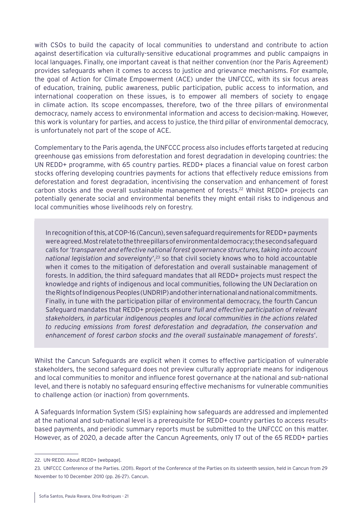with CSOs to build the capacity of local communities to understand and contribute to action against desertification via culturally-sensitive educational programmes and public campaigns in local languages. Finally, one important caveat is that neither convention (nor the Paris Agreement) provides safeguards when it comes to access to justice and grievance mechanisms. For example, the goal of Action for Climate Empowerment (ACE) under the UNFCCC, with its six focus areas of education, training, public awareness, public participation, public access to information, and international cooperation on these issues, is to empower all members of society to engage in climate action. Its scope encompasses, therefore, two of the three pillars of environmental democracy, namely access to environmental information and access to decision-making. However, this work is voluntary for parties, and access to justice, the third pillar of environmental democracy, is unfortunately not part of the scope of ACE.

Complementary to the Paris agenda, the UNFCCC process also includes efforts targeted at reducing greenhouse gas emissions from deforestation and forest degradation in developing countries: the UN REDD+ programme, with 65 country parties. REDD+ places a financial value on forest carbon stocks offering developing countries payments for actions that effectively reduce emissions from deforestation and forest degradation, incentivising the conservation and enhancement of forest carbon stocks and the overall sustainable management of forests.22 Whilst REDD+ projects can potentially generate social and environmental benefits they might entail risks to indigenous and local communities whose livelihoods rely on forestry.

In recognition of this, at COP-16 (Cancun), seven safeguard requirements for REDD+ payments were agreed. Most relate to the three pillars of environmental democracy; the second safeguard calls for '*transparent and effective national forest governance structures, taking into account national legislation and sovereignty'*,<sup>23</sup> so that civil society knows who to hold accountable when it comes to the mitigation of deforestation and overall sustainable management of forests. In addition, the third safeguard mandates that all REDD+ projects must respect the knowledge and rights of indigenous and local communities, following the UN Declaration on the Rights of Indigenous Peoples (UNDRIP) and other international and national commitments. Finally, in tune with the participation pillar of environmental democracy, the fourth Cancun Safeguard mandates that REDD+ projects ensure '*full and effective participation of relevant stakeholders, in particular indigenous peoples and local communities in the actions related to reducing emissions from forest deforestation and degradation, the conservation and enhancement of forest carbon stocks and the overall sustainable management of forests*'.

Whilst the Cancun Safeguards are explicit when it comes to effective participation of vulnerable stakeholders, the second safeguard does not preview culturally appropriate means for indigenous and local communities to monitor and influence forest governance at the national and sub-national level, and there is notably no safeguard ensuring effective mechanisms for vulnerable communities to challenge action (or inaction) from governments.

A Safeguards Information System (SIS) explaining how safeguards are addressed and implemented at the national and sub-national level is a prerequisite for REDD+ country parties to access resultsbased payments, and periodic summary reports must be submitted to the UNFCCC on this matter. However, as of 2020, a decade after the Cancun Agreements, only 17 out of the 65 REDD+ parties

<sup>22.</sup> UN-REDD. About REDD+ [webpage].

<sup>23.</sup> UNFCCC Conference of the Parties. (2011). Report of the Conference of the Parties on its sixteenth session, held in Cancun from 29 November to 10 December 2010 (pp. 26-27). Cancun.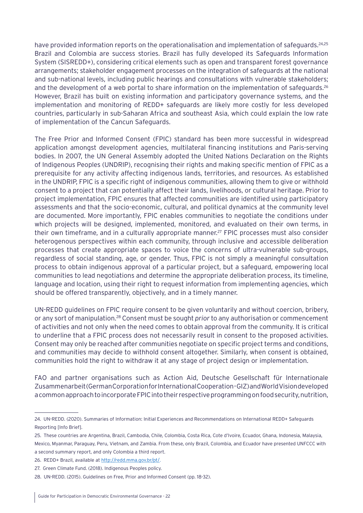have provided information reports on the operationalisation and implementation of safeguards.<sup>24,25</sup> Brazil and Colombia are success stories. Brazil has fully developed its Safeguards Information System (SISREDD+), considering critical elements such as open and transparent forest governance arrangements; stakeholder engagement processes on the integration of safeguards at the national and sub-national levels, including public hearings and consultations with vulnerable stakeholders; and the development of a web portal to share information on the implementation of safeguards.<sup>26</sup> However, Brazil has built on existing information and participatory governance systems, and the implementation and monitoring of REDD+ safeguards are likely more costly for less developed countries, particularly in sub-Saharan Africa and southeast Asia, which could explain the low rate of implementation of the Cancun Safeguards.

The Free Prior and Informed Consent (FPIC) standard has been more successful in widespread application amongst development agencies, multilateral financing institutions and Paris-serving bodies. In 2007, the UN General Assembly adopted the United Nations Declaration on the Rights of Indigenous Peoples (UNDRIP), recognising their rights and making specific mention of FPIC as a prerequisite for any activity affecting indigenous lands, territories, and resources. As established in the UNDRIP, FPIC is a specific right of indigenous communities, allowing them to give or withhold consent to a project that can potentially affect their lands, livelihoods, or cultural heritage. Prior to project implementation, FPIC ensures that affected communities are identified using participatory assessments and that the socio-economic, cultural, and political dynamics at the community level are documented. More importantly, FPIC enables communities to negotiate the conditions under which projects will be designed, implemented, monitored, and evaluated on their own terms, in their own timeframe, and in a culturally appropriate manner.<sup>27</sup> FPIC processes must also consider heterogenous perspectives within each community, through inclusive and accessible deliberation processes that create appropriate spaces to voice the concerns of ultra-vulnerable sub-groups, regardless of social standing, age, or gender. Thus, FPIC is not simply a meaningful consultation process to obtain indigenous approval of a particular project, but a safeguard, empowering local communities to lead negotiations and determine the appropriate deliberation process, its timeline, language and location, using their right to request information from implementing agencies, which should be offered transparently, objectively, and in a timely manner.

UN-REDD guidelines on FPIC require consent to be given voluntarily and without coercion, bribery, or any sort of manipulation.28 Consent must be sought *prior* to any authorisation or commencement of activities and not only when the need comes to obtain approval from the community. It is critical to underline that a FPIC process does not necessarily result in consent to the proposed activities. Consent may only be reached after communities negotiate on specific project terms and conditions, and communities may decide to withhold consent altogether. Similarly, when consent is obtained, communities hold the right to withdraw it at any stage of project design or implementation.

FAO and partner organisations such as Action Aid, Deutsche Gesellschaft für Internationale Zusammenarbeit (German Corporation for International Cooperation - GIZ) and World Vision developed a common approach to incorporate FPIC into their respective programming on food security, nutrition,

<sup>24.</sup> UN-REDD. (2020). Summaries of Information: Initial Experiences and Recommendations on International REDD+ Safeguards Reporting [Info Brief].

<sup>25.</sup> These countries are Argentina, Brazil, Cambodia, Chile, Colombia, Costa Rica, Cote d'Ivoire, Ecuador, Ghana, Indonesia, Malaysia, Mexico, Myanmar, Paraguay, Peru, Vietnam, and Zambia. From these, only Brazil, Colombia, and Ecuador have presented UNFCCC with a second summary report, and only Colombia a third report.

<sup>26.</sup> REDD+ Brazil, available at [http://redd.mma.gov.br/pt/.](http://redd.mma.gov.br/pt/)

<sup>27.</sup> Green Climate Fund. (2018). Indigenous Peoples policy.

<sup>28.</sup> UN-REDD. (2015). Guidelines on Free, Prior and Informed Consent (pp. 18-32).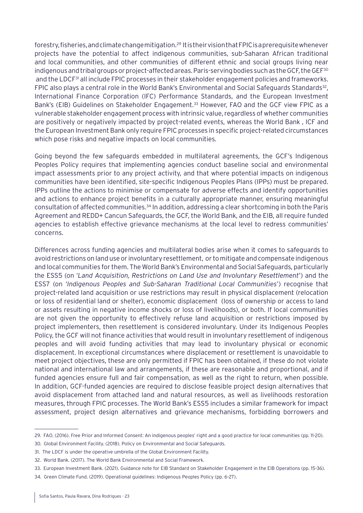forestry, fisheries, and climate change mitigation.29 It is their vision that FPIC is a prerequisite whenever projects have the potential to affect indigenous communities, sub-Saharan African traditional and local communities, and other communities of different ethnic and social groups living near indigenous and tribal groups or project-affected areas. Paris-serving bodies such as the GCF, the GEF $^{30}$ and the LDCF<sup>31</sup> all include FPIC processes in their stakeholder engagement policies and frameworks. FPIC also plays a central role in the World Bank's Environmental and Social Safeguards Standards<sup>32</sup>, International Finance Corporation (IFC) Performance Standards, and the European Investment Bank's (EIB) Guidelines on Stakeholder Engagement.<sup>33</sup> However, FAO and the GCF view FPIC as a vulnerable stakeholder engagement process with intrinsic value, regardless of whether communities are positively or negatively impacted by project-related events, whereas the World Bank , ICF and the European Investment Bank only require FPIC processes in specific project-related circumstances which pose risks and negative impacts on local communities.

Going beyond the few safeguards embedded in multilateral agreements, the GCF's Indigenous Peoples Policy requires that implementing agencies conduct baseline social and environmental impact assessments prior to any project activity, and that where potential impacts on indigenous communities have been identified, site-specific Indigenous Peoples Plans (IPPs) must be prepared. IPPs outline the actions to minimise or compensate for adverse effects and identify opportunities and actions to enhance project benefits in a culturally appropriate manner, ensuring meaningful consultation of affected communities.34 In addition, addressing a clear shortcoming in both the Paris Agreement and REDD+ Cancun Safeguards, the GCF, the World Bank, and the EIB, all require funded agencies to establish effective grievance mechanisms at the local level to redress communities' concerns.

Differences across funding agencies and multilateral bodies arise when it comes to safeguards to avoid restrictions on land use or involuntary resettlement, or to mitigate and compensate indigenous and local communities for them. The World Bank's Environmental and Social Safeguards, particularly the ESS5 (on '*Land Acquisition, Restrictions on Land Use and Involuntary Resettlement*') and the ESS7 (on '*Indigenous Peoples and Sub-Saharan Traditional Local Communities*') recognise that project-related land acquisition or use restrictions may result in physical displacement (relocation or loss of residential land or shelter), economic displacement (loss of ownership or access to land or assets resulting in negative income shocks or loss of livelihoods), or both. If local communities are not given the opportunity to effectively refuse land acquisition or restrictions imposed by project implementers, then resettlement is considered involuntary. Under its Indigenous Peoples Policy, the GCF will not finance activities that would result in involuntary resettlement of indigenous peoples and will avoid funding activities that may lead to involuntary physical or economic displacement. In exceptional circumstances where displacement or resettlement is unavoidable to meet project objectives, these are only permitted if FPIC has been obtained, if these do not violate national and international law and arrangements, if these are reasonable and proportional, and if funded agencies ensure full and fair compensation, as well as the right to return, when possible. In addition, GCF-funded agencies are required to disclose feasible project design alternatives that avoid displacement from attached land and natural resources, as well as livelihoods restoration measures, through FPIC processes. The World Bank's ESS5 includes a similar framework for impact assessment, project design alternatives and grievance mechanisms, forbidding borrowers and

<sup>29.</sup> FAO. (2016). Free Prior and Informed Consent: An indigenous peoples' right and a good practice for local communities (pp. 11-20).

<sup>30.</sup> Global Environment Facility. (2018). Policy on Environmental and Social Safeguards.

<sup>31.</sup> The LDCF is under the operative umbrella of the Global Environment Facility.

<sup>32.</sup> World Bank. (2017). The World Bank Environmental and Social Framework.

<sup>33.</sup> European Investment Bank. (2021). Guidance note for EIB Standard on Stakeholder Engagement in the EIB Operations (pp. 15-36).

<sup>34.</sup> Green Climate Fund. (2019). Operational guidelines: Indigenous Peoples Policy (pp. 6-27).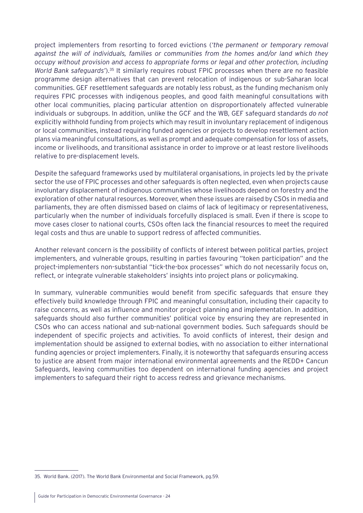project implementers from resorting to forced evictions (*'the permanent or temporary removal against the will of individuals, families or communities from the homes and/or land which they occupy without provision and access to appropriate forms or legal and other protection, including World Bank safeguards'*).35 It similarly requires robust FPIC processes when there are no feasible programme design alternatives that can prevent relocation of indigenous or sub-Saharan local communities. GEF resettlement safeguards are notably less robust, as the funding mechanism only requires FPIC processes with indigenous peoples, and good faith meaningful consultations with other local communities, placing particular attention on disproportionately affected vulnerable individuals or subgroups. In addition, unlike the GCF and the WB, GEF safeguard standards *do not* explicitly withhold funding from projects which may result in involuntary replacement of indigenous or local communities, instead requiring funded agencies or projects to develop resettlement action plans via meaningful consultations, as well as prompt and adequate compensation for loss of assets, income or livelihoods, and transitional assistance in order to improve or at least restore livelihoods relative to pre-displacement levels.

Despite the safeguard frameworks used by multilateral organisations, in projects led by the private sector the use of FPIC processes and other safeguards is often neglected, even when projects cause involuntary displacement of indigenous communities whose livelihoods depend on forestry and the exploration of other natural resources. Moreover, when these issues are raised by CSOs in media and parliaments, they are often dismissed based on claims of lack of legitimacy or representativeness, particularly when the number of individuals forcefully displaced is small. Even if there is scope to move cases closer to national courts, CSOs often lack the financial resources to meet the required legal costs and thus are unable to support redress of affected communities.

Another relevant concern is the possibility of conflicts of interest between political parties, project implementers, and vulnerable groups, resulting in parties favouring "token participation" and the project-implementers non-substantial "tick-the-box processes" which do not necessarily focus on, reflect, or integrate vulnerable stakeholders' insights into project plans or policymaking.

In summary, vulnerable communities would benefit from specific safeguards that ensure they effectively build knowledge through FPIC and meaningful consultation, including their capacity to raise concerns, as well as influence and monitor project planning and implementation. In addition, safeguards should also further communities' political voice by ensuring they are represented in CSOs who can access national and sub-national government bodies. Such safeguards should be independent of specific projects and activities. To avoid conflicts of interest, their design and implementation should be assigned to external bodies, with no association to either international funding agencies or project implementers. Finally, it is noteworthy that safeguards ensuring access to justice are absent from major international environmental agreements and the REDD+ Cancun Safeguards, leaving communities too dependent on international funding agencies and project implementers to safeguard their right to access redress and grievance mechanisms.

<sup>35.</sup> World Bank. (2017). The World Bank Environmental and Social Framework, pg.59.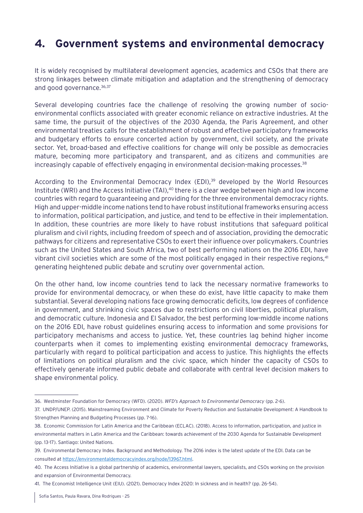### <span id="page-24-0"></span>**4. Government systems and environmental democracy**

It is widely recognised by multilateral development agencies, academics and CSOs that there are strong linkages between climate mitigation and adaptation and the strengthening of democracy and good governance. 36,37

Several developing countries face the challenge of resolving the growing number of socioenvironmental conflicts associated with greater economic reliance on extractive industries. At the same time, the pursuit of the objectives of the 2030 Agenda, the Paris Agreement, and other environmental treaties calls for the establishment of robust and effective participatory frameworks and budgetary efforts to ensure concerted action by government, civil society, and the private sector. Yet, broad-based and effective coalitions for change will only be possible as democracies mature, becoming more participatory and transparent, and as citizens and communities are increasingly capable of effectively engaging in environmental decision-making processes.<sup>38</sup>

According to the Environmental Democracy Index (EDI),<sup>39</sup> developed by the World Resources Institute (WRI) and the Access Initiative (TAI),<sup>40</sup> there is a clear wedge between high and low income countries with regard to guaranteeing and providing for the three environmental democracy rights. High and upper-middle income nations tend to have robust institutional frameworks ensuring access to information, political participation, and justice, and tend to be effective in their implementation. In addition, these countries are more likely to have robust institutions that safeguard political pluralism and civil rights, including freedom of speech and of association, providing the democratic pathways for citizens and representative CSOs to exert their influence over policymakers. Countries such as the United States and South Africa, two of best performing nations on the 2016 EDI, have vibrant civil societies which are some of the most politically engaged in their respective regions,<sup>41</sup> generating heightened public debate and scrutiny over governmental action.

On the other hand, low income countries tend to lack the necessary normative frameworks to provide for environmental democracy, or when these do exist, have little capacity to make them substantial. Several developing nations face growing democratic deficits, low degrees of confidence in government, and shrinking civic spaces due to restrictions on civil liberties, political pluralism, and democratic culture. Indonesia and El Salvador, the best performing low-middle income nations on the 2016 EDI, have robust guidelines ensuring access to information and some provisions for participatory mechanisms and access to justice. Yet, these countries lag behind higher income counterparts when it comes to implementing existing environmental democracy frameworks, particularly with regard to political participation and access to justice. This highlights the effects of limitations on political pluralism and the civic space, which hinder the capacity of CSOs to effectively generate informed public debate and collaborate with central level decision makers to shape environmental policy.

<sup>36.</sup> Westminster Foundation for Democracy (WFD). (2020). *WFD's Approach to Environmental Democracy* (pp. 2-6).

<sup>37.</sup> UNDP/UNEP. (2015). Mainstreaming Environment and Climate for Poverty Reduction and Sustainable Development: A Handbook to Strengthen Planning and Budgeting Processes (pp. 7-16).

<sup>38.</sup> Economic Commission for Latin America and the Caribbean (ECLAC). (2018). Access to information, participation, and justice in environmental matters in Latin America and the Caribbean: towards achievement of the 2030 Agenda for Sustainable Development (pp. 13-17). Santiago: United Nations.

<sup>39.</sup> Environmental Democracy Index. Background and Methodology. The 2016 index is the latest update of the EDI. Data can be consulted at <https://environmentaldemocracyindex.org/node/13967.html>.

<sup>40.</sup> The Access Initiative is a global partnership of academics, environmental lawyers, specialists, and CSOs working on the provision and expansion of Environmental Democracy.

<sup>41.</sup> The Economist Intelligence Unit (EIU). (2021). Democracy Index 2020: In sickness and in health? (pp. 26-54).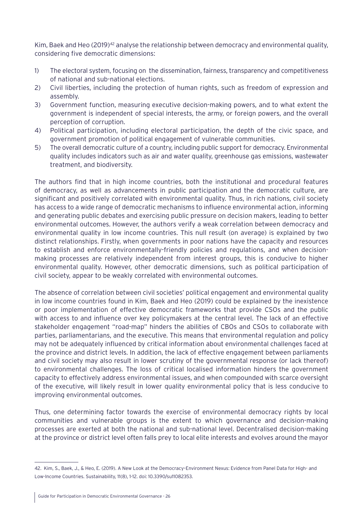Kim, Baek and Heo (2019)<sup>42</sup> analyse the relationship between democracy and environmental quality, considering five democratic dimensions:

- 1) The electoral system, focusing on the dissemination, fairness, transparency and competitiveness of national and sub-national elections.
- 2) Civil liberties, including the protection of human rights, such as freedom of expression and assembly.
- 3) Government function, measuring executive decision-making powers, and to what extent the government is independent of special interests, the army, or foreign powers, and the overall perception of corruption.
- 4) Political participation, including electoral participation, the depth of the civic space, and government promotion of political engagement of vulnerable communities.
- 5) The overall democratic culture of a country, including public support for democracy. Environmental quality includes indicators such as air and water quality, greenhouse gas emissions, wastewater treatment, and biodiversity.

The authors find that in high income countries, both the institutional and procedural features of democracy, as well as advancements in public participation and the democratic culture, are significant and positively correlated with environmental quality. Thus, in rich nations, civil society has access to a wide range of democratic mechanisms to influence environmental action, informing and generating public debates and exercising public pressure on decision makers, leading to better environmental outcomes. However, the authors verify a weak correlation between democracy and environmental quality in low income countries. This null result (on average) is explained by two distinct relationships. Firstly, when governments in poor nations have the capacity and resources to establish and enforce environmentally-friendly policies and regulations, and when decisionmaking processes are relatively independent from interest groups, this is conducive to higher environmental quality. However, other democratic dimensions, such as political participation of civil society, appear to be weakly correlated with environmental outcomes.

The absence of correlation between civil societies' political engagement and environmental quality in low income countries found in Kim, Baek and Heo (2019) could be explained by the inexistence or poor implementation of effective democratic frameworks that provide CSOs and the public with access to and influence over key policymakers at the central level. The lack of an effective stakeholder engagement "road-map" hinders the abilities of CBOs and CSOs to collaborate with parties, parliamentarians, and the executive. This means that environmental regulation and policy may not be adequately influenced by critical information about environmental challenges faced at the province and district levels. In addition, the lack of effective engagement between parliaments and civil society may also result in lower scrutiny of the governmental response (or lack thereof) to environmental challenges. The loss of critical localised information hinders the government capacity to effectively address environmental issues, and when compounded with scarce oversight of the executive, will likely result in lower quality environmental policy that is less conducive to improving environmental outcomes.

Thus, one determining factor towards the exercise of environmental democracy rights by local communities and vulnerable groups is the extent to which governance and decision-making processes are exerted at both the national and sub-national level. Decentralised decision-making at the province or district level often falls prey to local elite interests and evolves around the mayor

<sup>42.</sup> Kim, S., Baek, J., & Heo, E. (2019). A New Look at the Democracy–Environment Nexus: Evidence from Panel Data for High- and Low-Income Countries. Sustainability, 11(8), 1-12. doi: 10.3390/su11082353.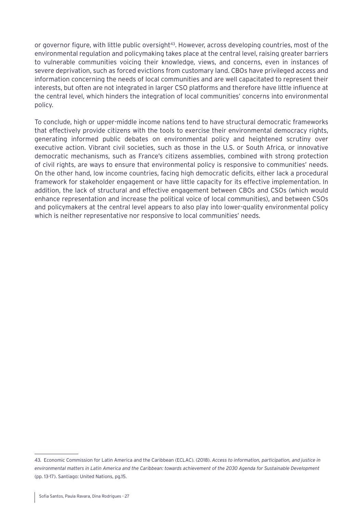or governor figure, with little public oversight<sup>43</sup>. However, across developing countries, most of the environmental regulation and policymaking takes place at the central level, raising greater barriers to vulnerable communities voicing their knowledge, views, and concerns, even in instances of severe deprivation, such as forced evictions from customary land. CBOs have privileged access and information concerning the needs of local communities and are well capacitated to represent their interests, but often are not integrated in larger CSO platforms and therefore have little influence at the central level, which hinders the integration of local communities' concerns into environmental policy.

To conclude, high or upper-middle income nations tend to have structural democratic frameworks that effectively provide citizens with the tools to exercise their environmental democracy rights, generating informed public debates on environmental policy and heightened scrutiny over executive action. Vibrant civil societies, such as those in the U.S. or South Africa, or innovative democratic mechanisms, such as France's citizens assemblies, combined with strong protection of civil rights, are ways to ensure that environmental policy is responsive to communities' needs. On the other hand, low income countries, facing high democratic deficits, either lack a procedural framework for stakeholder engagement or have little capacity for its effective implementation. In addition, the lack of structural and effective engagement between CBOs and CSOs (which would enhance representation and increase the political voice of local communities), and between CSOs and policymakers at the central level appears to also play into lower-quality environmental policy which is neither representative nor responsive to local communities' needs.

<sup>43.</sup> Economic Commission for Latin America and the Caribbean (ECLAC). (2018). *Access to information, participation, and justice in environmental matters in Latin America and the Caribbean: towards achievement of the 2030 Agenda for Sustainable Development* (pp. 13-17). Santiago: United Nations, pg.15.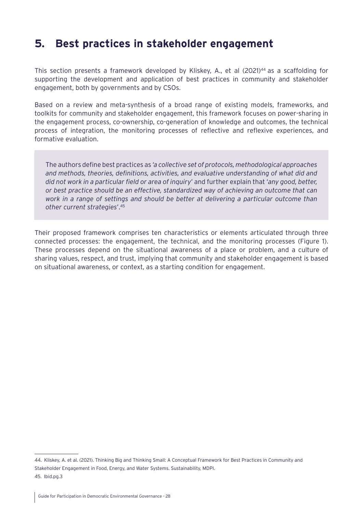### <span id="page-27-0"></span>**5. Best practices in stakeholder engagement**

This section presents a framework developed by Kliskey, A., et al (2021)<sup>44</sup> as a scaffolding for supporting the development and application of best practices in community and stakeholder engagement, both by governments and by CSOs.

Based on a review and meta-synthesis of a broad range of existing models, frameworks, and toolkits for community and stakeholder engagement, this framework focuses on power-sharing in the engagement process, co-ownership, co-generation of knowledge and outcomes, the technical process of integration, the monitoring processes of reflective and reflexive experiences, and formative evaluation.

The authors define best practices as *'a collective set of protocols, methodological approaches and methods, theories, definitions, activities, and evaluative understanding of what did and did not work in a particular field or area of inquiry*' and further explain that '*any good, better, or best practice should be an effective, standardized way of achieving an outcome that can work in a range of settings and should be better at delivering a particular outcome than other current strategies*'.45

Their proposed framework comprises ten characteristics or elements articulated through three connected processes: the engagement, the technical, and the monitoring processes (Figure 1). These processes depend on the situational awareness of a place or problem, and a culture of sharing values, respect, and trust, implying that community and stakeholder engagement is based on situational awareness, or context, as a starting condition for engagement.

<sup>44.</sup> Kliskey, A. et al. (2021). Thinking Big and Thinking Small: A Conceptual Framework for Best Practices in Community and Stakeholder Engagement in Food, Energy, and Water Systems. Sustainability, MDPI. 45. Ibid.pg.3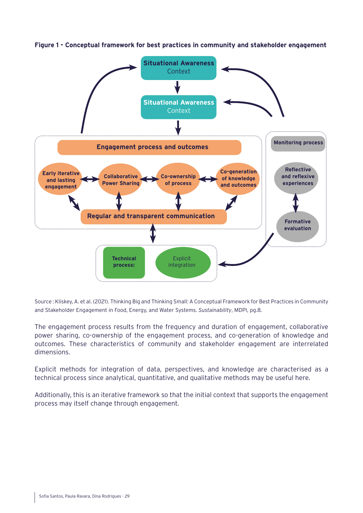

<span id="page-28-0"></span>**Figure 1 - Conceptual framework for best practices in community and stakeholder engagement**

Source : Kliskey, A. et al. (2021). Thinking Big and Thinking Small: A Conceptual Framework for Best Practices in Community and Stakeholder Engagement in Food, Energy, and Water Systems. *Sustainability*, MDPI, pg.8.

The engagement process results from the frequency and duration of engagement, collaborative power sharing, co-ownership of the engagement process, and co-generation of knowledge and outcomes. These characteristics of community and stakeholder engagement are interrelated dimensions.

Explicit methods for integration of data, perspectives, and knowledge are characterised as a technical process since analytical, quantitative, and qualitative methods may be useful here.

Additionally, this is an iterative framework so that the initial context that supports the engagement process may itself change through engagement.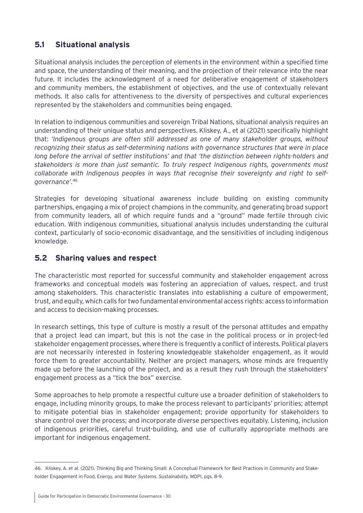### <span id="page-29-0"></span>**5.1 Situational analysis**

Situational analysis includes the perception of elements in the environment within a specified time and space, the understanding of their meaning, and the projection of their relevance into the near future. It includes the acknowledgment of a need for deliberative engagement of stakeholders and community members, the establishment of objectives, and the use of contextually relevant methods. It also calls for attentiveness to the diversity of perspectives and cultural experiences represented by the stakeholders and communities being engaged.

In relation to indigenous communities and sovereign Tribal Nations, situational analysis requires an understanding of their unique status and perspectives. Kliskey, A., et al (2021) specifically highlight that: *'Indigenous groups are often still addressed as one of many stakeholder groups, without recognizing their status as self-determining nations with governance structures that were in place long before the arrival of settler institutions' and that 'the distinction between rights-holders and stakeholders is more than just semantic. To truly respect Indigenous rights, governments must collaborate with Indigenous peoples in ways that recognise their sovereignty and right to selfgovernance'.*<sup>46</sup>

Strategies for developing situational awareness include building on existing community partnerships, engaging a mix of project champions in the community, and generating broad support from community leaders, all of which require funds and a "ground" made fertile through civic education. With indigenous communities, situational analysis includes understanding the cultural context, particularly of socio-economic disadvantage, and the sensitivities of including indigenous knowledge.

### **5.2 Sharing values and respect**

The characteristic most reported for successful community and stakeholder engagement across frameworks and conceptual models was fostering an appreciation of values, respect, and trust among stakeholders. This characteristic translates into establishing a culture of empowerment, trust, and equity, which calls for two fundamental environmental access rights: access to information and access to decision-making processes.

In research settings, this type of culture is mostly a result of the personal attitudes and empathy that a project lead can impart, but this is not the case in the political process or in project-led stakeholder engagement processes, where there is frequently a conflict of interests. Political players are not necessarily interested in fostering knowledgeable stakeholder engagement, as it would force them to greater accountability. Neither are project managers, whose minds are frequently made up before the launching of the project, and as a result they rush through the stakeholders' engagement process as a "tick the box" exercise.

Some approaches to help promote a respectful culture use a broader definition of stakeholders to engage, including minority groups, to make the process relevant to participants' priorities; attempt to mitigate potential bias in stakeholder engagement; provide opportunity for stakeholders to share control over the process; and incorporate diverse perspectives equitably. Listening, inclusion of indigenous priorities, careful trust-building, and use of culturally appropriate methods are important for indigenous engagement.

<sup>46.</sup> Kliskey, A. et al. (2021). Thinking Big and Thinking Small: A Conceptual Framework for Best Practices in Community and Stakeholder Engagement in Food, Energy, and Water Systems. *Sustainability,* MDPI, pgs. 8-9.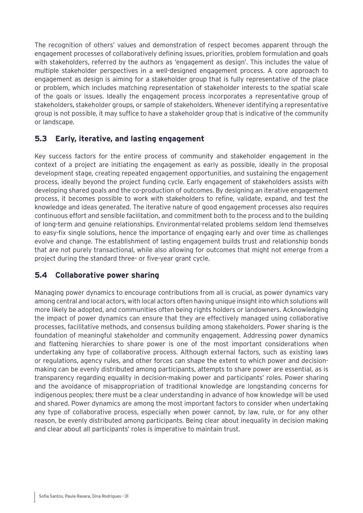<span id="page-30-0"></span>The recognition of others' values and demonstration of respect becomes apparent through the engagement processes of collaboratively defining issues, priorities, problem formulation and goals with stakeholders, referred by the authors as 'engagement as design'. This includes the value of multiple stakeholder perspectives in a well-designed engagement process. A core approach to engagement as design is aiming for a stakeholder group that is fully representative of the place or problem, which includes matching representation of stakeholder interests to the spatial scale of the goals or issues. Ideally the engagement process incorporates a representative group of stakeholders, stakeholder groups, or sample of stakeholders. Whenever identifying a representative group is not possible, it may suffice to have a stakeholder group that is indicative of the community or landscape.

### **5.3 Early, iterative, and lasting engagement**

Key success factors for the entire process of community and stakeholder engagement in the context of a project are initiating the engagement as early as possible, ideally in the proposal development stage, creating repeated engagement opportunities, and sustaining the engagement process, ideally beyond the project funding cycle. Early engagement of stakeholders assists with developing shared goals and the co-production of outcomes. By designing an iterative engagement process, it becomes possible to work with stakeholders to refine, validate, expand, and test the knowledge and ideas generated. The iterative nature of good engagement processes also requires continuous effort and sensible facilitation, and commitment both to the process and to the building of long-term and genuine relationships. Environmental-related problems seldom lend themselves to easy-fix single solutions, hence the importance of engaging early and over time as challenges evolve and change. The establishment of lasting engagement builds trust and relationship bonds that are not purely transactional, while also allowing for outcomes that might not emerge from a project during the standard three- or five-year grant cycle.

### **5.4 Collaborative power sharing**

Managing power dynamics to encourage contributions from all is crucial, as power dynamics vary among central and local actors, with local actors often having unique insight into which solutions will more likely be adopted, and communities often being rights holders or landowners. Acknowledging the impact of power dynamics can ensure that they are effectively managed using collaborative processes, facilitative methods, and consensus building among stakeholders. Power sharing is the foundation of meaningful stakeholder and community engagement. Addressing power dynamics and flattening hierarchies to share power is one of the most important considerations when undertaking any type of collaborative process. Although external factors, such as existing laws or regulations, agency rules, and other forces can shape the extent to which power and decisionmaking can be evenly distributed among participants, attempts to share power are essential, as is transparency regarding equality in decision-making power and participants' roles. Power sharing and the avoidance of misappropriation of traditional knowledge are longstanding concerns for indigenous peoples; there must be a clear understanding in advance of how knowledge will be used and shared. Power dynamics are among the most important factors to consider when undertaking any type of collaborative process, especially when power cannot, by law, rule, or for any other reason, be evenly distributed among participants. Being clear about inequality in decision making and clear about all participants' roles is imperative to maintain trust.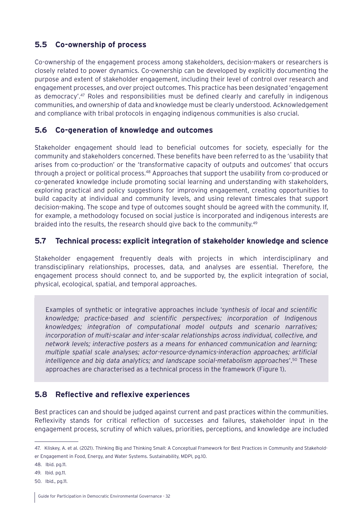### <span id="page-31-0"></span>**5.5 Co-ownership of process**

Co-ownership of the engagement process among stakeholders, decision-makers or researchers is closely related to power dynamics. Co-ownership can be developed by explicitly documenting the purpose and extent of stakeholder engagement, including their level of control over research and engagement processes, and over project outcomes. This practice has been designated 'engagement as democracy'.<sup>47</sup> Roles and responsibilities must be defined clearly and carefully in indigenous communities, and ownership of data and knowledge must be clearly understood. Acknowledgement and compliance with tribal protocols in engaging indigenous communities is also crucial.

### **5.6 Co-generation of knowledge and outcomes**

Stakeholder engagement should lead to beneficial outcomes for society, especially for the community and stakeholders concerned. These benefits have been referred to as the 'usability that arises from co-production' or the 'transformative capacity of outputs and outcomes' that occurs through a project or political process.<sup>48</sup> Approaches that support the usability from co-produced or co-generated knowledge include promoting social learning and understanding with stakeholders, exploring practical and policy suggestions for improving engagement, creating opportunities to build capacity at individual and community levels, and using relevant timescales that support decision-making. The scope and type of outcomes sought should be agreed with the community. If, for example, a methodology focused on social justice is incorporated and indigenous interests are braided into the results, the research should give back to the community.<sup>49</sup>

### **5.7 Technical process: explicit integration of stakeholder knowledge and science**

Stakeholder engagement frequently deals with projects in which interdisciplinary and transdisciplinary relationships, processes, data, and analyses are essential. Therefore, the engagement process should connect to, and be supported by, the explicit integration of social, physical, ecological, spatial, and temporal approaches.

Examples of synthetic or integrative approaches include '*synthesis of local and scientific knowledge; practice-based and scientific perspectives; incorporation of Indigenous knowledges; integration of computational model outputs and scenario narratives; incorporation of multi-scalar and inter-scalar relationships across individual, collective, and network levels; interactive posters as a means for enhanced communication and learning; multiple spatial scale analyses; actor-resource-dynamics-interaction approaches; artificial intelligence and big data analytics; and landscape social-metabolism approaches*'.50 These approaches are characterised as a technical process in the framework (Figure 1).

### **5.8 Reflective and reflexive experiences**

Best practices can and should be judged against current and past practices within the communities. Reflexivity stands for critical reflection of successes and failures, stakeholder input in the engagement process, scrutiny of which values, priorities, perceptions, and knowledge are included

<sup>47.</sup> Kliskey, A. et al. (2021). Thinking Big and Thinking Small: A Conceptual Framework for Best Practices in Community and Stakeholder Engagement in Food, Energy, and Water Systems. Sustainability, MDPI, pg.10.

<sup>48.</sup> Ibid. pg.11.

<sup>49.</sup> Ibid. pg.11.

<sup>50.</sup> Ibid., pg.11.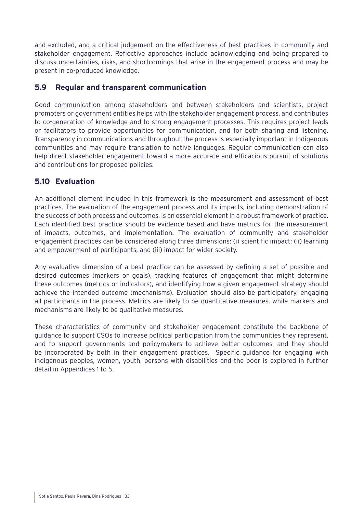<span id="page-32-0"></span>and excluded, and a critical judgement on the effectiveness of best practices in community and stakeholder engagement. Reflective approaches include acknowledging and being prepared to discuss uncertainties, risks, and shortcomings that arise in the engagement process and may be present in co-produced knowledge.

#### **5.9 Regular and transparent communication**

Good communication among stakeholders and between stakeholders and scientists, project promoters or government entities helps with the stakeholder engagement process, and contributes to co-generation of knowledge and to strong engagement processes. This requires project leads or facilitators to provide opportunities for communication, and for both sharing and listening. Transparency in communications and throughout the process is especially important in Indigenous communities and may require translation to native languages. Regular communication can also help direct stakeholder engagement toward a more accurate and efficacious pursuit of solutions and contributions for proposed policies.

### **5.10 Evaluation**

An additional element included in this framework is the measurement and assessment of best practices. The evaluation of the engagement process and its impacts, including demonstration of the success of both process and outcomes, is an essential element in a robust framework of practice. Each identified best practice should be evidence-based and have metrics for the measurement of impacts, outcomes, and implementation. The evaluation of community and stakeholder engagement practices can be considered along three dimensions: (i) scientific impact; (ii) learning and empowerment of participants, and (iii) impact for wider society.

Any evaluative dimension of a best practice can be assessed by defining a set of possible and desired outcomes (markers or goals), tracking features of engagement that might determine these outcomes (metrics or indicators), and identifying how a given engagement strategy should achieve the intended outcome (mechanisms). Evaluation should also be participatory, engaging all participants in the process. Metrics are likely to be quantitative measures, while markers and mechanisms are likely to be qualitative measures.

These characteristics of community and stakeholder engagement constitute the backbone of guidance to support CSOs to increase political participation from the communities they represent, and to support governments and policymakers to achieve better outcomes, and they should be incorporated by both in their engagement practices. Specific guidance for engaging with indigenous peoples, women, youth, persons with disabilities and the poor is explored in further detail in Appendices 1 to 5.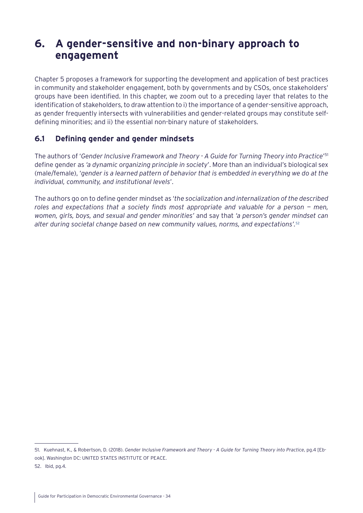### <span id="page-33-0"></span>**6. A gender-sensitive and non-binary approach to engagement**

Chapter 5 proposes a framework for supporting the development and application of best practices in community and stakeholder engagement, both by governments and by CSOs, once stakeholders' groups have been identified. In this chapter, we zoom out to a preceding layer that relates to the identification of stakeholders, to draw attention to i) the importance of a gender-sensitive approach, as gender frequently intersects with vulnerabilities and gender-related groups may constitute selfdefining minorities; and ii) the essential non-binary nature of stakeholders.

### **6.1 Defining gender and gender mindsets**

The authors of '*Gender Inclusive Framework and Theory - A Guide for Turning Theory into Practice*' 51 define gender as *'a dynamic organizing principle in society*'. More than an individual's biological sex (male/female), '*gender is a learned pattern of behavior that is embedded in everything we do at the individual, community, and institutional levels*'.

The authors go on to define gender mindset as '*the socialization and internalization of the described roles and expectations that a society finds most appropriate and valuable for a person — men, women, girls, boys, and sexual and gender minorities'* and say that *'a person's gender mindset can alter during societal change based on new community values, norms, and expectations'.*<sup>52</sup>

<sup>51.</sup> Kuehnast, K., & Robertson, D. (2018). *Gender Inclusive Framework and Theory - A Guide for Turning Theory into Practice*, pg.4 [Ebook]. Washington DC: UNITED STATES INSTITUTE OF PEACE.

<sup>52.</sup> Ibid, pg.4.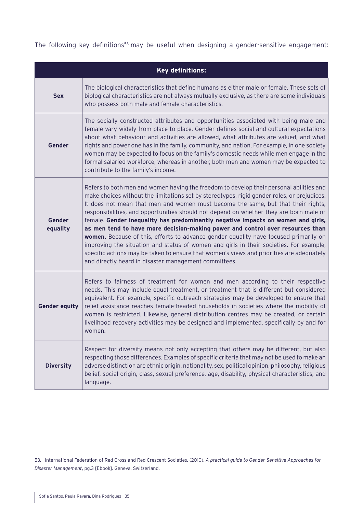The following key definitions<sup>53</sup> may be useful when designing a gender-sensitive engagement:

| <b>Key definitions:</b>   |                                                                                                                                                                                                                                                                                                                                                                                                                                                                                                                                                                                                                                                                                                                                                                                                                                                                                   |  |  |  |
|---------------------------|-----------------------------------------------------------------------------------------------------------------------------------------------------------------------------------------------------------------------------------------------------------------------------------------------------------------------------------------------------------------------------------------------------------------------------------------------------------------------------------------------------------------------------------------------------------------------------------------------------------------------------------------------------------------------------------------------------------------------------------------------------------------------------------------------------------------------------------------------------------------------------------|--|--|--|
| <b>Sex</b>                | The biological characteristics that define humans as either male or female. These sets of<br>biological characteristics are not always mutually exclusive, as there are some individuals<br>who possess both male and female characteristics.                                                                                                                                                                                                                                                                                                                                                                                                                                                                                                                                                                                                                                     |  |  |  |
| Gender                    | The socially constructed attributes and opportunities associated with being male and<br>female vary widely from place to place. Gender defines social and cultural expectations<br>about what behaviour and activities are allowed, what attributes are valued, and what<br>rights and power one has in the family, community, and nation. For example, in one society<br>women may be expected to focus on the family's domestic needs while men engage in the<br>formal salaried workforce, whereas in another, both men and women may be expected to<br>contribute to the family's income.                                                                                                                                                                                                                                                                                     |  |  |  |
| <b>Gender</b><br>equality | Refers to both men and women having the freedom to develop their personal abilities and<br>make choices without the limitations set by stereotypes, rigid gender roles, or prejudices.<br>It does not mean that men and women must become the same, but that their rights,<br>responsibilities, and opportunities should not depend on whether they are born male or<br>female. Gender inequality has predominantly negative impacts on women and girls,<br>as men tend to have more decision-making power and control over resources than<br>women. Because of this, efforts to advance gender equality have focused primarily on<br>improving the situation and status of women and girls in their societies. For example,<br>specific actions may be taken to ensure that women's views and priorities are adequately<br>and directly heard in disaster management committees. |  |  |  |
| <b>Gender equity</b>      | Refers to fairness of treatment for women and men according to their respective<br>needs. This may include equal treatment, or treatment that is different but considered<br>equivalent. For example, specific outreach strategies may be developed to ensure that<br>relief assistance reaches female-headed households in societies where the mobility of<br>women is restricted. Likewise, general distribution centres may be created, or certain<br>livelihood recovery activities may be designed and implemented, specifically by and for<br>women.                                                                                                                                                                                                                                                                                                                        |  |  |  |
| <b>Diversity</b>          | Respect for diversity means not only accepting that others may be different, but also<br>respecting those differences. Examples of specific criteria that may not be used to make an<br>adverse distinction are ethnic origin, nationality, sex, political opinion, philosophy, religious<br>belief, social origin, class, sexual preference, age, disability, physical characteristics, and<br>language.                                                                                                                                                                                                                                                                                                                                                                                                                                                                         |  |  |  |

<sup>53.</sup> International Federation of Red Cross and Red Crescent Societies. (2010). *A practical guide to Gender-Sensitive Approaches for Disaster Management*, pg.3 [Ebook]. Geneva, Switzerland.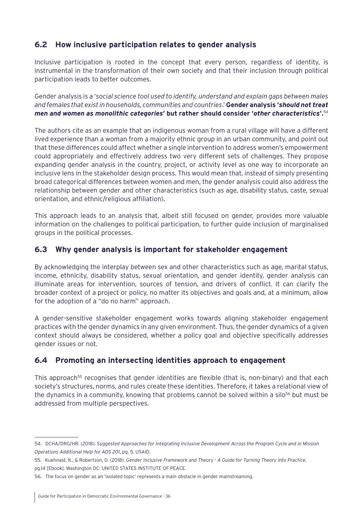### <span id="page-35-0"></span>**6.2 How inclusive participation relates to gender analysis**

Inclusive participation is rooted in the concept that every person, regardless of identity, is instrumental in the transformation of their own society and that their inclusion through political participation leads to better outcomes.

Gender analysis is a '*social science tool used to identify, understand and explain gaps between males and females that exist in households, communities and countries*.' **Gender analysis '***should not treat men and women as monolithic categories***' but rather should consider '***other characteristics***'.**<sup>54</sup>

The authors cite as an example that an indigenous woman from a rural village will have a different lived experience than a woman from a majority ethnic group in an urban community, and point out that these differences could affect whether a single intervention to address women's empowerment could appropriately and effectively address two very different sets of challenges. They propose expanding gender analysis in the country, project, or activity level as one way to incorporate an inclusive lens in the stakeholder design process. This would mean that, instead of simply presenting broad categorical differences between women and men, the gender analysis could also address the relationship between gender and other characteristics (such as age, disability status, caste, sexual orientation, and ethnic/religious affiliation).

This approach leads to an analysis that, albeit still focused on gender, provides more valuable information on the challenges to political participation, to further guide inclusion of marginalised groups in the political processes.

### **6.3 Why gender analysis is important for stakeholder engagement**

By acknowledging the interplay between sex and other characteristics such as age, marital status, income, ethnicity, disability status, sexual orientation, and gender identity, gender analysis can illuminate areas for intervention, sources of tension, and drivers of conflict. It can clarify the broader context of a project or policy, no matter its objectives and goals and, at a minimum, allow for the adoption of a "do no harm" approach.

A gender-sensitive stakeholder engagement works towards aligning stakeholder engagement practices with the gender dynamics in any given environment. Thus, the gender dynamics of a given context should always be considered, whether a policy goal and objective specifically addresses gender issues or not.

### **6.4 Promoting an intersecting identities approach to engagement**

This approach<sup>55</sup> recognises that gender identities are flexible (that is, non-binary) and that each society's structures, norms, and rules create these identities. Therefore, it takes a relational view of the dynamics in a community, knowing that problems cannot be solved within a silo<sup>56</sup> but must be addressed from multiple perspectives.

<sup>54.</sup> DCHA/DRG/HR. (2018). *Suggested Approaches for Integrating Inclusive Development Across the Program Cycle and in Mission Operations Additional Help for ADS 201*, pg. 5. USAID.

<sup>55.</sup> Kuehnast, K., & Robertson, D. (2018). *Gender Inclusive Framework and Theory - A Guide for Turning Theory into Practice*, pg.14 [Ebook]. Washington DC: UNITED STATES INSTITUTE OF PEACE.

<sup>56.</sup> The focus on gender as an 'isolated topic' represents a main obstacle in gender mainstreaming.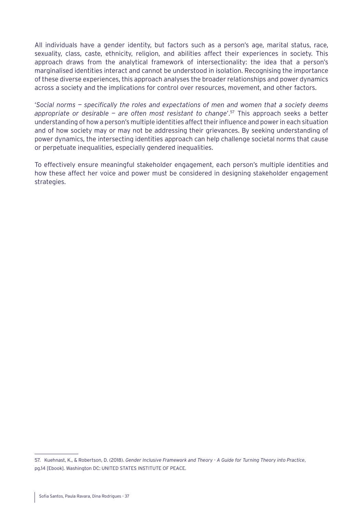All individuals have a gender identity, but factors such as a person's age, marital status, race, sexuality, class, caste, ethnicity, religion, and abilities affect their experiences in society. This approach draws from the analytical framework of intersectionality: the idea that a person's marginalised identities interact and cannot be understood in isolation. Recognising the importance of these diverse experiences, this approach analyses the broader relationships and power dynamics across a society and the implications for control over resources, movement, and other factors.

'*Social norms — specifically the roles and expectations of men and women that a society deems appropriate or desirable — are often most resistant to change*'.57 This approach seeks a better understanding of how a person's multiple identities affect their influence and power in each situation and of how society may or may not be addressing their grievances. By seeking understanding of power dynamics, the intersecting identities approach can help challenge societal norms that cause or perpetuate inequalities, especially gendered inequalities.

To effectively ensure meaningful stakeholder engagement, each person's multiple identities and how these affect her voice and power must be considered in designing stakeholder engagement strategies.

<sup>57.</sup> Kuehnast, K., & Robertson, D. (2018). *Gender Inclusive Framework and Theory - A Guide for Turning Theory into Practice*, pg.14 [Ebook]. Washington DC: UNITED STATES INSTITUTE OF PEACE.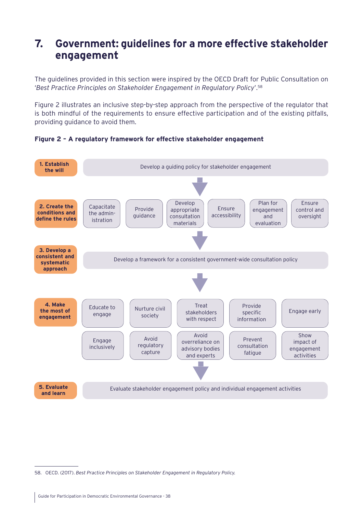# **7. Government: guidelines for a more effective stakeholder engagement**

The guidelines provided in this section were inspired by the OECD Draft for Public Consultation on '*Best Practice Principles on Stakeholder Engagement in Regulatory Policy*'.58

Figure 2 illustrates an inclusive step-by-step approach from the perspective of the regulator that is both mindful of the requirements to ensure effective participation and of the existing pitfalls, providing guidance to avoid them.



**Figure 2 – A regulatory framework for effective stakeholder engagement**

<sup>58.</sup> OECD. (2017). *Best Practice Principles on Stakeholder Engagement in Regulatory Policy.*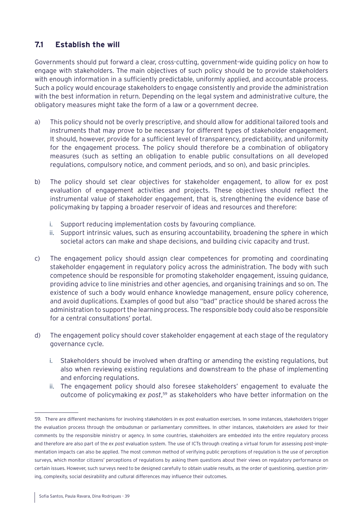# **7.1 Establish the will**

Governments should put forward a clear, cross-cutting, government-wide guiding policy on how to engage with stakeholders. The main objectives of such policy should be to provide stakeholders with enough information in a sufficiently predictable, uniformly applied, and accountable process. Such a policy would encourage stakeholders to engage consistently and provide the administration with the best information in return. Depending on the legal system and administrative culture, the obligatory measures might take the form of a law or a government decree.

- a) This policy should not be overly prescriptive, and should allow for additional tailored tools and instruments that may prove to be necessary for different types of stakeholder engagement. It should, however, provide for a sufficient level of transparency, predictability, and uniformity for the engagement process. The policy should therefore be a combination of obligatory measures (such as setting an obligation to enable public consultations on all developed regulations, compulsory notice, and comment periods, and so on), and basic principles.
- b) The policy should set clear objectives for stakeholder engagement, to allow for ex post evaluation of engagement activities and projects. These objectives should reflect the instrumental value of stakeholder engagement, that is, strengthening the evidence base of policymaking by tapping a broader reservoir of ideas and resources and therefore:
	- i. Support reducing implementation costs by favouring compliance.
	- ii. Support intrinsic values, such as ensuring accountability, broadening the sphere in which societal actors can make and shape decisions, and building civic capacity and trust.
- c) The engagement policy should assign clear competences for promoting and coordinating stakeholder engagement in regulatory policy across the administration. The body with such competence should be responsible for promoting stakeholder engagement, issuing guidance, providing advice to line ministries and other agencies, and organising trainings and so on. The existence of such a body would enhance knowledge management, ensure policy coherence, and avoid duplications. Examples of good but also "bad" practice should be shared across the administration to support the learning process. The responsible body could also be responsible for a central consultations' portal.
- d) The engagement policy should cover stakeholder engagement at each stage of the regulatory governance cycle.
	- i. Stakeholders should be involved when drafting or amending the existing regulations, but also when reviewing existing regulations and downstream to the phase of implementing and enforcing regulations.
	- ii. The engagement policy should also foresee stakeholders' engagement to evaluate the outcome of policymaking *ex post*, 59 as stakeholders who have better information on the

<sup>59.</sup> There are different mechanisms for involving stakeholders in ex post evaluation exercises. In some instances, stakeholders trigger the evaluation process through the ombudsman or parliamentary committees. In other instances, stakeholders are asked for their comments by the responsible ministry or agency. In some countries, stakeholders are embedded into the entire regulatory process and therefore are also part of the *ex post* evaluation system. The use of ICTs through creating a virtual forum for assessing post-implementation impacts can also be applied. The most common method of verifying public perceptions of regulation is the use of perception surveys, which monitor citizens' perceptions of regulations by asking them questions about their views on regulatory performance on certain issues. However, such surveys need to be designed carefully to obtain usable results, as the order of questioning, question priming, complexity, social desirability and cultural differences may influence their outcomes.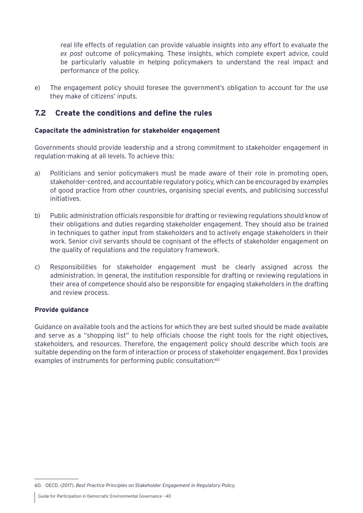real life effects of regulation can provide valuable insights into any effort to evaluate the *ex post* outcome of policymaking. These insights, which complete expert advice, could be particularly valuable in helping policymakers to understand the real impact and performance of the policy.

e) The engagement policy should foresee the government's obligation to account for the use they make of citizens' inputs.

# **7.2 Create the conditions and define the rules**

## **Capacitate the administration for stakeholder engagement**

Governments should provide leadership and a strong commitment to stakeholder engagement in regulation-making at all levels. To achieve this:

- a) Politicians and senior policymakers must be made aware of their role in promoting open, stakeholder-centred, and accountable regulatory policy, which can be encouraged by examples of good practice from other countries, organising special events, and publicising successful initiatives.
- b) Public administration officials responsible for drafting or reviewing regulations should know of their obligations and duties regarding stakeholder engagement. They should also be trained in techniques to gather input from stakeholders and to actively engage stakeholders in their work. Senior civil servants should be cognisant of the effects of stakeholder engagement on the quality of regulations and the regulatory framework.
- c) Responsibilities for stakeholder engagement must be clearly assigned across the administration. In general, the institution responsible for drafting or reviewing regulations in their area of competence should also be responsible for engaging stakeholders in the drafting and review process.

#### **Provide guidance**

Guidance on available tools and the actions for which they are best suited should be made available and serve as a "shopping list" to help officials choose the right tools for the right objectives, stakeholders, and resources. Therefore, the engagement policy should describe which tools are suitable depending on the form of interaction or process of stakeholder engagement. [Box 1](#page-40-0) provides examples of instruments for performing public consultation:<sup>60</sup>

<sup>60.</sup> OECD. (2017). *Best Practice Principles on Stakeholder Engagement in Regulatory Policy.*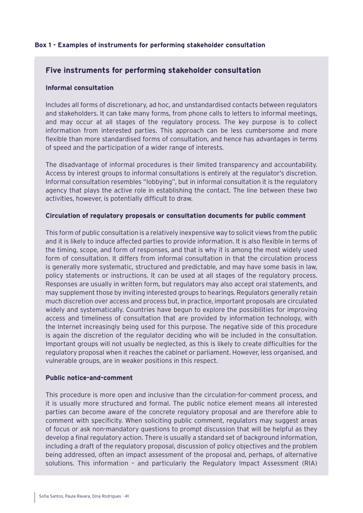# <span id="page-40-0"></span>**Box 1 - Examples of instruments for performing stakeholder consultation**

# **Five instruments for performing stakeholder consultation**

#### **Informal consultation**

Includes all forms of discretionary, ad hoc, and unstandardised contacts between regulators and stakeholders. It can take many forms, from phone calls to letters to informal meetings, and may occur at all stages of the regulatory process. The key purpose is to collect information from interested parties. This approach can be less cumbersome and more flexible than more standardised forms of consultation, and hence has advantages in terms of speed and the participation of a wider range of interests.

The disadvantage of informal procedures is their limited transparency and accountability. Access by interest groups to informal consultations is entirely at the regulator's discretion. Informal consultation resembles "lobbying", but in informal consultation it is the regulatory agency that plays the active role in establishing the contact. The line between these two activities, however, is potentially difficult to draw.

## **Circulation of regulatory proposals or consultation documents for public comment**

This form of public consultation is a relatively inexpensive way to solicit views from the public and it is likely to induce affected parties to provide information. It is also flexible in terms of the timing, scope, and form of responses, and that is why it is among the most widely used form of consultation. It differs from informal consultation in that the circulation process is generally more systematic, structured and predictable, and may have some basis in law, policy statements or instructions. It can be used at all stages of the regulatory process. Responses are usually in written form, but regulators may also accept oral statements, and may supplement those by inviting interested groups to hearings. Regulators generally retain much discretion over access and process but, in practice, important proposals are circulated widely and systematically. Countries have begun to explore the possibilities for improving access and timeliness of consultation that are provided by information technology, with the Internet increasingly being used for this purpose. The negative side of this procedure is again the discretion of the regulator deciding who will be included in the consultation. Important groups will not usually be neglected, as this is likely to create difficulties for the regulatory proposal when it reaches the cabinet or parliament. However, less organised, and vulnerable groups, are in weaker positions in this respect.

#### **Public notice-and-comment**

This procedure is more open and inclusive than the circulation-for-comment process, and it is usually more structured and formal. The public notice element means all interested parties can become aware of the concrete regulatory proposal and are therefore able to comment with specificity. When soliciting public comment, regulators may suggest areas of focus or ask non-mandatory questions to prompt discussion that will be helpful as they develop a final regulatory action. There is usually a standard set of background information, including a draft of the regulatory proposal, discussion of policy objectives and the problem being addressed, often an impact assessment of the proposal and, perhaps, of alternative solutions. This information – and particularly the Regulatory Impact Assessment (RIA)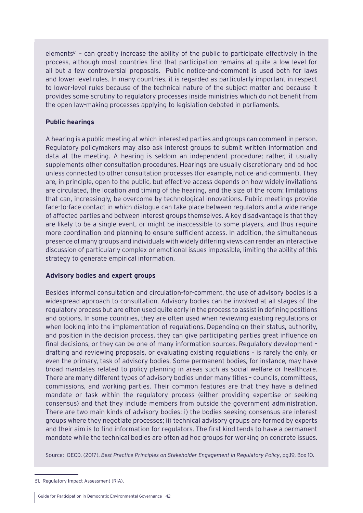elements<sup>61</sup> - can greatly increase the ability of the public to participate effectively in the process, although most countries find that participation remains at quite a low level for all but a few controversial proposals. Public notice-and-comment is used both for laws and lower-level rules. In many countries, it is regarded as particularly important in respect to lower-level rules because of the technical nature of the subject matter and because it provides some scrutiny to regulatory processes inside ministries which do not benefit from the open law-making processes applying to legislation debated in parliaments.

## **Public hearings**

A hearing is a public meeting at which interested parties and groups can comment in person. Regulatory policymakers may also ask interest groups to submit written information and data at the meeting. A hearing is seldom an independent procedure; rather, it usually supplements other consultation procedures. Hearings are usually discretionary and ad hoc unless connected to other consultation processes (for example, notice-and-comment). They are, in principle, open to the public, but effective access depends on how widely invitations are circulated, the location and timing of the hearing, and the size of the room: limitations that can, increasingly, be overcome by technological innovations. Public meetings provide face-to-face contact in which dialogue can take place between regulators and a wide range of affected parties and between interest groups themselves. A key disadvantage is that they are likely to be a single event, or might be inaccessible to some players, and thus require more coordination and planning to ensure sufficient access. In addition, the simultaneous presence of many groups and individuals with widely differing views can render an interactive discussion of particularly complex or emotional issues impossible, limiting the ability of this strategy to generate empirical information.

# **Advisory bodies and expert groups**

Besides informal consultation and circulation-for-comment, the use of advisory bodies is a widespread approach to consultation. Advisory bodies can be involved at all stages of the regulatory process but are often used quite early in the process to assist in defining positions and options. In some countries, they are often used when reviewing existing regulations or when looking into the implementation of regulations. Depending on their status, authority, and position in the decision process, they can give participating parties great influence on final decisions, or they can be one of many information sources. Regulatory development – drafting and reviewing proposals, or evaluating existing regulations – is rarely the only, or even the primary, task of advisory bodies. Some permanent bodies, for instance, may have broad mandates related to policy planning in areas such as social welfare or healthcare. There are many different types of advisory bodies under many titles – councils, committees, commissions, and working parties. Their common features are that they have a defined mandate or task within the regulatory process (either providing expertise or seeking consensus) and that they include members from outside the government administration. There are two main kinds of advisory bodies: i) the bodies seeking consensus are interest groups where they negotiate processes; ii) technical advisory groups are formed by experts and their aim is to find information for regulators. The first kind tends to have a permanent mandate while the technical bodies are often ad hoc groups for working on concrete issues.

Source: OECD. (2017). *Best Practice Principles on Stakeholder Engagement in Regulatory Policy*, pg.19, Box 10.

<sup>61.</sup> Regulatory Impact Assessment (RIA).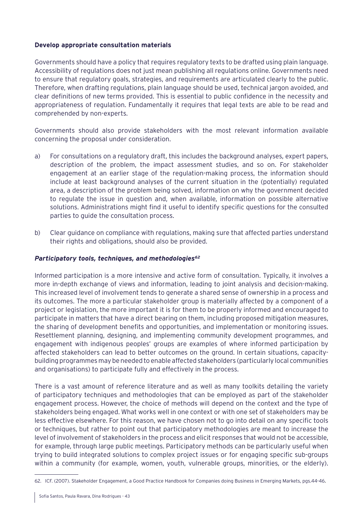## **Develop appropriate consultation materials**

Governments should have a policy that requires regulatory texts to be drafted using plain language. Accessibility of regulations does not just mean publishing all regulations online. Governments need to ensure that regulatory goals, strategies, and requirements are articulated clearly to the public. Therefore, when drafting regulations, plain language should be used, technical jargon avoided, and clear definitions of new terms provided. This is essential to public confidence in the necessity and appropriateness of regulation. Fundamentally it requires that legal texts are able to be read and comprehended by non-experts.

Governments should also provide stakeholders with the most relevant information available concerning the proposal under consideration.

- a) For consultations on a regulatory draft, this includes the background analyses, expert papers, description of the problem, the impact assessment studies, and so on. For stakeholder engagement at an earlier stage of the regulation-making process, the information should include at least background analyses of the current situation in the (potentially) regulated area, a description of the problem being solved, information on why the government decided to regulate the issue in question and, when available, information on possible alternative solutions. Administrations might find it useful to identify specific questions for the consulted parties to guide the consultation process.
- b) Clear guidance on compliance with regulations, making sure that affected parties understand their rights and obligations, should also be provided.

## *Participatory tools, techniques, and methodologies62*

Informed participation is a more intensive and active form of consultation. Typically, it involves a more in-depth exchange of views and information, leading to joint analysis and decision-making. This increased level of involvement tends to generate a shared sense of ownership in a process and its outcomes. The more a particular stakeholder group is materially affected by a component of a project or legislation, the more important it is for them to be properly informed and encouraged to participate in matters that have a direct bearing on them, including proposed mitigation measures, the sharing of development benefits and opportunities, and implementation or monitoring issues. Resettlement planning, designing, and implementing community development programmes, and engagement with indigenous peoples' groups are examples of where informed participation by affected stakeholders can lead to better outcomes on the ground. In certain situations, capacitybuilding programmes may be needed to enable affected stakeholders (particularly local communities and organisations) to participate fully and effectively in the process.

There is a vast amount of reference literature and as well as many toolkits detailing the variety of participatory techniques and methodologies that can be employed as part of the stakeholder engagement process. However, the choice of methods will depend on the context and the type of stakeholders being engaged. What works well in one context or with one set of stakeholders may be less effective elsewhere. For this reason, we have chosen not to go into detail on any specific tools or techniques, but rather to point out that participatory methodologies are meant to increase the level of involvement of stakeholders in the process and elicit responses that would not be accessible, for example, through large public meetings. Participatory methods can be particularly useful when trying to build integrated solutions to complex project issues or for engaging specific sub-groups within a community (for example, women, youth, vulnerable groups, minorities, or the elderly).

<sup>62.</sup> ICF. (2007). Stakeholder Engagement, a Good Practice Handbook for Companies doing Business in Emerging Markets, pgs.44-46.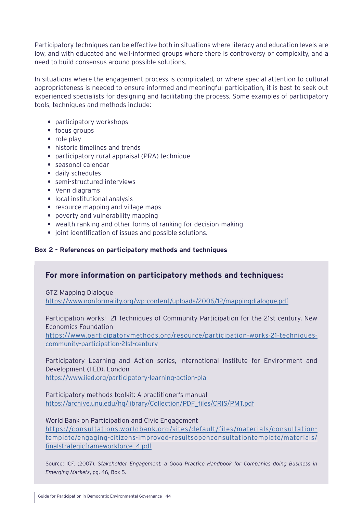Participatory techniques can be effective both in situations where literacy and education levels are low, and with educated and well-informed groups where there is controversy or complexity, and a need to build consensus around possible solutions.

In situations where the engagement process is complicated, or where special attention to cultural appropriateness is needed to ensure informed and meaningful participation, it is best to seek out experienced specialists for designing and facilitating the process. Some examples of participatory tools, techniques and methods include:

- **•** participatory workshops
- focus groups
- **•** role play
- **•** historic timelines and trends
- **•** participatory rural appraisal (PRA) technique
- **•** seasonal calendar
- **•** daily schedules
- **•** semi-structured interviews
- **•** Venn diagrams
- **•** local institutional analysis
- **•** resource mapping and village maps
- **•** poverty and vulnerability mapping
- **•** wealth ranking and other forms of ranking for decision-making
- **•** joint identification of issues and possible solutions.

# **Box 2 - References on participatory methods and techniques**

# **For more information on participatory methods and techniques:**

GTZ Mapping Dialogue <https://www.nonformality.org/wp-content/uploads/2006/12/mappingdialogue.pdf>

Participation works! 21 Techniques of Community Participation for the 21st century, New Economics Foundation

[https://www.participatorymethods.org/resource/participation-works-21-techniques](https://www.participatorymethods.org/resource/participation-works-21-techniques-community-participation-21st-century)[community-participation-21st-century](https://www.participatorymethods.org/resource/participation-works-21-techniques-community-participation-21st-century)

Participatory Learning and Action series, International Institute for Environment and Development (IIED), London <https://www.iied.org/participatory-learning-action-pla>

Participatory methods toolkit: A practitioner's manual [https://archive.unu.edu/hq/library/Collection/PDF\\_files/CRIS/PMT.pdf](https://archive.unu.edu/hq/library/Collection/PDF_files/CRIS/PMT.pdf)

World Bank on Participation and Civic Engagement [https://consultations.worldbank.org/sites/default/files/materials/consultation](https://consultations.worldbank.org/sites/default/files/materials/consultation-template/engaging-citizens-improved-resultsopenconsultationtemplate/materials/finalstrategicframeworkforce_4.pdf)[template/engaging-citizens-improved-resultsopenconsultationtemplate/materials/](https://consultations.worldbank.org/sites/default/files/materials/consultation-template/engaging-citizens-improved-resultsopenconsultationtemplate/materials/finalstrategicframeworkforce_4.pdf) [finalstrategicframeworkforce\\_4.pdf](https://consultations.worldbank.org/sites/default/files/materials/consultation-template/engaging-citizens-improved-resultsopenconsultationtemplate/materials/finalstrategicframeworkforce_4.pdf)

Source: ICF. (2007). *Stakeholder Engagement, a Good Practice Handbook for Companies doing Business in Emerging Markets*, pg. 46, Box 5.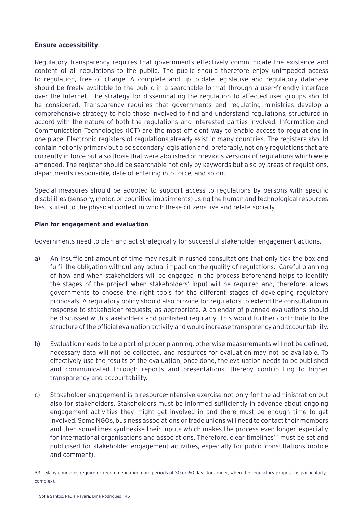## **Ensure accessibility**

Regulatory transparency requires that governments effectively communicate the existence and content of all regulations to the public. The public should therefore enjoy unimpeded access to regulation, free of charge. A complete and up-to-date legislative and regulatory database should be freely available to the public in a searchable format through a user-friendly interface over the Internet. The strategy for disseminating the regulation to affected user groups should be considered. Transparency requires that governments and regulating ministries develop a comprehensive strategy to help those involved to find and understand regulations, structured in accord with the nature of both the regulations and interested parties involved. Information and Communication Technologies (ICT) are the most efficient way to enable access to regulations in one place. Electronic registers of regulations already exist in many countries. The registers should contain not only primary but also secondary legislation and, preferably, not only regulations that are currently in force but also those that were abolished or previous versions of regulations which were amended. The register should be searchable not only by keywords but also by areas of regulations, departments responsible, date of entering into force, and so on.

Special measures should be adopted to support access to regulations by persons with specific disabilities (sensory, motor, or cognitive impairments) using the human and technological resources best suited to the physical context in which these citizens live and relate socially.

## **Plan for engagement and evaluation**

Governments need to plan and act strategically for successful stakeholder engagement actions.

- a) An insufficient amount of time may result in rushed consultations that only tick the box and fulfil the obligation without any actual impact on the quality of regulations. Careful planning of how and when stakeholders will be engaged in the process beforehand helps to identify the stages of the project when stakeholders' input will be required and, therefore, allows governments to choose the right tools for the different stages of developing regulatory proposals. A regulatory policy should also provide for regulators to extend the consultation in response to stakeholder requests, as appropriate. A calendar of planned evaluations should be discussed with stakeholders and published regularly. This would further contribute to the structure of the official evaluation activity and would increase transparency and accountability.
- b) Evaluation needs to be a part of proper planning, otherwise measurements will not be defined, necessary data will not be collected, and resources for evaluation may not be available. To effectively use the results of the evaluation, once done, the evaluation needs to be published and communicated through reports and presentations, thereby contributing to higher transparency and accountability.
- c) Stakeholder engagement is a resource-intensive exercise not only for the administration but also for stakeholders. Stakeholders must be informed sufficiently in advance about ongoing engagement activities they might get involved in and there must be enough time to get involved. Some NGOs, business associations or trade unions will need to contact their members and then sometimes synthesise their inputs which makes the process even longer, especially for international organisations and associations. Therefore, clear timelines<sup>63</sup> must be set and publicised for stakeholder engagement activities, especially for public consultations (notice and comment).

<sup>63.</sup> Many countries require or recommend minimum periods of 30 or 60 days (or longer, when the regulatory proposal is particularly complex).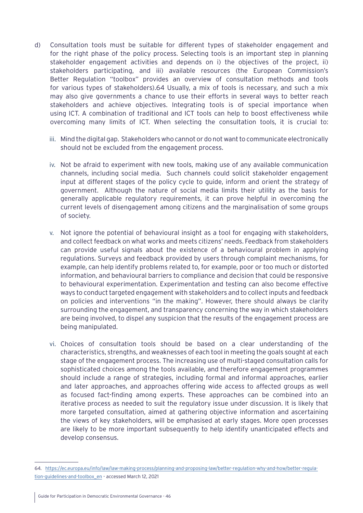- d) Consultation tools must be suitable for different types of stakeholder engagement and for the right phase of the policy process. Selecting tools is an important step in planning stakeholder engagement activities and depends on i) the objectives of the project, ii) stakeholders participating, and iii) available resources (the European Commission's Better Regulation "toolbox" provides an overview of consultation methods and tools for various types of stakeholders).64 Usually, a mix of tools is necessary, and such a mix may also give governments a chance to use their efforts in several ways to better reach stakeholders and achieve objectives. Integrating tools is of special importance when using ICT. A combination of traditional and ICT tools can help to boost effectiveness while overcoming many limits of ICT. When selecting the consultation tools, it is crucial to:
	- iii. Mind the digital gap. Stakeholders who cannot or do not want to communicate electronically should not be excluded from the engagement process.
	- iv. Not be afraid to experiment with new tools, making use of any available communication channels, including social media. Such channels could solicit stakeholder engagement input at different stages of the policy cycle to guide, inform and orient the strategy of government. Although the nature of social media limits their utility as the basis for generally applicable regulatory requirements, it can prove helpful in overcoming the current levels of disengagement among citizens and the marginalisation of some groups of society.
	- v. Not ignore the potential of behavioural insight as a tool for engaging with stakeholders, and collect feedback on what works and meets citizens' needs. Feedback from stakeholders can provide useful signals about the existence of a behavioural problem in applying regulations. Surveys and feedback provided by users through complaint mechanisms, for example, can help identify problems related to, for example, poor or too much or distorted information, and behavioural barriers to compliance and decision that could be responsive to behavioural experimentation. Experimentation and testing can also become effective ways to conduct targeted engagement with stakeholders and to collect inputs and feedback on policies and interventions "in the making". However, there should always be clarity surrounding the engagement, and transparency concerning the way in which stakeholders are being involved, to dispel any suspicion that the results of the engagement process are being manipulated.
	- vi. Choices of consultation tools should be based on a clear understanding of the characteristics, strengths, and weaknesses of each tool in meeting the goals sought at each stage of the engagement process. The increasing use of multi-staged consultation calls for sophisticated choices among the tools available, and therefore engagement programmes should include a range of strategies, including formal and informal approaches, earlier and later approaches, and approaches offering wide access to affected groups as well as focused fact-finding among experts. These approaches can be combined into an iterative process as needed to suit the regulatory issue under discussion. It is likely that more targeted consultation, aimed at gathering objective information and ascertaining the views of key stakeholders, will be emphasised at early stages. More open processes are likely to be more important subsequently to help identify unanticipated effects and develop consensus.

<sup>64.</sup> [https://ec.europa.eu/info/law/law-making-process/planning-and-proposing-law/better-regulation-why-and-how/better-regula](https://ec.europa.eu/info/law/law-making-process/planning-and-proposing-law/better-regulation-why-and-how/better-regulation-guidelines-and-toolbox_en)[tion-guidelines-and-toolbox\\_en](https://ec.europa.eu/info/law/law-making-process/planning-and-proposing-law/better-regulation-why-and-how/better-regulation-guidelines-and-toolbox_en) - accessed March 12, 2021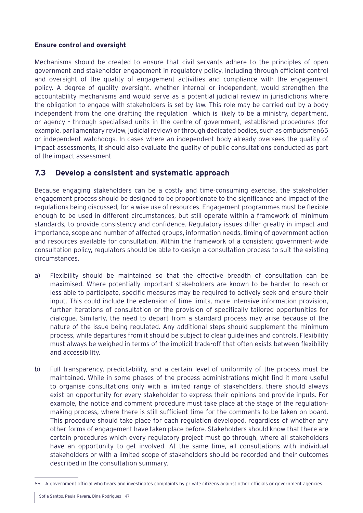# **Ensure control and oversight**

Mechanisms should be created to ensure that civil servants adhere to the principles of open government and stakeholder engagement in regulatory policy, including through efficient control and oversight of the quality of engagement activities and compliance with the engagement policy. A degree of quality oversight, whether internal or independent, would strengthen the accountability mechanisms and would serve as a potential judicial review in jurisdictions where the obligation to engage with stakeholders is set by law. This role may be carried out by a body independent from the one drafting the regulation which is likely to be a ministry, department, or agency - through specialised units in the centre of government, established procedures (for example, parliamentary review, judicial review) or through dedicated bodies, such as ombudsmen65 or independent watchdogs. In cases where an independent body already oversees the quality of impact assessments, it should also evaluate the quality of public consultations conducted as part of the impact assessment.

# **7.3 Develop a consistent and systematic approach**

Because engaging stakeholders can be a costly and time-consuming exercise, the stakeholder engagement process should be designed to be proportionate to the significance and impact of the regulations being discussed, for a wise use of resources. Engagement programmes must be flexible enough to be used in different circumstances, but still operate within a framework of minimum standards, to provide consistency and confidence. Regulatory issues differ greatly in impact and importance, scope and number of affected groups, information needs, timing of government action and resources available for consultation. Within the framework of a consistent government-wide consultation policy, regulators should be able to design a consultation process to suit the existing circumstances.

- a) Flexibility should be maintained so that the effective breadth of consultation can be maximised. Where potentially important stakeholders are known to be harder to reach or less able to participate, specific measures may be required to actively seek and ensure their input. This could include the extension of time limits, more intensive information provision, further iterations of consultation or the provision of specifically tailored opportunities for dialogue. Similarly, the need to depart from a standard process may arise because of the nature of the issue being regulated. Any additional steps should supplement the minimum process, while departures from it should be subject to clear guidelines and controls. Flexibility must always be weighed in terms of the implicit trade-off that often exists between flexibility and accessibility.
- b) Full transparency, predictability, and a certain level of uniformity of the process must be maintained. While in some phases of the process administrations might find it more useful to organise consultations only with a limited range of stakeholders, there should always exist an opportunity for every stakeholder to express their opinions and provide inputs. For example, the notice and comment procedure must take place at the stage of the regulationmaking process, where there is still sufficient time for the comments to be taken on board. This procedure should take place for each regulation developed, regardless of whether any other forms of engagement have taken place before. Stakeholders should know that there are certain procedures which every regulatory project must go through, where all stakeholders have an opportunity to get involved. At the same time, all consultations with individual stakeholders or with a limited scope of stakeholders should be recorded and their outcomes described in the consultation summary.

<sup>65.</sup> A government official who hears and investigates complaints by private citizens against other officials or government agencies.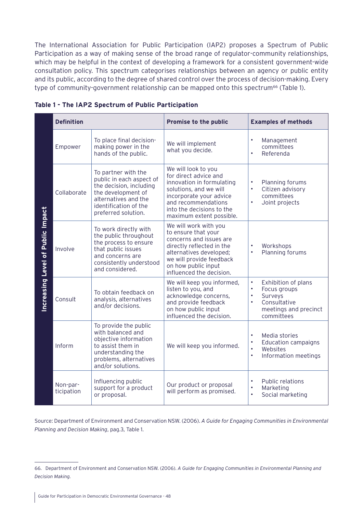The International Association for Public Participation (IAP2) proposes a Spectrum of Public Participation as a way of making sense of the broad range of regulator-community relationships, which may be helpful in the context of developing a framework for a consistent government-wide consultation policy. This spectrum categorises relationships between an agency or public entity and its public, according to the degree of shared control over the process of decision-making. Every type of community-government relationship can be mapped onto this spectrum<sup>66</sup> [\(Table 1\)](#page-47-0).

|                                          | <b>Definition</b>      |                                                                                                                                                                          | <b>Promise to the public</b>                                                                                                                                                                                   | <b>Examples of methods</b>                                                                                                                                |
|------------------------------------------|------------------------|--------------------------------------------------------------------------------------------------------------------------------------------------------------------------|----------------------------------------------------------------------------------------------------------------------------------------------------------------------------------------------------------------|-----------------------------------------------------------------------------------------------------------------------------------------------------------|
| <b>Increasing Level of Public Impact</b> | Empower                | To place final decision-<br>making power in the<br>hands of the public.                                                                                                  | We will implement<br>what you decide.                                                                                                                                                                          | Management<br>$\bullet$<br>committees<br>Referenda<br>$\bullet$                                                                                           |
|                                          | Collaborate            | To partner with the<br>public in each aspect of<br>the decision, including<br>the development of<br>alternatives and the<br>identification of the<br>preferred solution. | We will look to you<br>for direct advice and<br>innovation in formulating<br>solutions, and we will<br>incorporate your advice<br>and recommendations<br>into the decisions to the<br>maximum extent possible. | Planning forums<br>$\bullet$<br>Citizen advisory<br>$\bullet$<br>committees<br>Joint projects<br>$\bullet$                                                |
|                                          | Involve                | To work directly with<br>the public throughout<br>the process to ensure<br>that public issues<br>and concerns are<br>consistently understood<br>and considered.          | We will work with you<br>to ensure that your<br>concerns and issues are<br>directly reflected in the<br>alternatives developed;<br>we will provide feedback<br>on how public input<br>influenced the decision. | Workshops<br>$\bullet$<br>Planning forums<br>$\bullet$                                                                                                    |
|                                          | Consult                | To obtain feedback on<br>analysis, alternatives<br>and/or decisions.                                                                                                     | We will keep you informed,<br>listen to you, and<br>acknowledge concerns,<br>and provide feedback<br>on how public input<br>influenced the decision.                                                           | $\bullet$<br>Exhibition of plans<br>Focus groups<br>$\bullet$<br>Surveys<br>$\bullet$<br>Consultative<br>$\bullet$<br>meetings and precinct<br>committees |
|                                          | Inform                 | To provide the public<br>with balanced and<br>objective information<br>to assist them in<br>understanding the<br>problems, alternatives<br>and/or solutions.             | We will keep you informed.                                                                                                                                                                                     | Media stories<br><b>Education campaigns</b><br>$\bullet$<br>$\bullet$<br>Websites<br>Information meetings<br>$\bullet$                                    |
|                                          | Non-par-<br>ticipation | Influencing public<br>support for a product<br>or proposal.                                                                                                              | Our product or proposal<br>will perform as promised.                                                                                                                                                           | <b>Public relations</b><br>$\bullet$<br>Marketing<br>$\bullet$<br>Social marketing                                                                        |

<span id="page-47-0"></span>**Table 1 - The IAP2 Spectrum of Public Participation**

Source: Department of Environment and Conservation NSW. (2006). *A Guide for Engaging Communities in Environmental Planning and Decision Making*, pag.3, Table 1.

<sup>66.</sup> Department of Environment and Conservation NSW. (2006). *A Guide for Engaging Communities in Environmental Planning and Decision Making.*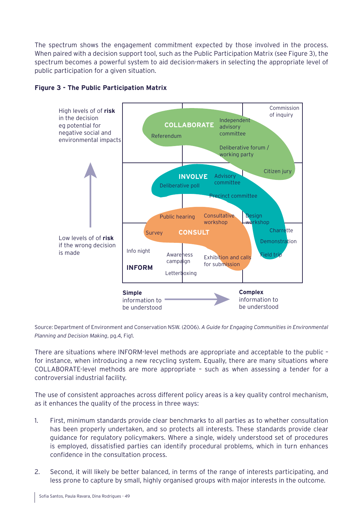The spectrum shows the engagement commitment expected by those involved in the process. When paired with a decision support tool, such as the Public Participation Matrix (see Figure 3), the spectrum becomes a powerful system to aid decision-makers in selecting the appropriate level of public participation for a given situation.



# **Figure 3 - The Public Participation Matrix**

Source: Department of Environment and Conservation NSW. (2006). *A Guide for Engaging Communities in Environmental Planning and Decision Making*, pg.4, Fig1.

There are situations where INFORM-level methods are appropriate and acceptable to the public – for instance, when introducing a new recycling system. Equally, there are many situations where COLLABORATE-level methods are more appropriate – such as when assessing a tender for a controversial industrial facility.

The use of consistent approaches across different policy areas is a key quality control mechanism, as it enhances the quality of the process in three ways:

- 1. First, minimum standards provide clear benchmarks to all parties as to whether consultation has been properly undertaken, and so protects all interests. These standards provide clear guidance for regulatory policymakers. Where a single, widely understood set of procedures is employed, dissatisfied parties can identify procedural problems, which in turn enhances confidence in the consultation process.
- 2. Second, it will likely be better balanced, in terms of the range of interests participating, and less prone to capture by small, highly organised groups with major interests in the outcome.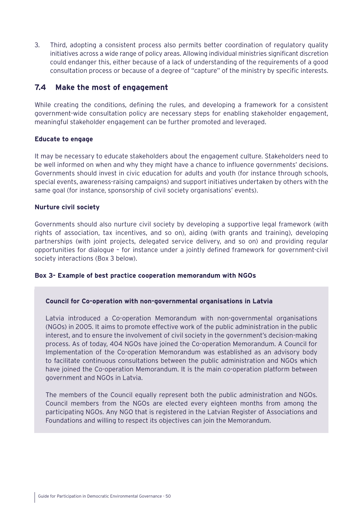3. Third, adopting a consistent process also permits better coordination of regulatory quality initiatives across a wide range of policy areas. Allowing individual ministries significant discretion could endanger this, either because of a lack of understanding of the requirements of a good consultation process or because of a degree of "capture" of the ministry by specific interests.

# **7.4 Make the most of engagement**

While creating the conditions, defining the rules, and developing a framework for a consistent government-wide consultation policy are necessary steps for enabling stakeholder engagement, meaningful stakeholder engagement can be further promoted and leveraged.

# **Educate to engage**

It may be necessary to educate stakeholders about the engagement culture. Stakeholders need to be well informed on when and why they might have a chance to influence governments' decisions. Governments should invest in civic education for adults and youth (for instance through schools, special events, awareness-raising campaigns) and support initiatives undertaken by others with the same goal (for instance, sponsorship of civil society organisations' events).

## **Nurture civil society**

Governments should also nurture civil society by developing a supportive legal framework (with rights of association, tax incentives, and so on), aiding (with grants and training), developing partnerships (with joint projects, delegated service delivery, and so on) and providing regular opportunities for dialogue – for instance under a jointly defined framework for government-civil society interactions (Box 3 below).

# **Box 3- Example of best practice cooperation memorandum with NGOs**

#### **Council for Co-operation with non-governmental organisations in Latvia**

Latvia introduced a Co-operation Memorandum with non-governmental organisations (NGOs) in 2005. It aims to promote effective work of the public administration in the public interest, and to ensure the involvement of civil society in the government's decision-making process. As of today, 404 NGOs have joined the Co-operation Memorandum. A Council for Implementation of the Co-operation Memorandum was established as an advisory body to facilitate continuous consultations between the public administration and NGOs which have joined the Co-operation Memorandum. It is the main co-operation platform between government and NGOs in Latvia.

The members of the Council equally represent both the public administration and NGOs. Council members from the NGOs are elected every eighteen months from among the participating NGOs. Any NGO that is registered in the Latvian Register of Associations and Foundations and willing to respect its objectives can join the Memorandum.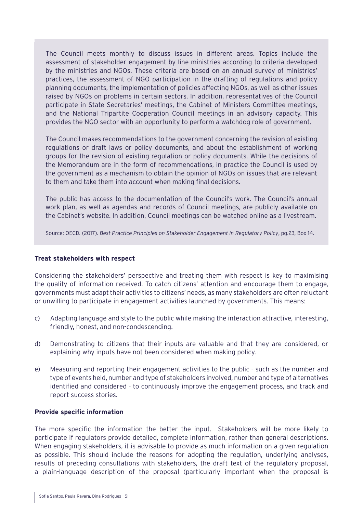The Council meets monthly to discuss issues in different areas. Topics include the assessment of stakeholder engagement by line ministries according to criteria developed by the ministries and NGOs. These criteria are based on an annual survey of ministries' practices, the assessment of NGO participation in the drafting of regulations and policy planning documents, the implementation of policies affecting NGOs, as well as other issues raised by NGOs on problems in certain sectors. In addition, representatives of the Council participate in State Secretaries' meetings, the Cabinet of Ministers Committee meetings, and the National Tripartite Cooperation Council meetings in an advisory capacity. This provides the NGO sector with an opportunity to perform a watchdog role of government.

The Council makes recommendations to the government concerning the revision of existing regulations or draft laws or policy documents, and about the establishment of working groups for the revision of existing regulation or policy documents. While the decisions of the Memorandum are in the form of recommendations, in practice the Council is used by the government as a mechanism to obtain the opinion of NGOs on issues that are relevant to them and take them into account when making final decisions.

The public has access to the documentation of the Council's work. The Council's annual work plan, as well as agendas and records of Council meetings, are publicly available on the Cabinet's website. In addition, Council meetings can be watched online as a livestream.

Source: OECD. (2017). *Best Practice Principles on Stakeholder Engagement in Regulatory Policy*, pg.23, Box 14.

#### **Treat stakeholders with respect**

Considering the stakeholders' perspective and treating them with respect is key to maximising the quality of information received. To catch citizens' attention and encourage them to engage, governments must adapt their activities to citizens' needs, as many stakeholders are often reluctant or unwilling to participate in engagement activities launched by governments. This means:

- c) Adapting language and style to the public while making the interaction attractive, interesting, friendly, honest, and non-condescending.
- d) Demonstrating to citizens that their inputs are valuable and that they are considered, or explaining why inputs have not been considered when making policy.
- e) Measuring and reporting their engagement activities to the public such as the number and type of events held, number and type of stakeholders involved, number and type of alternatives identified and considered - to continuously improve the engagement process, and track and report success stories.

#### **Provide specific information**

The more specific the information the better the input. Stakeholders will be more likely to participate if regulators provide detailed, complete information, rather than general descriptions. When engaging stakeholders, it is advisable to provide as much information on a given regulation as possible. This should include the reasons for adopting the regulation, underlying analyses, results of preceding consultations with stakeholders, the draft text of the regulatory proposal, a plain-language description of the proposal (particularly important when the proposal is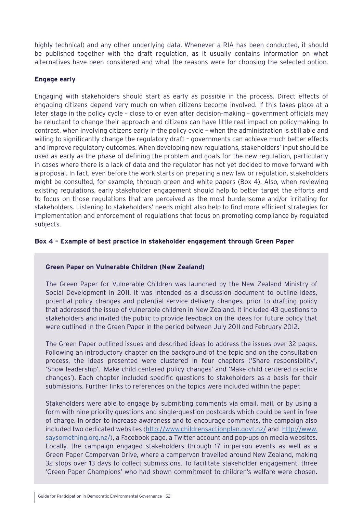highly technical) and any other underlying data. Whenever a RIA has been conducted, it should be published together with the draft regulation, as it usually contains information on what alternatives have been considered and what the reasons were for choosing the selected option.

# **Engage early**

Engaging with stakeholders should start as early as possible in the process. Direct effects of engaging citizens depend very much on when citizens become involved. If this takes place at a later stage in the policy cycle – close to or even after decision-making – government officials may be reluctant to change their approach and citizens can have little real impact on policymaking. In contrast, when involving citizens early in the policy cycle – when the administration is still able and willing to significantly change the regulatory draft - governments can achieve much better effects and improve regulatory outcomes. When developing new regulations, stakeholders' input should be used as early as the phase of defining the problem and goals for the new regulation, particularly in cases where there is a lack of data and the regulator has not yet decided to move forward with a proposal. In fact, even before the work starts on preparing a new law or regulation, stakeholders might be consulted, for example, through green and white papers [\(Box 4](#page-51-0)). Also, when reviewing existing regulations, early stakeholder engagement should help to better target the efforts and to focus on those regulations that are perceived as the most burdensome and/or irritating for stakeholders. Listening to stakeholders' needs might also help to find more efficient strategies for implementation and enforcement of regulations that focus on promoting compliance by regulated subjects.

# <span id="page-51-0"></span>**Box 4 – Example of best practice in stakeholder engagement through Green Paper**

# **Green Paper on Vulnerable Children (New Zealand)**

The Green Paper for Vulnerable Children was launched by the New Zealand Ministry of Social Development in 2011. It was intended as a discussion document to outline ideas, potential policy changes and potential service delivery changes, prior to drafting policy that addressed the issue of vulnerable children in New Zealand. It included 43 questions to stakeholders and invited the public to provide feedback on the ideas for future policy that were outlined in the Green Paper in the period between July 2011 and February 2012.

The Green Paper outlined issues and described ideas to address the issues over 32 pages. Following an introductory chapter on the background of the topic and on the consultation process, the ideas presented were clustered in four chapters ('Share responsibility', 'Show leadership', 'Make child-centered policy changes' and 'Make child-centered practice changes'). Each chapter included specific questions to stakeholders as a basis for their submissions. Further links to references on the topics were included within the paper.

Stakeholders were able to engage by submitting comments via email, mail, or by using a form with nine priority questions and single-question postcards which could be sent in free of charge. In order to increase awareness and to encourage comments, the campaign also included two dedicated websites [\(http://www.childrensactionplan.govt.nz/](http://www.childrensactionplan.govt.nz/) and [http://www.](http://www.saysomething.org.nz/) [saysomething.org.nz/\)](http://www.saysomething.org.nz/), a Facebook page, a Twitter account and pop-ups on media websites. Locally, the campaign engaged stakeholders through 17 in-person events as well as a Green Paper Campervan Drive, where a campervan travelled around New Zealand, making 32 stops over 13 days to collect submissions. To facilitate stakeholder engagement, three 'Green Paper Champions' who had shown commitment to children's welfare were chosen.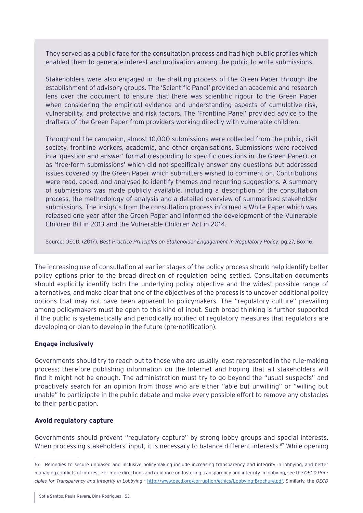They served as a public face for the consultation process and had high public profiles which enabled them to generate interest and motivation among the public to write submissions.

Stakeholders were also engaged in the drafting process of the Green Paper through the establishment of advisory groups. The 'Scientific Panel' provided an academic and research lens over the document to ensure that there was scientific rigour to the Green Paper when considering the empirical evidence and understanding aspects of cumulative risk, vulnerability, and protective and risk factors. The 'Frontline Panel' provided advice to the drafters of the Green Paper from providers working directly with vulnerable children.

Throughout the campaign, almost 10,000 submissions were collected from the public, civil society, frontline workers, academia, and other organisations. Submissions were received in a 'question and answer' format (responding to specific questions in the Green Paper), or as 'free-form submissions' which did not specifically answer any questions but addressed issues covered by the Green Paper which submitters wished to comment on. Contributions were read, coded, and analysed to identify themes and recurring suggestions. A summary of submissions was made publicly available, including a description of the consultation process, the methodology of analysis and a detailed overview of summarised stakeholder submissions. The insights from the consultation process informed a White Paper which was released one year after the Green Paper and informed the development of the Vulnerable Children Bill in 2013 and the Vulnerable Children Act in 2014.

Source: OECD. (2017). *Best Practice Principles on Stakeholder Engagement in Regulatory Policy*, pg.27, Box 16.

The increasing use of consultation at earlier stages of the policy process should help identify better policy options prior to the broad direction of regulation being settled. Consultation documents should explicitly identify both the underlying policy objective and the widest possible range of alternatives, and make clear that one of the objectives of the process is to uncover additional policy options that may not have been apparent to policymakers. The "regulatory culture" prevailing among policymakers must be open to this kind of input. Such broad thinking is further supported if the public is systematically and periodically notified of regulatory measures that regulators are developing or plan to develop in the future (pre-notification).

# **Engage inclusively**

Governments should try to reach out to those who are usually least represented in the rule-making process; therefore publishing information on the Internet and hoping that all stakeholders will find it might not be enough. The administration must try to go beyond the "usual suspects" and proactively search for an opinion from those who are either "able but unwilling" or "willing but unable" to participate in the public debate and make every possible effort to remove any obstacles to their participation.

#### **Avoid regulatory capture**

Governments should prevent "regulatory capture" by strong lobby groups and special interests. When processing stakeholders' input, it is necessary to balance different interests.<sup>67</sup> While opening

<sup>67.</sup> Remedies to secure unbiased and inclusive policymaking include increasing transparency and integrity in lobbying, and better managing conflicts of interest. For more directions and guidance on fostering transparency and integrity in lobbying, see the *OECD Principles for Transparency and Integrity in Lobbying* - http:/[/www.oecd.org/corruption/ethics/Lobbying-Brochure.pdf.](file:www.oecd.org/corruption/ethics/Lobbying-Brochure.pdf) Similarly, the *OECD*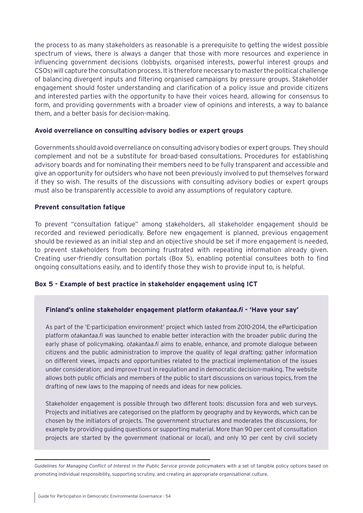the process to as many stakeholders as reasonable is a prerequisite to getting the widest possible spectrum of views, there is always a danger that those with more resources and experience in influencing government decisions (lobbyists, organised interests, powerful interest groups and CSOs) will capture the consultation process. It is therefore necessary to master the political challenge of balancing divergent inputs and filtering organised campaigns by pressure groups. Stakeholder engagement should foster understanding and clarification of a policy issue and provide citizens and interested parties with the opportunity to have their voices heard, allowing for consensus to form, and providing governments with a broader view of opinions and interests, a way to balance them, and a better basis for decision-making.

#### **Avoid overreliance on consulting advisory bodies or expert groups**

Governments should avoid overreliance on consulting advisory bodies or expert groups. They should complement and not be a substitute for broad-based consultations. Procedures for establishing advisory boards and for nominating their members need to be fully transparent and accessible and give an opportunity for outsiders who have not been previously involved to put themselves forward if they so wish. The results of the discussions with consulting advisory bodies or expert groups must also be transparently accessible to avoid any assumptions of regulatory capture.

#### **Prevent consultation fatigue**

To prevent "consultation fatigue" among stakeholders, all stakeholder engagement should be recorded and reviewed periodically. Before new engagement is planned, previous engagement should be reviewed as an initial step and an objective should be set if more engagement is needed, to prevent stakeholders from becoming frustrated with repeating information already given. Creating user-friendly consultation portals ([Box 5\)](#page-53-0), enabling potential consultees both to find ongoing consultations easily, and to identify those they wish to provide input to, is helpful.

# <span id="page-53-0"></span>**Box 5 - Example of best practice in stakeholder engagement using ICT**

#### **Finland's online stakeholder engagement platform** *otakantaa.fi* **- 'Have your say'**

As part of the 'E-participation environment' project which lasted from 2010-2014, the eParticipation platform *otakantaa.fi* was launched to enable better interaction with the broader public during the early phase of policymaking. *otakantaa.fi* aims to enable, enhance, and promote dialogue between citizens and the public administration to improve the quality of legal drafting; gather information on different views, impacts and opportunities related to the practical implementation of the issues under consideration; and improve trust in regulation and in democratic decision-making. The website allows both public officials and members of the public to start discussions on various topics, from the drafting of new laws to the mapping of needs and ideas for new policies.

Stakeholder engagement is possible through two different tools: discussion fora and web surveys. Projects and initiatives are categorised on the platform by geography and by keywords, which can be chosen by the initiators of projects. The government structures and moderates the discussions, for example by providing guiding questions or supporting material. More than 90 per cent of consultation projects are started by the government (national or local), and only 10 per cent by civil society

*Guidelines for Managing Conflict of Interest in the Public Service* provide policymakers with a set of tangible policy options based on promoting individual responsibility, supporting scrutiny, and creating an appropriate organisational culture.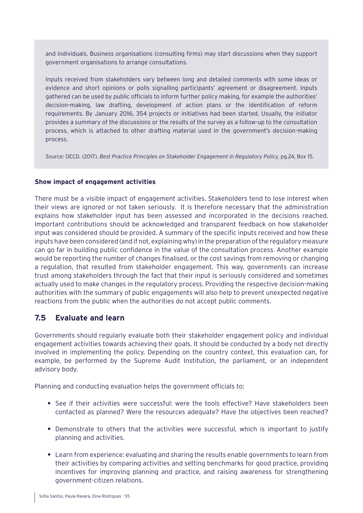and individuals. Business organisations (consulting firms) may start discussions when they support government organisations to arrange consultations.

Inputs received from stakeholders vary between long and detailed comments with some ideas or evidence and short opinions or polls signalling participants' agreement or disagreement. Inputs gathered can be used by public officials to inform further policy making, for example the authorities' decision-making, law drafting, development of action plans or the identification of reform requirements. By January 2016, 354 projects or initiatives had been started. Usually, the initiator provides a summary of the discussions or the results of the survey as a follow-up to the consultation process, which is attached to other drafting material used in the government's decision-making process.

Source: OECD. (2017). *Best Practice Principles on Stakeholder Engagement in Regulatory Policy,* pg.24, Box 15.

#### **Show impact of engagement activities**

There must be a visible impact of engagement activities. Stakeholders tend to lose interest when their views are ignored or not taken seriously. It is therefore necessary that the administration explains how stakeholder input has been assessed and incorporated in the decisions reached. Important contributions should be acknowledged and transparent feedback on how stakeholder input was considered should be provided. A summary of the specific inputs received and how these inputs have been considered (and if not, explaining why) in the preparation of the regulatory measure can go far in building public confidence in the value of the consultation process. Another example would be reporting the number of changes finalised, or the cost savings from removing or changing a regulation, that resulted from stakeholder engagement. This way, governments can increase trust among stakeholders through the fact that their input is seriously considered and sometimes actually used to make changes in the regulatory process. Providing the respective decision-making authorities with the summary of public engagements will also help to prevent unexpected negative reactions from the public when the authorities do not accept public comments.

# **7.5 Evaluate and learn**

Governments should regularly evaluate both their stakeholder engagement policy and individual engagement activities towards achieving their goals. It should be conducted by a body not directly involved in implementing the policy. Depending on the country context, this evaluation can, for example, be performed by the Supreme Audit Institution, the parliament, or an independent advisory body.

Planning and conducting evaluation helps the government officials to:

- **•** See if their activities were successful: were the tools effective? Have stakeholders been contacted as planned? Were the resources adequate? Have the objectives been reached?
- **•** Demonstrate to others that the activities were successful, which is important to justify planning and activities.
- **•** Learn from experience: evaluating and sharing the results enable governments to learn from their activities by comparing activities and setting benchmarks for good practice, providing incentives for improving planning and practice, and raising awareness for strengthening government-citizen relations.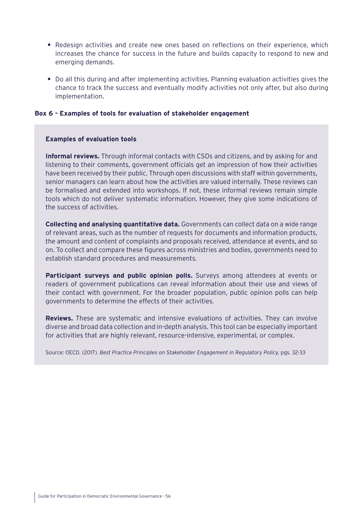- **•** Redesign activities and create new ones based on reflections on their experience, which increases the chance for success in the future and builds capacity to respond to new and emerging demands.
- **•** Do all this during and after implementing activities. Planning evaluation activities gives the chance to track the success and eventually modify activities not only after, but also during implementation.

#### **Box 6 - Examples of tools for evaluation of stakeholder engagement**

#### **Examples of evaluation tools**

**Informal reviews.** Through informal contacts with CSOs and citizens, and by asking for and listening to their comments, government officials get an impression of how their activities have been received by their public. Through open discussions with staff within governments, senior managers can learn about how the activities are valued internally. These reviews can be formalised and extended into workshops. If not, these informal reviews remain simple tools which do not deliver systematic information. However, they give some indications of the success of activities.

**Collecting and analysing quantitative data.** Governments can collect data on a wide range of relevant areas, such as the number of requests for documents and information products, the amount and content of complaints and proposals received, attendance at events, and so on. To collect and compare these figures across ministries and bodies, governments need to establish standard procedures and measurements.

**Participant surveys and public opinion polls.** Surveys among attendees at events or readers of government publications can reveal information about their use and views of their contact with government. For the broader population, public opinion polls can help governments to determine the effects of their activities.

**Reviews.** These are systematic and intensive evaluations of activities. They can involve diverse and broad data collection and in-depth analysis. This tool can be especially important for activities that are highly relevant, resource-intensive, experimental, or complex.

Source: OECD. (2017). *Best Practice Principles on Stakeholder Engagement in Regulatory Policy,* pgs. 32-33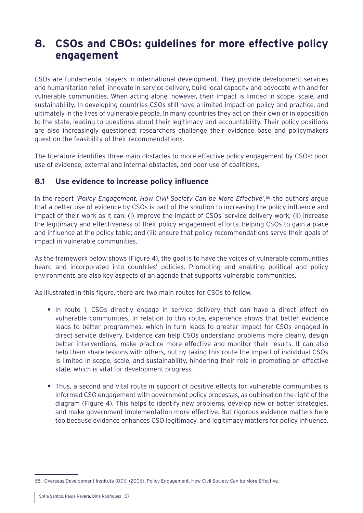# **8. CSOs and CBOs: guidelines for more effective policy engagement**

CSOs are fundamental players in international development. They provide development services and humanitarian relief, innovate in service delivery, build local capacity and advocate with and for vulnerable communities. When acting alone, however, their impact is limited in scope, scale, and sustainability. In developing countries CSOs still have a limited impact on policy and practice, and ultimately in the lives of vulnerable people. In many countries they act on their own or in opposition to the state, leading to questions about their legitimacy and accountability. Their policy positions are also increasingly questioned: researchers challenge their evidence base and policymakers question the feasibility of their recommendations.

The literature identifies three main obstacles to more effective policy engagement by CSOs: poor use of evidence, external and internal obstacles, and poor use of coalitions.

# **8.1 Use evidence to increase policy influence**

In the report 'Policy Engagement, How Civil Society Can be More Effective',<sup>68</sup> the authors argue that a better use of evidence by CSOs is part of the solution to increasing the policy influence and impact of their work as it can: (i) improve the impact of CSOs' service delivery work; (ii) increase the legitimacy and effectiveness of their policy engagement efforts, helping CSOs to gain a place and influence at the policy table; and (iii) ensure that policy recommendations serve their goals of impact in vulnerable communities.

As the framework below shows (Figure 4), the goal is to have the voices of vulnerable communities heard and incorporated into countries' policies. Promoting and enabling political and policy environments are also key aspects of an agenda that supports vulnerable communities.

As illustrated in this figure, there are two main routes for CSOs to follow.

- **•** In route 1, CSOs directly engage in service delivery that can have a direct effect on vulnerable communities. In relation to this route, experience shows that better evidence leads to better programmes, which in turn leads to greater impact for CSOs engaged in direct service delivery. Evidence can help CSOs understand problems more clearly, design better interventions, make practice more effective and monitor their results. It can also help them share lessons with others, but by taking this route the impact of individual CSOs is limited in scope, scale, and sustainability, hindering their role in promoting an effective state, which is vital for development progress.
- **•** Thus, a second and vital route in support of positive effects for vulnerable communities is informed CSO engagement with government policy processes, as outlined on the right of the diagram (Figure 4). This helps to identify new problems, develop new or better strategies, and make government implementation more effective. But rigorous evidence matters here too because evidence enhances CSO legitimacy, and legitimacy matters for policy influence.

<sup>68.</sup> Overseas Development Institute (ODI). (2006). Policy Engagement, How Civil Society Can be More Effective.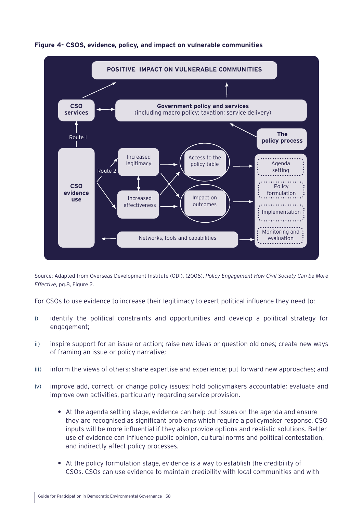

# **Figure 4- CSOS, evidence, policy, and impact on vulnerable communities**

Source: Adapted from Overseas Development Institute (ODI). (2006). *Policy Engagement How Civil Society Can be More Effective*, pg.8, Figure 2.

For CSOs to use evidence to increase their legitimacy to exert political influence they need to:

- i) identify the political constraints and opportunities and develop a political strategy for engagement;
- ii) inspire support for an issue or action; raise new ideas or question old ones; create new ways of framing an issue or policy narrative;
- iii) inform the views of others; share expertise and experience; put forward new approaches; and
- iv) improve add, correct, or change policy issues; hold policymakers accountable; evaluate and improve own activities, particularly regarding service provision.
	- **•** At the agenda setting stage, evidence can help put issues on the agenda and ensure they are recognised as significant problems which require a policymaker response. CSO inputs will be more influential if they also provide options and realistic solutions. Better use of evidence can influence public opinion, cultural norms and political contestation, and indirectly affect policy processes.
	- **•** At the policy formulation stage, evidence is a way to establish the credibility of CSOs. CSOs can use evidence to maintain credibility with local communities and with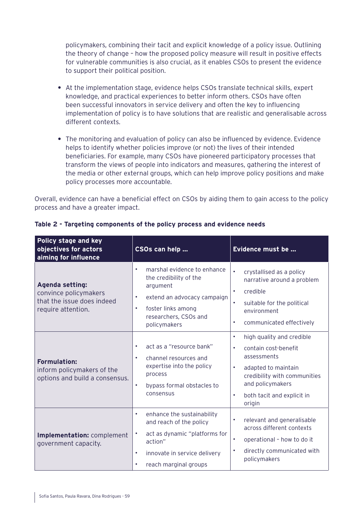policymakers, combining their tacit and explicit knowledge of a policy issue. Outlining the theory of change – how the proposed policy measure will result in positive effects for vulnerable communities is also crucial, as it enables CSOs to present the evidence to support their political position.

- **•** At the implementation stage, evidence helps CSOs translate technical skills, expert knowledge, and practical experiences to better inform others. CSOs have often been successful innovators in service delivery and often the key to influencing implementation of policy is to have solutions that are realistic and generalisable across different contexts.
- **•** The monitoring and evaluation of policy can also be influenced by evidence. Evidence helps to identify whether policies improve (or not) the lives of their intended beneficiaries. For example, many CSOs have pioneered participatory processes that transform the views of people into indicators and measures, gathering the interest of the media or other external groups, which can help improve policy positions and make policy processes more accountable.

Overall, evidence can have a beneficial effect on CSOs by aiding them to gain access to the policy process and have a greater impact.

| Policy stage and key<br>objectives for actors<br>aiming for influence                               | CSOs can help                                                                                                                                                                                                  | Evidence must be                                                                                                                                                                                                                |
|-----------------------------------------------------------------------------------------------------|----------------------------------------------------------------------------------------------------------------------------------------------------------------------------------------------------------------|---------------------------------------------------------------------------------------------------------------------------------------------------------------------------------------------------------------------------------|
| <b>Agenda setting:</b><br>convince policymakers<br>that the issue does indeed<br>require attention. | marshal evidence to enhance<br>$\bullet$<br>the credibility of the<br>argument<br>extend an advocacy campaign<br>$\bullet$<br>foster links among<br>$\bullet$<br>researchers, CSOs and<br>policymakers         | crystallised as a policy<br>$\bullet$<br>narrative around a problem<br>credible<br>suitable for the political<br>environment<br>communicated effectively<br>$\bullet$                                                           |
| <b>Formulation:</b><br>inform policymakers of the<br>options and build a consensus.                 | act as a "resource bank"<br>$\bullet$<br>channel resources and<br>$\bullet$<br>expertise into the policy<br>process<br>$\bullet$<br>bypass formal obstacles to<br>consensus                                    | high quality and credible<br>$\bullet$<br>contain cost-benefit<br>$\bullet$<br>assessments<br>adapted to maintain<br>$\bullet$<br>credibility with communities<br>and policymakers<br>both tacit and explicit in<br>٠<br>origin |
| Implementation: complement<br>government capacity.                                                  | enhance the sustainability<br>$\bullet$<br>and reach of the policy<br>act as dynamic "platforms for<br>$\bullet$<br>action"<br>innovate in service delivery<br>$\bullet$<br>reach marginal groups<br>$\bullet$ | relevant and generalisable<br>across different contexts<br>operational - how to do it<br>$\bullet$<br>directly communicated with<br>$\bullet$<br>policymakers                                                                   |

# **Table 2 - Targeting components of the policy process and evidence needs**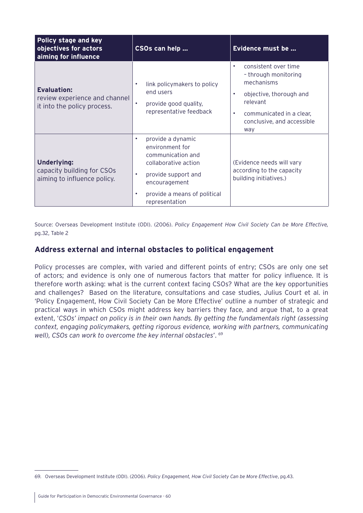| Policy stage and key<br>objectives for actors<br>aiming for influence              | CSOs can help                                                                                                                                                                                                      | Evidence must be                                                                                                                                                                  |
|------------------------------------------------------------------------------------|--------------------------------------------------------------------------------------------------------------------------------------------------------------------------------------------------------------------|-----------------------------------------------------------------------------------------------------------------------------------------------------------------------------------|
| <b>Evaluation:</b><br>review experience and channel<br>it into the policy process. | link policymakers to policy<br>$\bullet$<br>end users<br>provide good quality,<br>$\bullet$<br>representative feedback                                                                                             | consistent over time<br>٠<br>- through monitoring<br>mechanisms<br>objective, thorough and<br>٠<br>relevant<br>communicated in a clear,<br>٠<br>conclusive, and accessible<br>way |
| Underlying:<br>capacity building for CSOs<br>aiming to influence policy.           | provide a dynamic<br>$\bullet$<br>environment for<br>communication and<br>collaborative action<br>$\bullet$<br>provide support and<br>encouragement<br>provide a means of political<br>$\bullet$<br>representation | (Evidence needs will vary<br>according to the capacity<br>building initiatives.)                                                                                                  |

Source: Overseas Development Institute (ODI). (2006). *Policy Engagement How Civil Society Can be More Effective,* pg.32, Table 2

# **Address external and internal obstacles to political engagement**

Policy processes are complex, with varied and different points of entry; CSOs are only one set of actors; and evidence is only one of numerous factors that matter for policy influence. It is therefore worth asking: what is the current context facing CSOs? What are the key opportunities and challenges? Based on the literature, consultations and case studies, Julius Court et al. in 'Policy Engagement, How Civil Society Can be More Effective' outline a number of strategic and practical ways in which CSOs might address key barriers they face, and argue that, to a great extent, '*CSOs' impact on policy is in their own hands. By getting the fundamentals right (assessing context, engaging policymakers, getting rigorous evidence, working with partners, communicating well), CSOs can work to overcome the key internal obstacles*'. <sup>69</sup>

<sup>69.</sup> Overseas Development Institute (ODI). (2006). *Policy Engagement, How Civil Society Can be More Effective*, pg.43.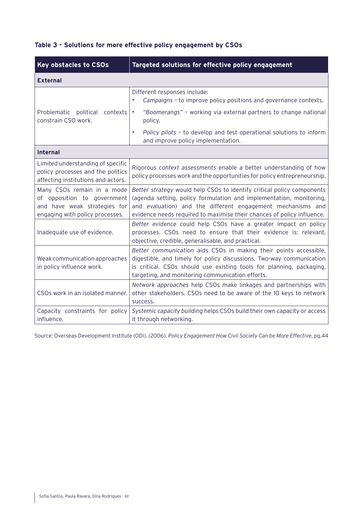| <b>Key obstacles to CSOs</b>                                                                                                 | Targeted solutions for effective policy engagement                                                                                                                                                                                                                                     |  |  |  |
|------------------------------------------------------------------------------------------------------------------------------|----------------------------------------------------------------------------------------------------------------------------------------------------------------------------------------------------------------------------------------------------------------------------------------|--|--|--|
| <b>External</b>                                                                                                              |                                                                                                                                                                                                                                                                                        |  |  |  |
|                                                                                                                              | Different responses include:<br>Campaigns - to improve policy positions and governance contexts.                                                                                                                                                                                       |  |  |  |
| Problematic political contexts<br>constrain CSO work.                                                                        | "Boomerangs" - working via external partners to change national<br>$\bullet$<br>policy.                                                                                                                                                                                                |  |  |  |
|                                                                                                                              | Policy pilots - to develop and test operational solutions to inform<br>$\bullet$<br>and improve policy implementation.                                                                                                                                                                 |  |  |  |
| <b>Internal</b>                                                                                                              |                                                                                                                                                                                                                                                                                        |  |  |  |
| Limited understanding of specific<br>policy processes and the politics<br>affecting institutions and actors.                 | Rigorous context assessments enable a better understanding of how<br>policy processes work and the opportunities for policy entrepreneurship.                                                                                                                                          |  |  |  |
| Many CSOs remain in a mode<br>of opposition to government<br>and have weak strategies for<br>engaging with policy processes. | Better strategy would help CSOs to identify critical policy components<br>(agenda setting, policy formulation and implementation, monitoring,<br>and evaluation) and the different engagement mechanisms and<br>evidence needs required to maximise their chances of policy influence. |  |  |  |
| Inadequate use of evidence.                                                                                                  | Better evidence could help CSOs have a greater impact on policy<br>processes. CSOs need to ensure that their evidence is: relevant,<br>objective, credible, generalisable, and practical.                                                                                              |  |  |  |
| Weak communication approaches<br>in policy influence work.                                                                   | Better communication aids CSOs in making their points accessible,<br>digestible, and timely for policy discussions. Two-way communication<br>is critical. CSOs should use existing tools for planning, packaging,<br>targeting, and monitoring communication efforts.                  |  |  |  |
| CSOs work in an isolated manner.                                                                                             | Network approaches help CSOs make linkages and partnerships with<br>other stakeholders. CSOs need to be aware of the 10 keys to network<br>success.                                                                                                                                    |  |  |  |
| Capacity constraints for policy<br>influence.                                                                                | Systemic capacity building helps CSOs build their own capacity or access<br>it through networking.                                                                                                                                                                                     |  |  |  |

# **Table 3 - Solutions for more effective policy engagement by CSOs**

Source: Overseas Development Institute (ODI). (2006). *Policy Engagement How Civil Society Can be More Effective*, pg.44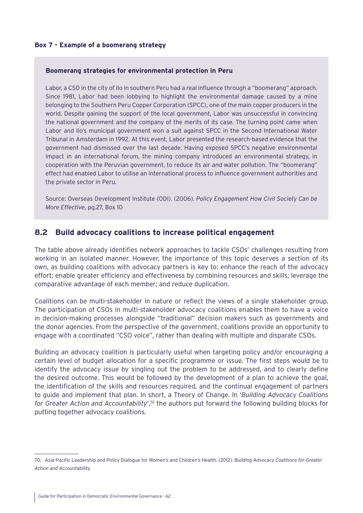#### **Box 7 - Example of a boomerang strategy**

#### **Boomerang strategies for environmental protection in Peru**

Labor, a CSO in the city of Ilo in southern Peru had a real influence through a "boomerang" approach. Since 1981, Labor had been lobbying to highlight the environmental damage caused by a mine belonging to the Southern Peru Copper Corporation (SPCC), one of the main copper producers in the world. Despite gaining the support of the local government, Labor was unsuccessful in convincing the national government and the company of the merits of its case. The turning point came when Labor and Ilo's municipal government won a suit against SPCC in the Second International Water Tribunal in Amsterdam in 1992. At this event, Labor presented the research-based evidence that the government had dismissed over the last decade. Having exposed SPCC's negative environmental impact in an international forum, the mining company introduced an environmental strategy, in cooperation with the Peruvian government, to reduce its air and water pollution. The "boomerang" effect had enabled Labor to utilise an international process to influence government authorities and the private sector in Peru.

Source: Overseas Development Institute (ODI). (2006). *Policy Engagement How Civil Society Can be More Effective*, pg.27, Box 10

# **8.2 Build advocacy coalitions to increase political engagement**

The table above already identifies network approaches to tackle CSOs' challenges resulting from working in an isolated manner. However, the importance of this topic deserves a section of its own, as building coalitions with advocacy partners is key to: enhance the reach of the advocacy effort; enable greater efficiency and effectiveness by combining resources and skills; leverage the comparative advantage of each member; and reduce duplication.

Coalitions can be multi-stakeholder in nature or reflect the views of a single stakeholder group. The participation of CSOs in multi-stakeholder advocacy coalitions enables them to have a voice in decision-making processes alongside "traditional" decision makers such as governments and the donor agencies. From the perspective of the government, coalitions provide an opportunity to engage with a coordinated "CSO voice", rather than dealing with multiple and disparate CSOs.

Building an advocacy coalition is particularly useful when targeting policy and/or encouraging a certain level of budget allocation for a specific programme or issue. The first steps would be to identify the advocacy issue by singling out the problem to be addressed, and to clearly define the desired outcome. This would be followed by the development of a plan to achieve the goal, the identification of the skills and resources required, and the continual engagement of partners to guide and implement that plan. In short, a Theory of Change. In '*Building Advocacy Coalitions for Greater Action and Accountability*',70 the authors put forward the following building blocks for putting together advocacy coalitions.

<sup>70.</sup> Asia-Pacific Leadership and Policy Dialogue for Women's and Children's Health. (2012). *Building Advocacy Coalitions for Greater Action and Accountability.*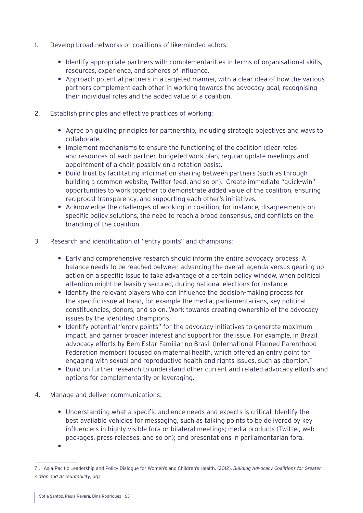- 1. Develop broad networks or coalitions of like-minded actors:
	- **•** Identify appropriate partners with complementarities in terms of organisational skills, resources, experience, and spheres of influence.
	- **•** Approach potential partners in a targeted manner, with a clear idea of how the various partners complement each other in working towards the advocacy goal, recognising their individual roles and the added value of a coalition.
- 2. Establish principles and effective practices of working:
	- **•** Agree on guiding principles for partnership, including strategic objectives and ways to collaborate.
	- **•** Implement mechanisms to ensure the functioning of the coalition (clear roles and resources of each partner, budgeted work plan, regular update meetings and appointment of a chair, possibly on a rotation basis).
	- **•** Build trust by facilitating information sharing between partners (such as through building a common website, Twitter feed, and so on). Create immediate "quick-win" opportunities to work together to demonstrate added value of the coalition, ensuring reciprocal transparency, and supporting each other's initiatives.
	- **•** Acknowledge the challenges of working in coalition; for instance, disagreements on specific policy solutions, the need to reach a broad consensus, and conflicts on the branding of the coalition.
- 3. Research and identification of "entry points" and champions:
	- **•** Early and comprehensive research should inform the entire advocacy process. A balance needs to be reached between advancing the overall agenda versus gearing up action on a specific issue to take advantage of a certain policy window, when political attention might be feasibly secured, during national elections for instance.
	- **•** Identify the relevant players who can influence the decision-making process for the specific issue at hand, for example the media, parliamentarians, key political constituencies, donors, and so on. Work towards creating ownership of the advocacy issues by the identified champions.
	- **•** Identify potential "entry points" for the advocacy initiatives to generate maximum impact, and garner broader interest and support for the issue. For example, in Brazil, advocacy efforts by Bem Estar Familiar no Brasil (International Planned Parenthood Federation member) focused on maternal health, which offered an entry point for engaging with sexual and reproductive health and rights issues, such as abortion.71
	- **•** Build on further research to understand other current and related advocacy efforts and options for complementarity or leveraging.
- 4. Manage and deliver communications:
	- **•** Understanding what a specific audience needs and expects is critical. Identify the best available vehicles for messaging, such as talking points to be delivered by key influencers in highly visible fora or bilateral meetings; media products (Twitter, web packages, press releases, and so on); and presentations in parliamentarian fora. **•**

<sup>71.</sup> Asia-Pacific Leadership and Policy Dialogue for Women's and Children's Health. (2012). *Building Advocacy Coalitions for Greater Action and Accountability*, pg.1.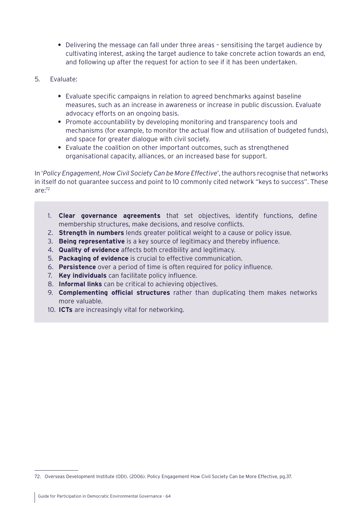- **•** Delivering the message can fall under three areas sensitising the target audience by cultivating interest, asking the target audience to take concrete action towards an end, and following up after the request for action to see if it has been undertaken.
- 5. Evaluate:
	- **•** Evaluate specific campaigns in relation to agreed benchmarks against baseline measures, such as an increase in awareness or increase in public discussion. Evaluate advocacy efforts on an ongoing basis.
	- **•** Promote accountability by developing monitoring and transparency tools and mechanisms (for example, to monitor the actual flow and utilisation of budgeted funds), and space for greater dialogue with civil society.
	- **•** Evaluate the coalition on other important outcomes, such as strengthened organisational capacity, alliances, or an increased base for support.

In '*Policy Engagement, How Civil Society Can be More Effective*', the authors recognise that networks in itself do not guarantee success and point to 10 commonly cited network "keys to success". These are:72

- 1. **Clear governance agreements** that set objectives, identify functions, define membership structures, make decisions, and resolve conflicts.
- 2. **Strength in numbers** lends greater political weight to a cause or policy issue.
- 3. **Being representative** is a key source of legitimacy and thereby influence.
- 4. **Quality of evidence** affects both credibility and legitimacy.
- 5. **Packaging of evidence** is crucial to effective communication.
- 6. **Persistence** over a period of time is often required for policy influence.
- 7. **Key individuals** can facilitate policy influence.
- 8. **Informal links** can be critical to achieving objectives.
- 9. **Complementing official structures** rather than duplicating them makes networks more valuable.
- 10. **ICTs** are increasingly vital for networking.

<sup>72.</sup> Overseas Development Institute (ODI). (2006). Policy Engagement How Civil Society Can be More Effective, pg.37.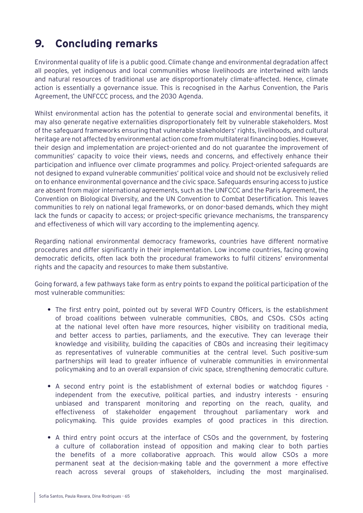# **9. Concluding remarks**

Environmental quality of life is a public good. Climate change and environmental degradation affect all peoples, yet indigenous and local communities whose livelihoods are intertwined with lands and natural resources of traditional use are disproportionately climate-affected. Hence, climate action is essentially a governance issue. This is recognised in the Aarhus Convention, the Paris Agreement, the UNFCCC process, and the 2030 Agenda.

Whilst environmental action has the potential to generate social and environmental benefits, it may also generate negative externalities disproportionately felt by vulnerable stakeholders. Most of the safeguard frameworks ensuring that vulnerable stakeholders' rights, livelihoods, and cultural heritage are not affected by environmental action come from multilateral financing bodies. However, their design and implementation are project-oriented and do not guarantee the improvement of communities' capacity to voice their views, needs and concerns, and effectively enhance their participation and influence over climate programmes and policy. Project-oriented safeguards are not designed to expand vulnerable communities' political voice and should not be exclusively relied on to enhance environmental governance and the civic space. Safeguards ensuring access to justice are absent from major international agreements, such as the UNFCCC and the Paris Agreement, the Convention on Biological Diversity, and the UN Convention to Combat Desertification. This leaves communities to rely on national legal frameworks, or on donor-based demands, which they might lack the funds or capacity to access; or project-specific grievance mechanisms, the transparency and effectiveness of which will vary according to the implementing agency.

Regarding national environmental democracy frameworks, countries have different normative procedures and differ significantly in their implementation. Low income countries, facing growing democratic deficits, often lack both the procedural frameworks to fulfil citizens' environmental rights and the capacity and resources to make them substantive.

Going forward, a few pathways take form as entry points to expand the political participation of the most vulnerable communities:

- **•** The first entry point, pointed out by several WFD Country Officers, is the establishment of broad coalitions between vulnerable communities, CBOs, and CSOs. CSOs acting at the national level often have more resources, higher visibility on traditional media, and better access to parties, parliaments, and the executive. They can leverage their knowledge and visibility, building the capacities of CBOs and increasing their legitimacy as representatives of vulnerable communities at the central level. Such positive-sum partnerships will lead to greater influence of vulnerable communities in environmental policymaking and to an overall expansion of civic space, strengthening democratic culture.
- **•** A second entry point is the establishment of external bodies or watchdog figures independent from the executive, political parties, and industry interests - ensuring unbiased and transparent monitoring and reporting on the reach, quality, and effectiveness of stakeholder engagement throughout parliamentary work and policymaking. This guide provides examples of good practices in this direction.
- **•** A third entry point occurs at the interface of CSOs and the government, by fostering a culture of collaboration instead of opposition and making clear to both parties the benefits of a more collaborative approach. This would allow CSOs a more permanent seat at the decision-making table and the government a more effective reach across several groups of stakeholders, including the most marginalised.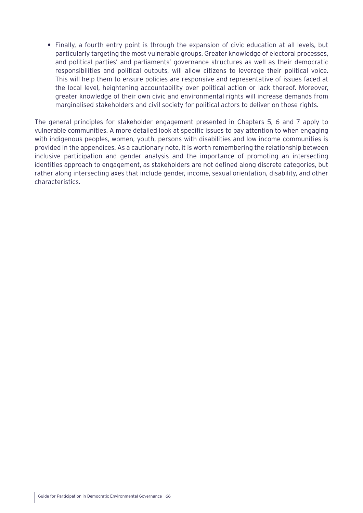**•** Finally, a fourth entry point is through the expansion of civic education at all levels, but particularly targeting the most vulnerable groups. Greater knowledge of electoral processes, and political parties' and parliaments' governance structures as well as their democratic responsibilities and political outputs, will allow citizens to leverage their political voice. This will help them to ensure policies are responsive and representative of issues faced at the local level, heightening accountability over political action or lack thereof. Moreover, greater knowledge of their own civic and environmental rights will increase demands from marginalised stakeholders and civil society for political actors to deliver on those rights.

The general principles for stakeholder engagement presented in Chapters 5, 6 and 7 apply to vulnerable communities. A more detailed look at specific issues to pay attention to when engaging with indigenous peoples, women, youth, persons with disabilities and low income communities is provided in the appendices. As a cautionary note, it is worth remembering the relationship between inclusive participation and gender analysis and the importance of promoting an intersecting identities approach to engagement, as stakeholders are not defined along discrete categories, but rather along intersecting axes that include gender, income, sexual orientation, disability, and other characteristics.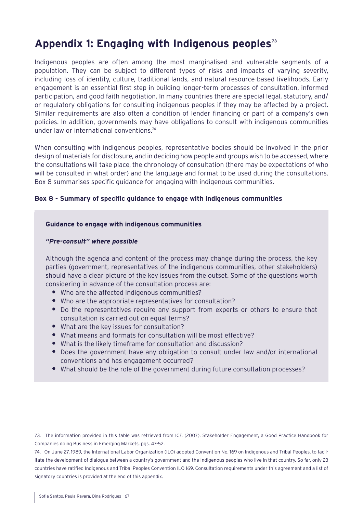# Appendix 1: Engaging with Indigenous peoples<sup>73</sup>

Indigenous peoples are often among the most marginalised and vulnerable segments of a population. They can be subject to different types of risks and impacts of varying severity, including loss of identity, culture, traditional lands, and natural resource-based livelihoods. Early engagement is an essential first step in building longer-term processes of consultation, informed participation, and good faith negotiation. In many countries there are special legal, statutory, and/ or regulatory obligations for consulting indigenous peoples if they may be affected by a project. Similar requirements are also often a condition of lender financing or part of a company's own policies. In addition, governments may have obligations to consult with indigenous communities under law or international conventions.<sup>74</sup>

When consulting with indigenous peoples, representative bodies should be involved in the prior design of materials for disclosure, and in deciding how people and groups wish to be accessed, where the consultations will take place, the chronology of consultation (there may be expectations of who will be consulted in what order) and the language and format to be used during the consultations. [Box 8](#page-66-0) summarises specific guidance for engaging with indigenous communities.

# <span id="page-66-0"></span>**Box 8 - Summary of specific guidance to engage with indigenous communities**

#### **Guidance to engage with indigenous communities**

#### *"Pre-consult" where possible*

Although the agenda and content of the process may change during the process, the key parties (government, representatives of the indigenous communities, other stakeholders) should have a clear picture of the key issues from the outset. Some of the questions worth considering in advance of the consultation process are:

- **•** Who are the affected indigenous communities?
- **•** Who are the appropriate representatives for consultation?
- **•** Do the representatives require any support from experts or others to ensure that consultation is carried out on equal terms?
- **•** What are the key issues for consultation?
- **•** What means and formats for consultation will be most effective?
- **•** What is the likely timeframe for consultation and discussion?
- **•** Does the government have any obligation to consult under law and/or international conventions and has engagement occurred?
- **•** What should be the role of the government during future consultation processes?

<sup>73.</sup> The information provided in this table was retrieved from ICF. (2007). Stakeholder Engagement, a Good Practice Handbook for Companies doing Business in Emerging Markets, pgs. 47-52.

<sup>74.</sup> On June 27, 1989, the International Labor Organization (ILO) adopted Convention No. 169 on Indigenous and Tribal Peoples, to facilitate the development of dialogue between a country's government and the Indigenous peoples who live in that country. So far, only 23 countries have ratified Indigenous and Tribal Peoples Convention ILO 169. Consultation requirements under this agreement and a list of signatory countries is provided at the end of this appendix.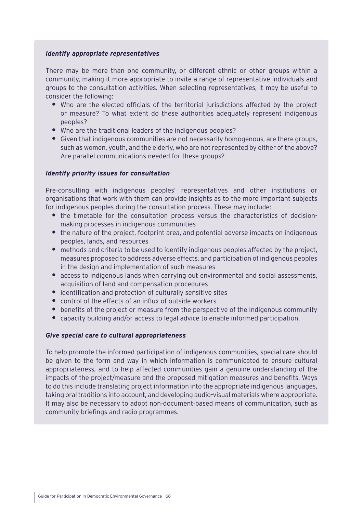## *Identify appropriate representatives*

There may be more than one community, or different ethnic or other groups within a community, making it more appropriate to invite a range of representative individuals and groups to the consultation activities. When selecting representatives, it may be useful to consider the following:

- **•** Who are the elected officials of the territorial jurisdictions affected by the project or measure? To what extent do these authorities adequately represent indigenous peoples?
- **•** Who are the traditional leaders of the indigenous peoples?
- **•** Given that indigenous communities are not necessarily homogenous, are there groups, such as women, youth, and the elderly, who are not represented by either of the above? Are parallel communications needed for these groups?

# *Identify priority issues for consultation*

Pre-consulting with indigenous peoples' representatives and other institutions or organisations that work with them can provide insights as to the more important subjects for indigenous peoples during the consultation process. These may include:

- **•** the timetable for the consultation process versus the characteristics of decisionmaking processes in indigenous communities
- **•** the nature of the project, footprint area, and potential adverse impacts on indigenous peoples, lands, and resources
- **•** methods and criteria to be used to identify indigenous peoples affected by the project, measures proposed to address adverse effects, and participation of indigenous peoples in the design and implementation of such measures
- **•** access to indigenous lands when carrying out environmental and social assessments, acquisition of land and compensation procedures
- **•** identification and protection of culturally sensitive sites
- **•** control of the effects of an influx of outside workers
- **•** benefits of the project or measure from the perspective of the Indigenous community
- **•** capacity building and/or access to legal advice to enable informed participation.

# *Give special care to cultural appropriateness*

To help promote the informed participation of indigenous communities, special care should be given to the form and way in which information is communicated to ensure cultural appropriateness, and to help affected communities gain a genuine understanding of the impacts of the project/measure and the proposed mitigation measures and benefits. Ways to do this include translating project information into the appropriate indigenous languages, taking oral traditions into account, and developing audio-visual materials where appropriate. It may also be necessary to adopt non-document-based means of communication, such as community briefings and radio programmes.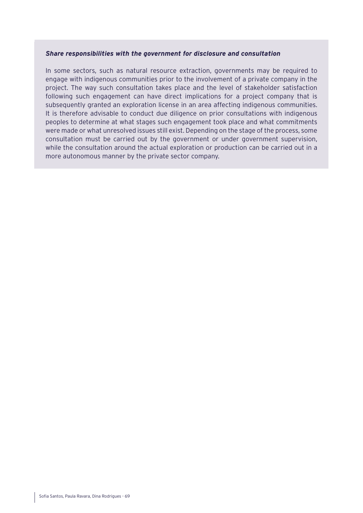#### *Share responsibilities with the government for disclosure and consultation*

In some sectors, such as natural resource extraction, governments may be required to engage with indigenous communities prior to the involvement of a private company in the project. The way such consultation takes place and the level of stakeholder satisfaction following such engagement can have direct implications for a project company that is subsequently granted an exploration license in an area affecting indigenous communities. It is therefore advisable to conduct due diligence on prior consultations with indigenous peoples to determine at what stages such engagement took place and what commitments were made or what unresolved issues still exist. Depending on the stage of the process, some consultation must be carried out by the government or under government supervision, while the consultation around the actual exploration or production can be carried out in a more autonomous manner by the private sector company.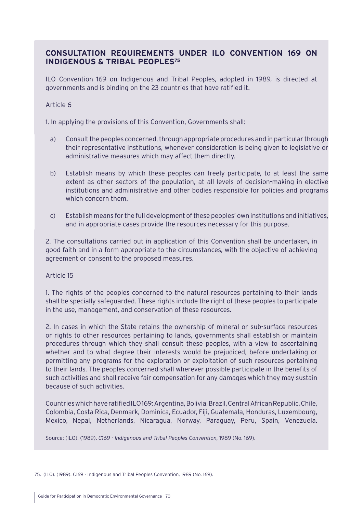# **CONSULTATION REQUIREMENTS UNDER ILO CONVENTION 169 ON INDIGENOUS & TRIBAL PEOPLES75**

ILO Convention 169 on Indigenous and Tribal Peoples, adopted in 1989, is directed at governments and is binding on the 23 countries that have ratified it.

# Article 6

1. In applying the provisions of this Convention, Governments shall:

- a) Consult the peoples concerned, through appropriate procedures and in particular through their representative institutions, whenever consideration is being given to legislative or administrative measures which may affect them directly.
- b) Establish means by which these peoples can freely participate, to at least the same extent as other sectors of the population, at all levels of decision-making in elective institutions and administrative and other bodies responsible for policies and programs which concern them.
- c) Establish means for the full development of these peoples' own institutions and initiatives, and in appropriate cases provide the resources necessary for this purpose.

2. The consultations carried out in application of this Convention shall be undertaken, in good faith and in a form appropriate to the circumstances, with the objective of achieving agreement or consent to the proposed measures.

# Article 15

1. The rights of the peoples concerned to the natural resources pertaining to their lands shall be specially safeguarded. These rights include the right of these peoples to participate in the use, management, and conservation of these resources.

2. In cases in which the State retains the ownership of mineral or sub-surface resources or rights to other resources pertaining to lands, governments shall establish or maintain procedures through which they shall consult these peoples, with a view to ascertaining whether and to what degree their interests would be prejudiced, before undertaking or permitting any programs for the exploration or exploitation of such resources pertaining to their lands. The peoples concerned shall wherever possible participate in the benefits of such activities and shall receive fair compensation for any damages which they may sustain because of such activities.

Countries which have ratified ILO 169: Argentina, Bolivia, Brazil, Central African Republic, Chile, Colombia, Costa Rica, Denmark, Dominica, Ecuador, Fiji, Guatemala, Honduras, Luxembourg, Mexico, Nepal, Netherlands, Nicaragua, Norway, Paraguay, Peru, Spain, Venezuela.

Source: (ILO). (1989). *C169 - Indigenous and Tribal Peoples Convention*, 1989 (No. 169).

<sup>75.</sup> (ILO). (1989). C169 - Indigenous and Tribal Peoples Convention, 1989 (No. 169).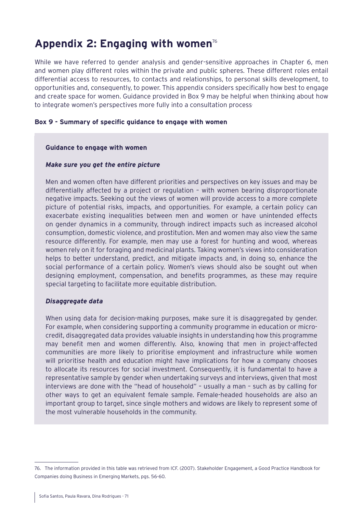# **Appendix 2: Engaging with women**<sup>76</sup>

While we have referred to gender analysis and gender-sensitive approaches in Chapter 6, men and women play different roles within the private and public spheres. These different roles entail differential access to resources, to contacts and relationships, to personal skills development, to opportunities and, consequently, to power. This appendix considers specifically how best to engage and create space for women. Guidance provided in [Box 9](#page-70-0) may be helpful when thinking about how to integrate women's perspectives more fully into a consultation process.

## <span id="page-70-0"></span>**Box 9 - Summary of specific guidance to engage with women**

#### **Guidance to engage with women**

#### *Make sure you get the entire picture*

Men and women often have different priorities and perspectives on key issues and may be differentially affected by a project or regulation – with women bearing disproportionate negative impacts. Seeking out the views of women will provide access to a more complete picture of potential risks, impacts, and opportunities. For example, a certain policy can exacerbate existing inequalities between men and women or have unintended effects on gender dynamics in a community, through indirect impacts such as increased alcohol consumption, domestic violence, and prostitution. Men and women may also view the same resource differently. For example, men may use a forest for hunting and wood, whereas women rely on it for foraging and medicinal plants. Taking women's views into consideration helps to better understand, predict, and mitigate impacts and, in doing so, enhance the social performance of a certain policy. Women's views should also be sought out when designing employment, compensation, and benefits programmes, as these may require special targeting to facilitate more equitable distribution.

#### *Disaggregate data*

When using data for decision-making purposes, make sure it is disaggregated by gender. For example, when considering supporting a community programme in education or microcredit, disaggregated data provides valuable insights in understanding how this programme may benefit men and women differently. Also, knowing that men in project-affected communities are more likely to prioritise employment and infrastructure while women will prioritise health and education might have implications for how a company chooses to allocate its resources for social investment. Consequently, it is fundamental to have a representative sample by gender when undertaking surveys and interviews, given that most interviews are done with the "head of household" – usually a man – such as by calling for other ways to get an equivalent female sample. Female-headed households are also an important group to target, since single mothers and widows are likely to represent some of the most vulnerable households in the community.

<sup>76.</sup> The information provided in this table was retrieved from ICF. (2007). Stakeholder Engagement, a Good Practice Handbook for Companies doing Business in Emerging Markets, pgs. 56-60.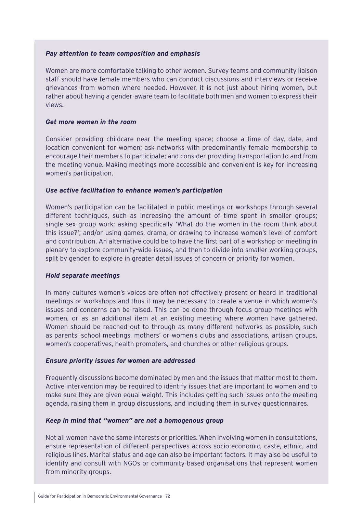## *Pay attention to team composition and emphasis*

Women are more comfortable talking to other women. Survey teams and community liaison staff should have female members who can conduct discussions and interviews or receive grievances from women where needed. However, it is not just about hiring women, but rather about having a gender-aware team to facilitate both men and women to express their views.

## *Get more women in the room*

Consider providing childcare near the meeting space; choose a time of day, date, and location convenient for women; ask networks with predominantly female membership to encourage their members to participate; and consider providing transportation to and from the meeting venue. Making meetings more accessible and convenient is key for increasing women's participation.

## *Use active facilitation to enhance women's participation*

Women's participation can be facilitated in public meetings or workshops through several different techniques, such as increasing the amount of time spent in smaller groups; single sex group work; asking specifically 'What do the women in the room think about this issue?'; and/or using games, drama, or drawing to increase women's level of comfort and contribution. An alternative could be to have the first part of a workshop or meeting in plenary to explore community-wide issues, and then to divide into smaller working groups, split by gender, to explore in greater detail issues of concern or priority for women.

#### *Hold separate meetings*

In many cultures women's voices are often not effectively present or heard in traditional meetings or workshops and thus it may be necessary to create a venue in which women's issues and concerns can be raised. This can be done through focus group meetings with women, or as an additional item at an existing meeting where women have gathered. Women should be reached out to through as many different networks as possible, such as parents' school meetings, mothers' or women's clubs and associations, artisan groups, women's cooperatives, health promoters, and churches or other religious groups.

#### *Ensure priority issues for women are addressed*

Frequently discussions become dominated by men and the issues that matter most to them. Active intervention may be required to identify issues that are important to women and to make sure they are given equal weight. This includes getting such issues onto the meeting agenda, raising them in group discussions, and including them in survey questionnaires.

#### *Keep in mind that "women" are not a homogenous group*

Not all women have the same interests or priorities. When involving women in consultations, ensure representation of different perspectives across socio-economic, caste, ethnic, and religious lines. Marital status and age can also be important factors. It may also be useful to identify and consult with NGOs or community-based organisations that represent women from minority groups.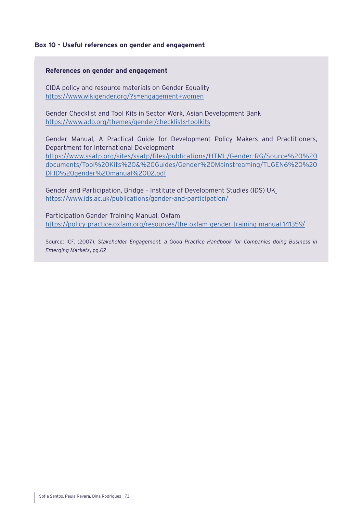## **Box 10 - Useful references on gender and engagement**

#### **References on gender and engagement**

CIDA policy and resource materials on Gender Equality <https://www.wikigender.org/?s=engagement+women>

Gender Checklist and Tool Kits in Sector Work, Asian Development Bank <https://www.adb.org/themes/gender/checklists-toolkits>

Gender Manual, A Practical Guide for Development Policy Makers and Practitioners, Department for International Development [https://www.ssatp.org/sites/ssatp/files/publications/HTML/Gender-RG/Source%20%20](https://www.ssatp.org/sites/ssatp/files/publications/HTML/Gender-RG/Source%20%20documents/Tool%20Kits%20&%20Guides/Gender%20Mainstreaming/TLGEN6%20%20DFID%20gender%20manual%2002.pdf) [documents/Tool%20Kits%20&%20Guides/Gender%20Mainstreaming/TLGEN6%20%20](https://www.ssatp.org/sites/ssatp/files/publications/HTML/Gender-RG/Source%20%20documents/Tool%20Kits%20&%20Guides/Gender%20Mainstreaming/TLGEN6%20%20DFID%20gender%20manual%2002.pdf) [DFID%20gender%20manual%2002.pdf](https://www.ssatp.org/sites/ssatp/files/publications/HTML/Gender-RG/Source%20%20documents/Tool%20Kits%20&%20Guides/Gender%20Mainstreaming/TLGEN6%20%20DFID%20gender%20manual%2002.pdf)

Gender and Participation, Bridge – Institute of Development Studies (IDS) UK <https://www.ids.ac.uk/publications/gender-and-participation/>

Participation Gender Training Manual, Oxfam <https://policy-practice.oxfam.org/resources/the-oxfam-gender-training-manual-141359/>

Source: ICF. (2007). *Stakeholder Engagement, a Good Practice Handbook for Companies doing Business in Emerging Markets*, pg.62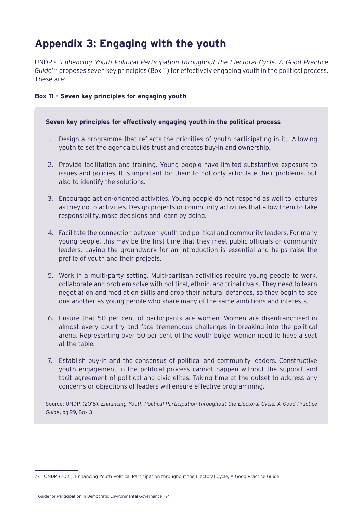# **Appendix 3: Engaging with the youth**

UNDP's '*Enhancing Youth Political Participation throughout the Electoral Cycle, A Good Practice Guide*' 77 proposes seven key principles ([Box 11\)](#page-73-0) for effectively engaging youth in the political process. These are:

# <span id="page-73-0"></span>**Box 11 - Seven key principles for engaging youth**

# **Seven key principles for effectively engaging youth in the political process**

- 1. Design a programme that reflects the priorities of youth participating in it. Allowing youth to set the agenda builds trust and creates buy-in and ownership.
- 2. Provide facilitation and training. Young people have limited substantive exposure to issues and policies. It is important for them to not only articulate their problems, but also to identify the solutions.
- 3. Encourage action-oriented activities. Young people do not respond as well to lectures as they do to activities. Design projects or community activities that allow them to take responsibility, make decisions and learn by doing.
- 4. Facilitate the connection between youth and political and community leaders. For many young people, this may be the first time that they meet public officials or community leaders. Laying the groundwork for an introduction is essential and helps raise the profile of youth and their projects.
- 5. Work in a multi-party setting. Multi-partisan activities require young people to work, collaborate and problem solve with political, ethnic, and tribal rivals. They need to learn negotiation and mediation skills and drop their natural defences, so they begin to see one another as young people who share many of the same ambitions and interests.
- 6. Ensure that 50 per cent of participants are women. Women are disenfranchised in almost every country and face tremendous challenges in breaking into the political arena. Representing over 50 per cent of the youth bulge, women need to have a seat at the table.
- 7. Establish buy-in and the consensus of political and community leaders. Constructive youth engagement in the political process cannot happen without the support and tacit agreement of political and civic elites. Taking time at the outset to address any concerns or objections of leaders will ensure effective programming.

Source: UNDP. (2015). *Enhancing Youth Political Participation throughout the Electoral Cycle, A Good Practice Guide*, pg.29, Box 3

<sup>77.</sup> UNDP. (2015). Enhancing Youth Political Participation throughout the Electoral Cycle, A Good Practice Guide.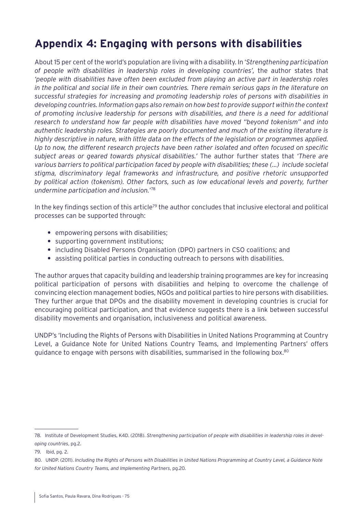# **Appendix 4: Engaging with persons with disabilities**

About 15 per cent of the world's population are living with a disability. In '*Strengthening participation of people with disabilities in leadership roles in developing countries',* the author states that *'people with disabilities have often been excluded from playing an active part in leadership roles in the political and social life in their own countries. There remain serious gaps in the literature on successful strategies for increasing and promoting leadership roles of persons with disabilities in developing countries. Information gaps also remain on how best to provide support within the context of promoting inclusive leadership for persons with disabilities, and there is a need for additional research to understand how far people with disabilities have moved "beyond tokenism" and into authentic leadership roles. Strategies are poorly documented and much of the existing literature is highly descriptive in nature, with little data on the effects of the legislation or programmes applied. Up to now, the different research projects have been rather isolated and often focused on specific subject areas or geared towards physical disabilities.'* The author further states that *'There are various barriers to political participation faced by people with disabilities; these (…) include societal stigma, discriminatory legal frameworks and infrastructure, and positive rhetoric unsupported by political action (tokenism). Other factors, such as low educational levels and poverty, further undermine participation and inclusion.*' 78

In the key findings section of this article<sup>79</sup> the author concludes that inclusive electoral and political processes can be supported through:

- **•** empowering persons with disabilities;
- **•** supporting government institutions;
- **•** including Disabled Persons Organisation (DPO) partners in CSO coalitions; and
- **•** assisting political parties in conducting outreach to persons with disabilities.

The author argues that capacity building and leadership training programmes are key for increasing political participation of persons with disabilities and helping to overcome the challenge of convincing election management bodies, NGOs and political parties to hire persons with disabilities. They further argue that DPOs and the disability movement in developing countries is crucial for encouraging political participation, and that evidence suggests there is a link between successful disability movements and organisation, inclusiveness and political awareness.

UNDP's 'Including the Rights of Persons with Disabilities in United Nations Programming at Country Level, a Guidance Note for United Nations Country Teams, and Implementing Partners' offers guidance to engage with persons with disabilities, summarised in the following box.80

<sup>78.</sup> Institute of Development Studies, K4D. (2018). *Strengthening participation of people with disabilities in leadership roles in developing countries*, pg.2.

<sup>79.</sup> Ibid, pg. 2.

<sup>80.</sup> UNDP. (2011). *Including the Rights of Persons with Disabilities in United Nations Programming at Country Level, a Guidance Note for United Nations Country Teams, and Implementing Partners*, pg.20.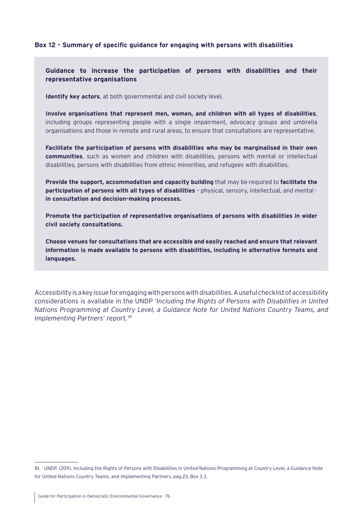## **Box 12 - Summary of specific guidance for engaging with persons with disabilities**

**Guidance to increase the participation of persons with disabilities and their representative organisations**

**Identify key actors**, at both governmental and civil society level.

**Involve organisations that represent men, women, and children with all types of disabilities**, including groups representing people with a single impairment, advocacy groups and umbrella organisations and those in remote and rural areas, to ensure that consultations are representative.

**Facilitate the participation of persons with disabilities who may be marginalised in their own communities**, such as women and children with disabilities, persons with mental or intellectual disabilities, persons with disabilities from ethnic minorities, and refugees with disabilities.

**Provide the support, accommodation and capacity building** that may be required to **facilitate the participation of persons with all types of disabilities** – physical, sensory, intellectual, and mental **in consultation and decision-making processes.**

**Promote the participation of representative organisations of persons with disabilities in wider civil society consultations.**

**Choose venues for consultations that are accessible and easily reached and ensure that relevant information is made available to persons with disabilities, including in alternative formats and languages.**

Accessibility is a key issue for engaging with persons with disabilities. A useful checklist of accessibility considerations is available in the UNDP '*Including the Rights of Persons with Disabilities in United Nations Programming at Country Level, a Guidance Note for United Nations Country Teams, and Implementing Partners'* report. 81

<sup>81.</sup> UNDP. (2011). Including the Rights of Persons with Disabilities in United Nations Programming at Country Level, a Guidance Note for United Nations Country Teams, and Implementing Partners, pag.23, Box 3.3.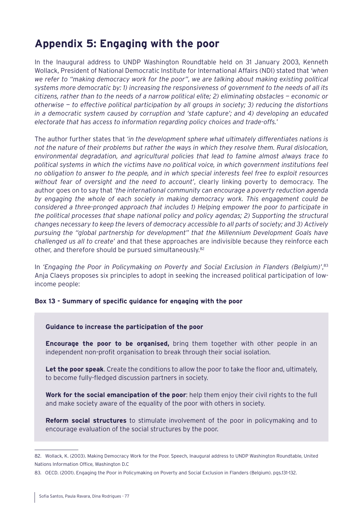# **Appendix 5: Engaging with the poor**

In the Inaugural address to UNDP Washington Roundtable held on 31 January 2003, Kenneth Wollack, President of National Democratic Institute for International Affairs (NDI) stated that *'when we refer to "making democracy work for the poor", we are talking about making existing political systems more democratic by: 1) increasing the responsiveness of government to the needs of all its citizens, rather than to the needs of a narrow political elite; 2) eliminating obstacles — economic or otherwise — to effective political participation by all groups in society; 3) reducing the distortions in a democratic system caused by corruption and 'state capture'; and 4) developing an educated electorate that has access to information regarding policy choices and trade-offs.*'

The author further states that *'in the development sphere what ultimately differentiates nations is not the nature of their problems but rather the ways in which they resolve them. Rural dislocation, environmental degradation, and agricultural policies that lead to famine almost always trace to political systems in which the victims have no political voice, in which government institutions feel no obligation to answer to the people, and in which special interests feel free to exploit resources without fear of oversight and the need to account'*, clearly linking poverty to democracy. The author goes on to say that *'the international community can encourage a poverty reduction agenda by engaging the whole of each society in making democracy work. This engagement could be considered a three-pronged approach that includes 1) Helping empower the poor to participate in the political processes that shape national policy and policy agendas; 2) Supporting the structural changes necessary to keep the levers of democracy accessible to all parts of society; and 3) Actively pursuing the "global partnership for development" that the Millennium Development Goals have challenged us all to create'* and that these approaches are indivisible because they reinforce each other, and therefore should be pursued simultaneously.82

In *'Engaging the Poor in Policymaking on Poverty and Social Exclusion in Flanders (Belgium)'*, 83 Anja Claeys proposes six principles to adopt in seeking the increased political participation of lowincome people:

#### **Box 13 - Summary of specific guidance for engaging with the poor**

#### **Guidance to increase the participation of the poor**

**Encourage the poor to be organised,** bring them together with other people in an independent non-profit organisation to break through their social isolation.

**Let the poor speak**. Create the conditions to allow the poor to take the floor and, ultimately, to become fully-fledged discussion partners in society.

**Work for the social emancipation of the poor**: help them enjoy their civil rights to the full and make society aware of the equality of the poor with others in society.

**Reform social structures** to stimulate involvement of the poor in policymaking and to encourage evaluation of the social structures by the poor.

<sup>82.</sup> Wollack, K. (2003). Making Democracy Work for the Poor. Speech, Inaugural address to UNDP Washington Roundtable, United Nations Information Office, Washington D.C

<sup>83.</sup> OECD. (2001). Engaging the Poor in Policymaking on Poverty and Social Exclusion in Flanders (Belgium). pgs.131-132.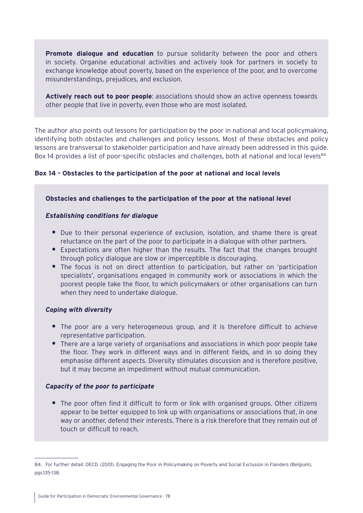**Promote dialogue and education** to pursue solidarity between the poor and others in society. Organise educational activities and actively look for partners in society to exchange knowledge about poverty, based on the experience of the poor, and to overcome misunderstandings, prejudices, and exclusion.

**Actively reach out to poor people**: associations should show an active openness towards other people that live in poverty, even those who are most isolated.

The author also points out lessons for participation by the poor in national and local policymaking, identifying both obstacles and challenges and policy lessons. Most of these obstacles and policy lessons are transversal to stakeholder participation and have already been addressed in this guide. [Box 14](#page-77-0) provides a list of poor-specific obstacles and challenges, both at national and local levels<sup>84.</sup>

# <span id="page-77-0"></span>**Box 14 - Obstacles to the participation of the poor at national and local levels**

## **Obstacles and challenges to the participation of the poor at the national level**

## *Establishing conditions for dialogue*

- **•** Due to their personal experience of exclusion, isolation, and shame there is great reluctance on the part of the poor to participate in a dialogue with other partners.
- **•** Expectations are often higher than the results. The fact that the changes brought through policy dialogue are slow or imperceptible is discouraging.
- **•** The focus is not on direct attention to participation, but rather on 'participation specialists', organisations engaged in community work or associations in which the poorest people take the floor, to which policymakers or other organisations can turn when they need to undertake dialogue.

# *Coping with diversity*

- **•** The poor are a very heterogeneous group, and it is therefore difficult to achieve representative participation.
- **•** There are a large variety of organisations and associations in which poor people take the floor. They work in different ways and in different fields, and in so doing they emphasise different aspects. Diversity stimulates discussion and is therefore positive, but it may become an impediment without mutual communication.

# *Capacity of the poor to participate*

**•** The poor often find it difficult to form or link with organised groups. Other citizens appear to be better equipped to link up with organisations or associations that, in one way or another, defend their interests. There is a risk therefore that they remain out of touch or difficult to reach.

<sup>84.</sup> For further detail: OECD. (2001). Engaging the Poor in Policymaking on Poverty and Social Exclusion in Flanders (Belgium), pgs.135-138.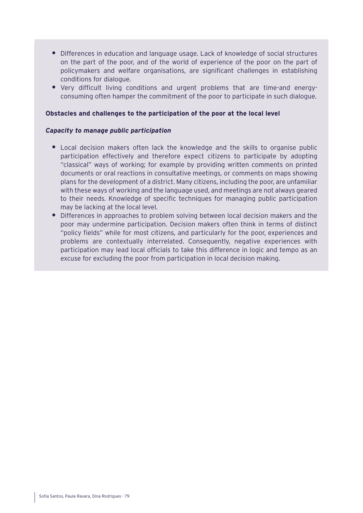- **•** Differences in education and language usage. Lack of knowledge of social structures on the part of the poor, and of the world of experience of the poor on the part of policymakers and welfare organisations, are significant challenges in establishing conditions for dialogue.
- **•** Very difficult living conditions and urgent problems that are time-and energyconsuming often hamper the commitment of the poor to participate in such dialogue.

## **Obstacles and challenges to the participation of the poor at the local level**

## *Capacity to manage public participation*

- **•** Local decision makers often lack the knowledge and the skills to organise public participation effectively and therefore expect citizens to participate by adopting "classical" ways of working; for example by providing written comments on printed documents or oral reactions in consultative meetings, or comments on maps showing plans for the development of a district. Many citizens, including the poor, are unfamiliar with these ways of working and the language used, and meetings are not always geared to their needs. Knowledge of specific techniques for managing public participation may be lacking at the local level.
- **•** Differences in approaches to problem solving between local decision makers and the poor may undermine participation. Decision makers often think in terms of distinct "policy fields" while for most citizens, and particularly for the poor, experiences and problems are contextually interrelated. Consequently, negative experiences with participation may lead local officials to take this difference in logic and tempo as an excuse for excluding the poor from participation in local decision making.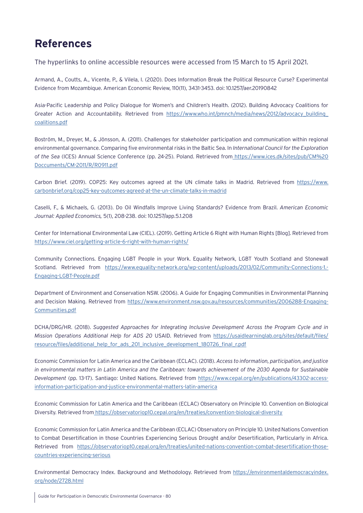# **References**

The hyperlinks to online accessible resources were accessed from 15 March to 15 April 2021.

Armand, A., Coutts, A., Vicente, P., & Vilela, I. (2020). Does Information Break the Political Resource Curse? Experimental Evidence from Mozambique. American Economic Review, 110(11), 3431-3453. doi: 10.1257/aer.20190842

Asia-Pacific Leadership and Policy Dialogue for Women's and Children's Health. (2012). Building Advocacy Coalitions for Greater Action and Accountability. Retrieved from [https://www.who.int/pmnch/media/news/2012/advocacy\\_building\\_](https://www.who.int/pmnch/media/news/2012/advocacy_building_coalitions.pdf) [coalitions.pdf](https://www.who.int/pmnch/media/news/2012/advocacy_building_coalitions.pdf)

Boström, M., Dreyer, M., & Jönsson, A. (2011). Challenges for stakeholder participation and communication within regional environmental governance. Comparing five environmental risks in the Baltic Sea. In *International Council for the Exploration of the Sea* (ICES) Annual Science Conference (pp. 24-25). Poland. Retrieved from [https://www.ices.dk/sites/pub/CM%20](https://www.ices.dk/sites/pub/CM%20Doccuments/CM-2011/R/R0911.pdf) [Doccuments/CM-2011/R/R0911.pdf](https://www.ices.dk/sites/pub/CM%20Doccuments/CM-2011/R/R0911.pdf)

Carbon Brief. (2019). COP25: Key outcomes agreed at the UN climate talks in Madrid. Retrieved from [https://www.](https://www.carbonbrief.org/cop25-key-outcomes-agreed-at-the-un-climate-talks-in-madrid) [carbonbrief.org/cop25-key-outcomes-agreed-at-the-un-climate-talks-in-madrid](https://www.carbonbrief.org/cop25-key-outcomes-agreed-at-the-un-climate-talks-in-madrid)

Caselli, F., & Michaels, G. (2013). Do Oil Windfalls Improve Living Standards? Evidence from Brazil. *American Economic Journal: Applied Economics,* 5(1), 208-238. doi: 10.1257/app.5.1.208

Center for International Environmental Law (CIEL). (2019). Getting Article 6 Right with Human Rights [Blog]. Retrieved from <https://www.ciel.org/getting-article-6-right-with-human-rights/>

Community Connections. Engaging LGBT People in your Work. Equality Network, LGBT Youth Scotland and Stonewall Scotland. Retrieved from [https://www.equality-network.org/wp-content/uploads/2013/02/Community-Connections-1.-](https://www.equality-network.org/wp-content/uploads/2013/02/Community-Connections-1.-Engaging-LGBT-People.pdf) [Engaging-LGBT-People.pdf](https://www.equality-network.org/wp-content/uploads/2013/02/Community-Connections-1.-Engaging-LGBT-People.pdf)

Department of Environment and Conservation NSW. (2006). A Guide for Engaging Communities in Environmental Planning and Decision Making. Retrieved from [https://www.environment.nsw.gov.au/resources/communities/2006288-Engaging-](https://www.environment.nsw.gov.au/resources/communities/2006288-Engaging-Communities.pdf)[Communities.pdf](https://www.environment.nsw.gov.au/resources/communities/2006288-Engaging-Communities.pdf)

DCHA/DRG/HR. (2018). *Suggested Approaches for Integrating Inclusive Development Across the Program Cycle and in Mission Operations Additional Help for ADS 20* USAID. Retrieved from [https://usaidlearninglab.org/sites/default/files/](https://usaidlearninglab.org/sites/default/files/resource/files/additional_help_for_ads_201_inclusive_development_180726_final_r.pdf) [resource/files/additional\\_help\\_for\\_ads\\_201\\_inclusive\\_development\\_180726\\_final\\_r.pdf](https://usaidlearninglab.org/sites/default/files/resource/files/additional_help_for_ads_201_inclusive_development_180726_final_r.pdf)

Economic Commission for Latin America and the Caribbean (ECLAC). (2018). *Access to information, participation, and justice in environmental matters in Latin America and the Caribbean: towards achievement of the 2030 Agenda for Sustainable Development* (pp. 13-17). Santiago: United Nations. Retrieved from [https://www.cepal.org/en/publications/43302-access](https://www.cepal.org/en/publications/43302-access-information-participation-and-justice-environmental-matters-latin-america)[information-participation-and-justice-environmental-matters-latin-america](https://www.cepal.org/en/publications/43302-access-information-participation-and-justice-environmental-matters-latin-america)

Economic Commission for Latin America and the Caribbean (ECLAC) Observatory on Principle 10. Convention on Biological Diversity. Retrieved from <https://observatoriop10.cepal.org/en/treaties/convention-biological-diversity>

Economic Commission for Latin America and the Caribbean (ECLAC) Observatory on Principle 10. United Nations Convention to Combat Desertification in those Countries Experiencing Serious Drought and/or Desertification, Particularly in Africa. Retrieved from [https://observatoriop10.cepal.org/en/treaties/united-nations-convention-combat-desertification-those](https://observatoriop10.cepal.org/en/treaties/united-nations-convention-combat-desertification-those-countries-experiencing-serious)[countries-experiencing-serious](https://observatoriop10.cepal.org/en/treaties/united-nations-convention-combat-desertification-those-countries-experiencing-serious)

Environmental Democracy Index. Background and Methodology. Retrieved from [https://environmentaldemocracyindex.](https://environmentaldemocracyindex.org/node/2728.html) [org/node/2728.html](https://environmentaldemocracyindex.org/node/2728.html)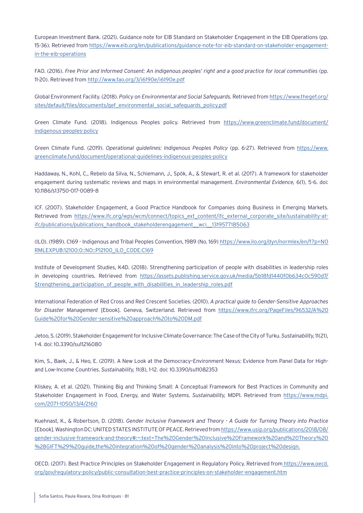European Investment Bank. (2021). Guidance note for EIB Standard on Stakeholder Engagement in the EIB Operations (pp. 15-36). Retrieved from [https://www.eib.org/en/publications/guidance-note-for-eib-standard-on-stakeholder-engagement](https://www.eib.org/en/publications/guidance-note-for-eib-standard-on-stakeholder-engagement-in-the-eib-operations)[in-the-eib-operations](https://www.eib.org/en/publications/guidance-note-for-eib-standard-on-stakeholder-engagement-in-the-eib-operations)

FAO. (2016). *Free Prior and Informed Consent: An indigenous peoples' right and a good practice for local communities* (pp. 11-20). Retrieved from <http://www.fao.org/3/i6190e/i6190e.pdf>

Global Environment Facility. (2018). *Policy on Environmental and Social Safeguards.* Retrieved from [https://www.thegef.org/](https://www.thegef.org/sites/default/files/documents/gef_environmental_social_safeguards_policy.pdf) [sites/default/files/documents/gef\\_environmental\\_social\\_safeguards\\_policy.pdf](https://www.thegef.org/sites/default/files/documents/gef_environmental_social_safeguards_policy.pdf)

Green Climate Fund. (2018). Indigenous Peoples policy. Retrieved from [https://www.greenclimate.fund/document/](https://www.greenclimate.fund/document/indigenous-peoples-policy) [indigenous-peoples-policy](https://www.greenclimate.fund/document/indigenous-peoples-policy)

Green Climate Fund. (2019). *Operational guidelines: Indigenous Peoples Policy* (pp. 6-27). Retrieved from [https://www.](https://www.greenclimate.fund/document/operational-guidelines-indigenous-peoples-policy) [greenclimate.fund/document/operational-guidelines-indigenous-peoples-policy](https://www.greenclimate.fund/document/operational-guidelines-indigenous-peoples-policy)

Haddaway, N., Kohl, C., Rebelo da Silva, N., Schiemann, J., Spök, A., & Stewart, R. et al. (2017). A framework for stakeholder engagement during systematic reviews and maps in environmental management. *Environmental Evidence,* 6(1), 5-6. doi: 10.1186/s13750-017-0089-8

ICF. (2007). Stakeholder Engagement, a Good Practice Handbook for Companies doing Business in Emerging Markets. Retrieved from [https://www.ifc.org/wps/wcm/connect/topics\\_ext\\_content/ifc\\_external\\_corporate\\_site/sustainability-at](https://www.ifc.org/wps/wcm/connect/topics_ext_content/ifc_external_corporate_site/sustainability-at-ifc/publications/publications_handbook_stakeholderengagement__wci__1319577185063)[ifc/publications/publications\\_handbook\\_stakeholderengagement\\_\\_wci\\_\\_1319577185063](https://www.ifc.org/wps/wcm/connect/topics_ext_content/ifc_external_corporate_site/sustainability-at-ifc/publications/publications_handbook_stakeholderengagement__wci__1319577185063)

(ILO). (1989). C169 - Indigenous and Tribal Peoples Convention, 1989 (No. 169) [https://www.ilo.org/dyn/normlex/en/f?p=NO](https://www.ilo.org/dyn/normlex/en/f?p=NORMLEXPUB:12100:0::NO::P12100_ILO_CODE:C169) [RMLEXPUB:12100:0::NO::P12100\\_ILO\\_CODE:C169](https://www.ilo.org/dyn/normlex/en/f?p=NORMLEXPUB:12100:0::NO::P12100_ILO_CODE:C169)

Institute of Development Studies, K4D. (2018). Strengthening participation of people with disabilities in leadership roles in developing countries. Retrieved from [https://assets.publishing.service.gov.uk/media/5b18fd1440f0b634c0c590d7/](https://assets.publishing.service.gov.uk/media/5b18fd1440f0b634c0c590d7/Strengthening_participation_of_people_with_disabilities_in_leadership_roles.pdf) Strengthening participation of people with disabilities in leadership roles.pdf

International Federation of Red Cross and Red Crescent Societies. (2010). *A practical guide to Gender-Sensitive Approaches for Disaster Management* [Ebook]. Geneva, Switzerland. Retrieved from [https://www.ifrc.org/PageFiles/96532/A%20](https://www.ifrc.org/PageFiles/96532/A%20Guide%20for%20Gender-sensitive%20approach%20to%20DM.pdf) [Guide%20for%20Gender-sensitive%20approach%20to%20DM.pdf](https://www.ifrc.org/PageFiles/96532/A%20Guide%20for%20Gender-sensitive%20approach%20to%20DM.pdf)

Jetoo, S. (2019). Stakeholder Engagement for Inclusive Climate Governance: The Case of the City of Turku.*Sustainability,*11(21), 1-4. doi: 10.3390/su11216080

Kim, S., Baek, J., & Heo, E. (2019). A New Look at the Democracy–Environment Nexus: Evidence from Panel Data for Highand Low-Income Countries. *Sustainability,* 11(8), 1-12. doi: 10.3390/su11082353

Kliskey, A. et al. (2021). Thinking Big and Thinking Small: A Conceptual Framework for Best Practices in Community and Stakeholder Engagement in Food, Energy, and Water Systems. *Sustainability,* MDPI. Retrieved from [https://www.mdpi.](https://www.mdpi.com/2071-1050/13/4/2160) [com/2071-1050/13/4/2160](https://www.mdpi.com/2071-1050/13/4/2160)

Kuehnast, K., & Robertson, D. (2018). *Gender Inclusive Framework and Theory - A Guide for Turning Theory into Practice*  [Ebook]. Washington DC: UNITED STATES INSTITUTE OF PEACE. Retrieved from[https://www.usip.org/publications/2018/08/](https://www.usip.org/publications/2018/08/gender-inclusive-framework-and-theory#:~:text=The%20Gender%20Inclusive%20Framework%20and%20Theory%20%28GIFT%29%20guide,the%20integration%20of%20gender%20analysis%20into%20project%20design) [gender-inclusive-framework-and-theory#:~:text=The%20Gender%20Inclusive%20Framework%20and%20Theory%20](https://www.usip.org/publications/2018/08/gender-inclusive-framework-and-theory#:~:text=The%20Gender%20Inclusive%20Framework%20and%20Theory%20%28GIFT%29%20guide,the%20integration%20of%20gender%20analysis%20into%20project%20design) [%28GIFT%29%20guide,the%20integration%20of%20gender%20analysis%20into%20project%20design.](https://www.usip.org/publications/2018/08/gender-inclusive-framework-and-theory#:~:text=The%20Gender%20Inclusive%20Framework%20and%20Theory%20%28GIFT%29%20guide,the%20integration%20of%20gender%20analysis%20into%20project%20design)

OECD. (2017). Best Practice Principles on Stakeholder Engagement in Regulatory Policy. Retrieved from [https://www.oecd.](https://www.oecd.org/gov/regulatory-policy/public-consultation-best-practice-principles-on-stakeholder-engagement.htm) [org/gov/regulatory-policy/public-consultation-best-practice-principles-on-stakeholder-engagement.htm](https://www.oecd.org/gov/regulatory-policy/public-consultation-best-practice-principles-on-stakeholder-engagement.htm)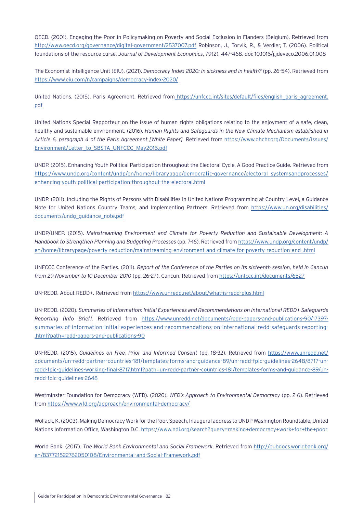OECD. (2001). Engaging the Poor in Policymaking on Poverty and Social Exclusion in Flanders (Belgium). Retrieved from <http://www.oecd.org/governance/digital-government/2537007.pdf> Robinson, J., Torvik, R., & Verdier, T. (2006). Political foundations of the resource curse. *Journal of Development Economics*, 79(2), 447-468. doi: 10.1016/j.jdeveco.2006.01.008

The Economist Intelligence Unit (EIU). (2021). *Democracy Index 2020: In sickness and in health?* (pp. 26-54). Retrieved from <https://www.eiu.com/n/campaigns/democracy-index-2020/>

United Nations. (2015). Paris Agreement. Retrieved from\_[https://unfccc.int/sites/default/files/english\\_paris\\_agreement.](https://unfccc.int/sites/default/files/english_paris_agreement.pdf) [pdf](https://unfccc.int/sites/default/files/english_paris_agreement.pdf)

United Nations Special Rapporteur on the issue of human rights obligations relating to the enjoyment of a safe, clean, healthy and sustainable environment. (2016). *Human Rights and Safeguards in the New Climate Mechanism established in Article 6, paragraph 4 of the Paris Agreement [White Paper].* Retrieved from [https://www.ohchr.org/Documents/Issues/](https://www.ohchr.org/Documents/Issues/Environment/Letter_to_SBSTA_UNFCCC_May2016.pdf) [Environment/Letter\\_to\\_SBSTA\\_UNFCCC\\_May2016.pdf](https://www.ohchr.org/Documents/Issues/Environment/Letter_to_SBSTA_UNFCCC_May2016.pdf)

UNDP. (2015). Enhancing Youth Political Participation throughout the Electoral Cycle, A Good Practice Guide. Retrieved from [https://www.undp.org/content/undp/en/home/librarypage/democratic-governance/electoral\\_systemsandprocesses/](https://www.undp.org/content/undp/en/home/librarypage/democratic-governance/electoral_systemsandprocesses/enhancing-youth-political-participation-throughout-the-electoral.html) [enhancing-youth-political-participation-throughout-the-electoral.html](https://www.undp.org/content/undp/en/home/librarypage/democratic-governance/electoral_systemsandprocesses/enhancing-youth-political-participation-throughout-the-electoral.html)

UNDP. (2011). Including the Rights of Persons with Disabilities in United Nations Programming at Country Level, a Guidance Note for United Nations Country Teams, and Implementing Partners. Retrieved from [https://www.un.org/disabilities/](https://www.un.org/disabilities/documents/undg_guidance_note.pdf) [documents/undg\\_guidance\\_note.pdf](https://www.un.org/disabilities/documents/undg_guidance_note.pdf)

UNDP/UNEP. (2015). *Mainstreaming Environment and Climate for Poverty Reduction and Sustainable Development: A Handbook to Strengthen Planning and Budgeting Processes* (pp. 7-16). Retrieved from [https://www.undp.org/content/undp/](https://www.undp.org/content/undp/en/home/librarypage/poverty-reduction/mainstreaming-environment-and-climate-for-poverty-reduction-and-.html) [en/home/librarypage/poverty-reduction/mainstreaming-environment-and-climate-for-poverty-reduction-and-.html](https://www.undp.org/content/undp/en/home/librarypage/poverty-reduction/mainstreaming-environment-and-climate-for-poverty-reduction-and-.html)

UNFCCC Conference of the Parties. (2011). *Report of the Conference of the Parties on its sixteenth session, held in Cancun from 29 November to 10 December 2010* (pp. 26-27). Cancun. Retrieved from <https://unfccc.int/documents/6527>

UN-REDD. About REDD+. Retrieved from<https://www.unredd.net/about/what-is-redd-plus.html>

UN-REDD. (2020). *Summaries of Information: Initial Experiences and Recommendations on International REDD+ Safeguards Reporting [Info Brief].* Retrieved from [https://www.unredd.net/documents/redd-papers-and-publications-90/17397](https://www.unredd.net/documents/redd-papers-and-publications-90/17397-summaries-of-information-initial-experiences-and-recommendations-on-international-redd-safeguards-reporting.html?path=redd-papers-and-publications-90) [summaries-of-information-initial-experiences-and-recommendations-on-international-redd-safeguards-reporting-](https://www.unredd.net/documents/redd-papers-and-publications-90/17397-summaries-of-information-initial-experiences-and-recommendations-on-international-redd-safeguards-reporting.html?path=redd-papers-and-publications-90) [.html?path=redd-papers-and-publications-90](https://www.unredd.net/documents/redd-papers-and-publications-90/17397-summaries-of-information-initial-experiences-and-recommendations-on-international-redd-safeguards-reporting.html?path=redd-papers-and-publications-90)

UN-REDD. (2015). *Guidelines on Free, Prior and Informed Consent* (pp. 18-32). Retrieved from [https://www.unredd.net/](https://www.unredd.net/documents/un-redd-partner-countries-181/templates-forms-and-guidance-89/un-redd-fpic-guidelines-2648/8717-un-redd-fpic-guidelines-working-final-8717.html?path=un-redd-partner-countries-181/templates-forms-and-guidance-89/un-redd-fpic-guidelines-2648) [documents/un-redd-partner-countries-181/templates-forms-and-guidance-89/un-redd-fpic-guidelines-2648/8717-un](https://www.unredd.net/documents/un-redd-partner-countries-181/templates-forms-and-guidance-89/un-redd-fpic-guidelines-2648/8717-un-redd-fpic-guidelines-working-final-8717.html?path=un-redd-partner-countries-181/templates-forms-and-guidance-89/un-redd-fpic-guidelines-2648)[redd-fpic-guidelines-working-final-8717.html?path=un-redd-partner-countries-181/templates-forms-and-guidance-89/un](https://www.unredd.net/documents/un-redd-partner-countries-181/templates-forms-and-guidance-89/un-redd-fpic-guidelines-2648/8717-un-redd-fpic-guidelines-working-final-8717.html?path=un-redd-partner-countries-181/templates-forms-and-guidance-89/un-redd-fpic-guidelines-2648)[redd-fpic-guidelines-2648](https://www.unredd.net/documents/un-redd-partner-countries-181/templates-forms-and-guidance-89/un-redd-fpic-guidelines-2648/8717-un-redd-fpic-guidelines-working-final-8717.html?path=un-redd-partner-countries-181/templates-forms-and-guidance-89/un-redd-fpic-guidelines-2648)

Westminster Foundation for Democracy (WFD). (2020). *WFD's Approach to Environmental Democracy* (pp. 2-6). Retrieved from<https://www.wfd.org/approach/environmental-democracy/>

Wollack, K. (2003). Making Democracy Work for the Poor. Speech, Inaugural address to UNDP Washington Roundtable, United Nations Information Office, Washington D.C.<https://www.ndi.org/search?query=making+democracy+work+for+the+poor>

World Bank. (2017). *The World Bank Environmental and Social Framework*. Retrieved from [http://pubdocs.worldbank.org/](http://pubdocs.worldbank.org/en/837721522762050108/Environmental-and-Social-Framework.pdf) [en/837721522762050108/Environmental-and-Social-Framework.pdf](http://pubdocs.worldbank.org/en/837721522762050108/Environmental-and-Social-Framework.pdf)